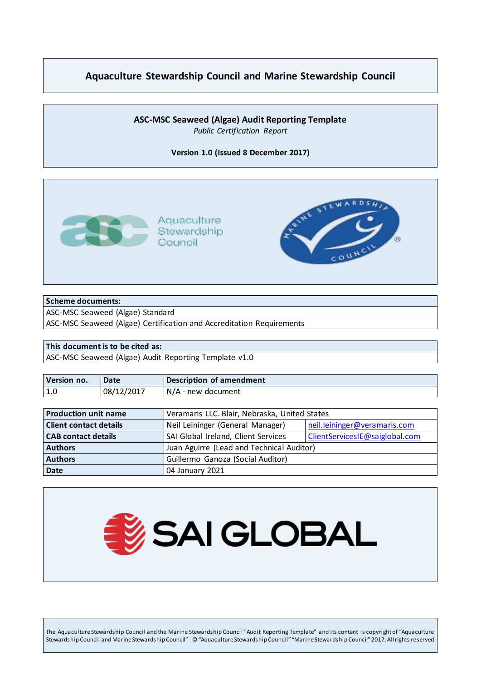## **Aquaculture Stewardship Council and Marine Stewardship Council**

#### **ASC-MSC Seaweed (Algae) Audit Reporting Template** *Public Certification Report*

**Version 1.0 (Issued 8 December 2017)**



#### **Scheme documents:**

ASC-MSC Seaweed (Algae) Standard

ASC-MSC Seaweed (Algae) Certification and Accreditation Requirements

#### **This document is to be cited as:**

ASC-MSC Seaweed (Algae) Audit Reporting Template v1.0

| Version no. | Date       | Description of amendment |
|-------------|------------|--------------------------|
| 1.0         | 08/12/2017 | N/A - new document       |

| <b>Production unit name</b>   | Veramaris LLC. Blair, Nebraska, United States |                                |
|-------------------------------|-----------------------------------------------|--------------------------------|
| <b>Client contact details</b> | Neil Leininger (General Manager)              | neil.leininger@veramaris.com   |
| <b>CAB contact details</b>    | SAI Global Ireland, Client Services           | ClientServicesIE@saiglobal.com |
| <b>Authors</b>                | Juan Aguirre (Lead and Technical Auditor)     |                                |
| <b>Authors</b>                | Guillermo Ganoza (Social Auditor)             |                                |
| <b>Date</b>                   | 04 January 2021                               |                                |



The Aquaculture Stewardship Council and the Marine Stewardship Council "Audit Reporting Template" and its content is copyright of "Aquaculture Stewardship Council and Marine Stewardship Council" - © "Aquaculture Stewardship Council" "Marine Stewardship Council" 2017. All rights reserved.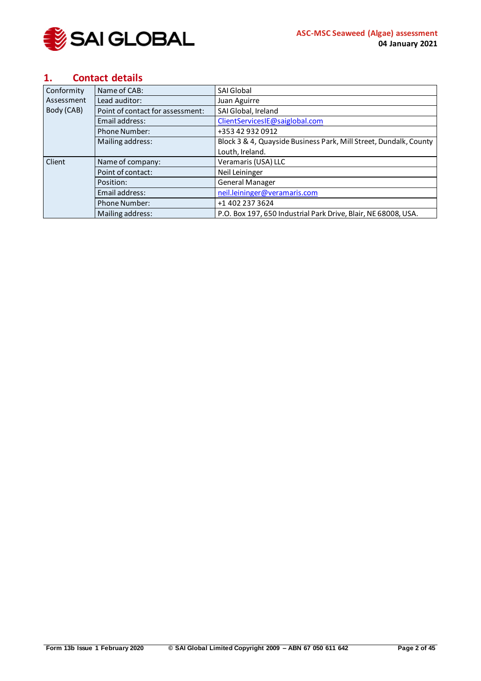

### <span id="page-1-0"></span>**1. Contact details**

| Conformity | Name of CAB:                     | <b>SAI Global</b>                                                 |  |
|------------|----------------------------------|-------------------------------------------------------------------|--|
| Assessment | Lead auditor:                    | Juan Aguirre                                                      |  |
| Body (CAB) | Point of contact for assessment: | SAI Global, Ireland                                               |  |
|            | Email address:                   | ClientServicesIE@saiglobal.com                                    |  |
|            | <b>Phone Number:</b>             | +353 42 932 0912                                                  |  |
|            | Mailing address:                 | Block 3 & 4, Quayside Business Park, Mill Street, Dundalk, County |  |
|            |                                  | Louth, Ireland.                                                   |  |
| Client     | Name of company:                 | Veramaris (USA) LLC                                               |  |
|            | Point of contact:                | Neil Leininger                                                    |  |
|            | Position:                        | General Manager                                                   |  |
|            | Email address:                   | neil.leininger@veramaris.com                                      |  |
|            | <b>Phone Number:</b>             | +1 402 237 3624                                                   |  |
|            | Mailing address:                 | P.O. Box 197, 650 Industrial Park Drive, Blair, NE 68008, USA.    |  |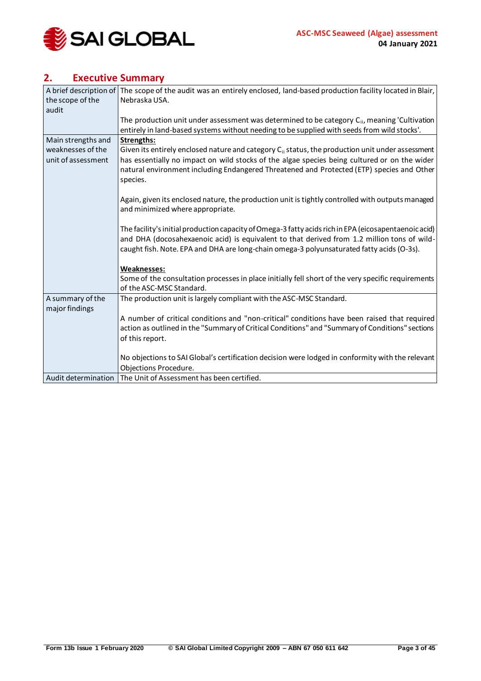

## <span id="page-2-0"></span>**2. Executive Summary**

|                     | A brief description of The scope of the audit was an entirely enclosed, land-based production facility located in Blair, |
|---------------------|--------------------------------------------------------------------------------------------------------------------------|
| the scope of the    | Nebraska USA.                                                                                                            |
| audit               |                                                                                                                          |
|                     | The production unit under assessment was determined to be category $C_{ii}$ , meaning 'Cultivation                       |
|                     | entirely in land-based systems without needing to be supplied with seeds from wild stocks'.                              |
| Main strengths and  | Strengths:                                                                                                               |
| weaknesses of the   | Given its entirely enclosed nature and category C <sub>ii</sub> status, the production unit under assessment             |
| unit of assessment  | has essentially no impact on wild stocks of the algae species being cultured or on the wider                             |
|                     | natural environment including Endangered Threatened and Protected (ETP) species and Other                                |
|                     | species.                                                                                                                 |
|                     |                                                                                                                          |
|                     | Again, given its enclosed nature, the production unit is tightly controlled with outputs managed                         |
|                     | and minimized where appropriate.                                                                                         |
|                     |                                                                                                                          |
|                     | The facility's initial production capacity of Omega-3 fatty acids rich in EPA (eicosapentaenoic acid)                    |
|                     | and DHA (docosahexaenoic acid) is equivalent to that derived from 1.2 million tons of wild-                              |
|                     | caught fish. Note. EPA and DHA are long-chain omega-3 polyunsaturated fatty acids (O-3s).                                |
|                     |                                                                                                                          |
|                     | <b>Weaknesses:</b>                                                                                                       |
|                     | Some of the consultation processes in place initially fell short of the very specific requirements                       |
|                     | of the ASC-MSC Standard.                                                                                                 |
| A summary of the    | The production unit is largely compliant with the ASC-MSC Standard.                                                      |
| major findings      |                                                                                                                          |
|                     | A number of critical conditions and "non-critical" conditions have been raised that required                             |
|                     | action as outlined in the "Summary of Critical Conditions" and "Summary of Conditions" sections                          |
|                     | of this report.                                                                                                          |
|                     |                                                                                                                          |
|                     | No objections to SAI Global's certification decision were lodged in conformity with the relevant                         |
|                     | Objections Procedure.                                                                                                    |
| Audit determination | The Unit of Assessment has been certified.                                                                               |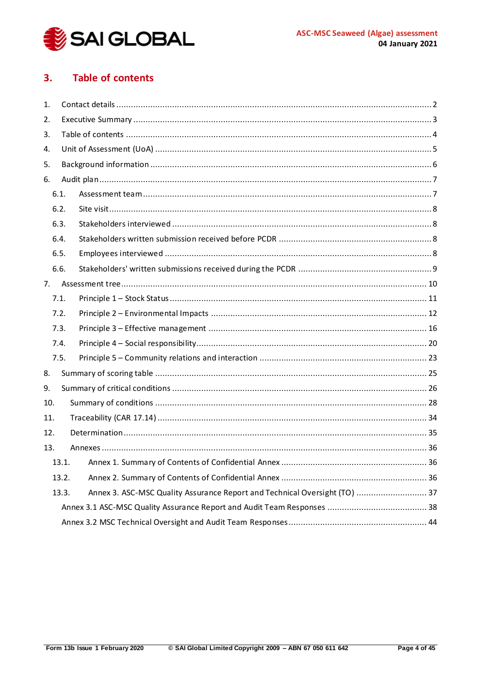

#### <span id="page-3-0"></span>**Table of contents**  $3.$

| 1.  |       |  |                                                                            |  |  |
|-----|-------|--|----------------------------------------------------------------------------|--|--|
| 2.  |       |  |                                                                            |  |  |
| 3.  |       |  |                                                                            |  |  |
| 4.  |       |  |                                                                            |  |  |
| 5.  |       |  |                                                                            |  |  |
| 6.  |       |  |                                                                            |  |  |
|     | 6.1.  |  |                                                                            |  |  |
|     | 6.2.  |  |                                                                            |  |  |
|     | 6.3.  |  |                                                                            |  |  |
|     | 6.4.  |  |                                                                            |  |  |
|     | 6.5.  |  |                                                                            |  |  |
|     | 6.6.  |  |                                                                            |  |  |
| 7.  |       |  |                                                                            |  |  |
|     | 7.1.  |  |                                                                            |  |  |
|     | 7.2.  |  |                                                                            |  |  |
|     | 7.3.  |  |                                                                            |  |  |
|     | 7.4.  |  |                                                                            |  |  |
|     | 7.5.  |  |                                                                            |  |  |
| 8.  |       |  |                                                                            |  |  |
| 9.  |       |  |                                                                            |  |  |
| 10. |       |  |                                                                            |  |  |
| 11. |       |  |                                                                            |  |  |
|     | 12.   |  |                                                                            |  |  |
| 13. |       |  |                                                                            |  |  |
|     |       |  |                                                                            |  |  |
|     | 13.2. |  |                                                                            |  |  |
|     | 13.3. |  | Annex 3. ASC-MSC Quality Assurance Report and Technical Oversight (TO)  37 |  |  |
|     |       |  |                                                                            |  |  |
|     |       |  |                                                                            |  |  |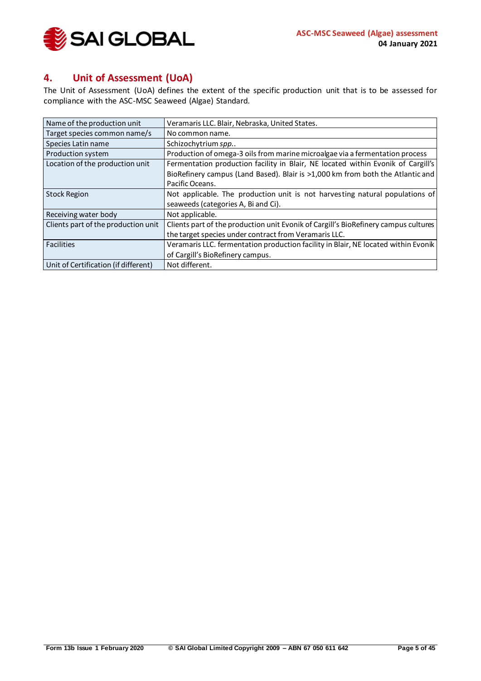

## <span id="page-4-0"></span>**4. Unit of Assessment (UoA)**

The Unit of Assessment (UoA) defines the extent of the specific production unit that is to be assessed for compliance with the ASC-MSC Seaweed (Algae) Standard.

| Name of the production unit          | Veramaris LLC. Blair, Nebraska, United States.                                      |
|--------------------------------------|-------------------------------------------------------------------------------------|
| Target species common name/s         | No common name.                                                                     |
| Species Latin name                   | Schizochytrium spp                                                                  |
| Production system                    | Production of omega-3 oils from marine microalgae via a fermentation process        |
| Location of the production unit      | Fermentation production facility in Blair, NE located within Evonik of Cargill's    |
|                                      | BioRefinery campus (Land Based). Blair is >1,000 km from both the Atlantic and      |
|                                      | Pacific Oceans.                                                                     |
| <b>Stock Region</b>                  | Not applicable. The production unit is not harvesting natural populations of        |
|                                      | seaweeds (categories A, Bi and Ci).                                                 |
| Receiving water body                 | Not applicable.                                                                     |
| Clients part of the production unit  | Clients part of the production unit Evonik of Cargill's BioRefinery campus cultures |
|                                      | the target species under contract from Veramaris LLC.                               |
| Facilities                           | Veramaris LLC. fermentation production facility in Blair, NE located within Evonik  |
|                                      | of Cargill's BioRefinery campus.                                                    |
| Unit of Certification (if different) | Not different.                                                                      |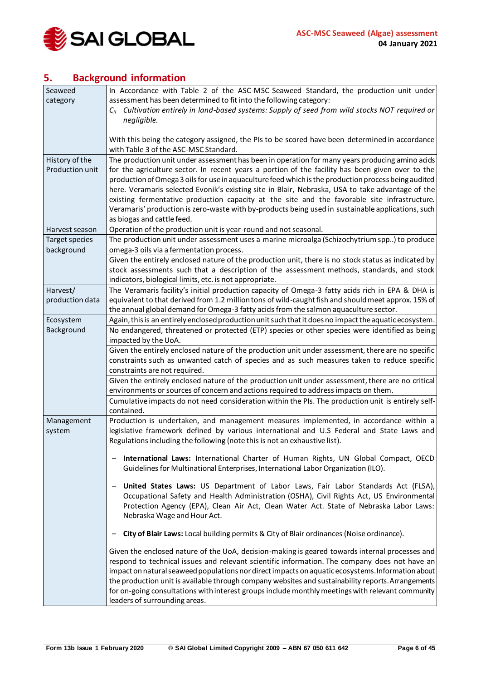

## <span id="page-5-0"></span>**5. Background information**

| Seaweed         | In Accordance with Table 2 of the ASC-MSC Seaweed Standard, the production unit under                                                   |  |  |
|-----------------|-----------------------------------------------------------------------------------------------------------------------------------------|--|--|
| category        | assessment has been determined to fit into the following category:                                                                      |  |  |
|                 | $C_{ii}$ Cultivation entirely in land-based systems: Supply of seed from wild stocks NOT required or                                    |  |  |
|                 | negligible.                                                                                                                             |  |  |
|                 |                                                                                                                                         |  |  |
|                 | With this being the category assigned, the PIs to be scored have been determined in accordance<br>with Table 3 of the ASC-MSC Standard. |  |  |
| History of the  | The production unit under assessment has been in operation for many years producing amino acids                                         |  |  |
| Production unit | for the agriculture sector. In recent years a portion of the facility has been given over to the                                        |  |  |
|                 | production of Omega 3 oils for use in aquaculture feed which is the production process being audited                                    |  |  |
|                 | here. Veramaris selected Evonik's existing site in Blair, Nebraska, USA to take advantage of the                                        |  |  |
|                 | existing fermentative production capacity at the site and the favorable site infrastructure.                                            |  |  |
|                 | Veramaris' production is zero-waste with by-products being used in sustainable applications, such                                       |  |  |
|                 | as biogas and cattle feed.                                                                                                              |  |  |
| Harvest season  | Operation of the production unit is year-round and not seasonal.                                                                        |  |  |
| Target species  | The production unit under assessment uses a marine microalga (Schizochytrium spp) to produce                                            |  |  |
| background      | omega-3 oils via a fermentation process.                                                                                                |  |  |
|                 | Given the entirely enclosed nature of the production unit, there is no stock status as indicated by                                     |  |  |
|                 | stock assessments such that a description of the assessment methods, standards, and stock                                               |  |  |
|                 | indicators, biological limits, etc. is not appropriate.                                                                                 |  |  |
| Harvest/        | The Veramaris facility's initial production capacity of Omega-3 fatty acids rich in EPA & DHA is                                        |  |  |
| production data | equivalent to that derived from 1.2 million tons of wild-caught fish and should meet approx. 15% of                                     |  |  |
|                 | the annual global demand for Omega-3 fatty acids from the salmon aquaculture sector.                                                    |  |  |
| Ecosystem       | Again, this is an entirely enclosed production unit such that it does no impact the aquatic ecosystem.                                  |  |  |
| Background      | No endangered, threatened or protected (ETP) species or other species were identified as being                                          |  |  |
|                 | impacted by the UoA.                                                                                                                    |  |  |
|                 | Given the entirely enclosed nature of the production unit under assessment, there are no specific                                       |  |  |
|                 | constraints such as unwanted catch of species and as such measures taken to reduce specific                                             |  |  |
|                 | constraints are not required.                                                                                                           |  |  |
|                 | Given the entirely enclosed nature of the production unit under assessment, there are no critical                                       |  |  |
|                 | environments or sources of concern and actions required to address impacts on them.                                                     |  |  |
|                 | Cumulative impacts do not need consideration within the PIs. The production unit is entirely self-                                      |  |  |
|                 | contained.                                                                                                                              |  |  |
| Management      | Production is undertaken, and management measures implemented, in accordance within a                                                   |  |  |
| system          | legislative framework defined by various international and U.S Federal and State Laws and                                               |  |  |
|                 | Regulations including the following (note this is not an exhaustive list).                                                              |  |  |
|                 | International Laws: International Charter of Human Rights, UN Global Compact, OECD                                                      |  |  |
|                 | Guidelines for Multinational Enterprises, International Labor Organization (ILO).                                                       |  |  |
|                 |                                                                                                                                         |  |  |
|                 | United States Laws: US Department of Labor Laws, Fair Labor Standards Act (FLSA),                                                       |  |  |
|                 | Occupational Safety and Health Administration (OSHA), Civil Rights Act, US Environmental                                                |  |  |
|                 | Protection Agency (EPA), Clean Air Act, Clean Water Act. State of Nebraska Labor Laws:                                                  |  |  |
|                 | Nebraska Wage and Hour Act.                                                                                                             |  |  |
|                 | City of Blair Laws: Local building permits & City of Blair ordinances (Noise ordinance).                                                |  |  |
|                 | Given the enclosed nature of the UoA, decision-making is geared towards internal processes and                                          |  |  |
|                 | respond to technical issues and relevant scientific information. The company does not have an                                           |  |  |
|                 | impact on natural seaweed populations nor direct impacts on aquatic ecosystems. Information about                                       |  |  |
|                 | the production unit is available through company websites and sustainability reports. Arrangements                                      |  |  |
|                 | for on-going consultations with interest groups include monthly meetings with relevant community                                        |  |  |
|                 | leaders of surrounding areas.                                                                                                           |  |  |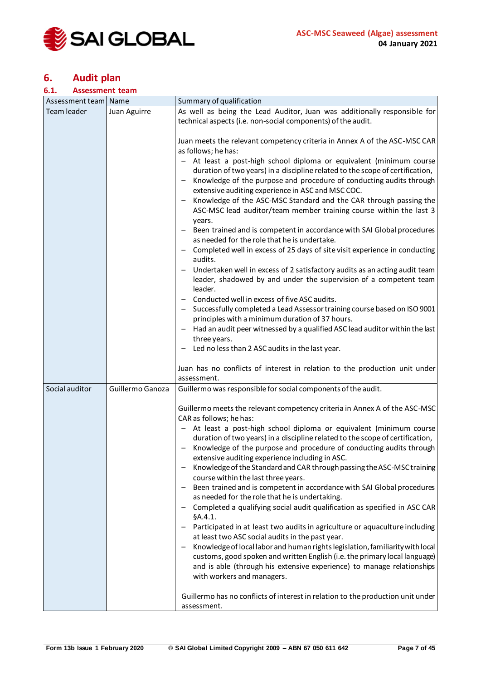

## <span id="page-6-0"></span>**6. Audit plan**

#### <span id="page-6-1"></span>**6.1. Assessment team**

| Assessment team   Name |                  | Summary of qualification                                                                                                                                                                                                                                                                                                                                                                                                                                                                                                                                                                                                                                                                                                                                                                                                                                                                                                                                                                                                                                                                                                                                                                                                                                                              |
|------------------------|------------------|---------------------------------------------------------------------------------------------------------------------------------------------------------------------------------------------------------------------------------------------------------------------------------------------------------------------------------------------------------------------------------------------------------------------------------------------------------------------------------------------------------------------------------------------------------------------------------------------------------------------------------------------------------------------------------------------------------------------------------------------------------------------------------------------------------------------------------------------------------------------------------------------------------------------------------------------------------------------------------------------------------------------------------------------------------------------------------------------------------------------------------------------------------------------------------------------------------------------------------------------------------------------------------------|
| Team leader            | Juan Aguirre     | As well as being the Lead Auditor, Juan was additionally responsible for<br>technical aspects (i.e. non-social components) of the audit.                                                                                                                                                                                                                                                                                                                                                                                                                                                                                                                                                                                                                                                                                                                                                                                                                                                                                                                                                                                                                                                                                                                                              |
|                        |                  | Juan meets the relevant competency criteria in Annex A of the ASC-MSC CAR<br>as follows; he has:<br>- At least a post-high school diploma or equivalent (minimum course<br>duration of two years) in a discipline related to the scope of certification,<br>Knowledge of the purpose and procedure of conducting audits through<br>-<br>extensive auditing experience in ASC and MSC COC.<br>Knowledge of the ASC-MSC Standard and the CAR through passing the<br>$\qquad \qquad -$<br>ASC-MSC lead auditor/team member training course within the last 3<br>years.<br>Been trained and is competent in accordance with SAI Global procedures<br>as needed for the role that he is undertake.<br>Completed well in excess of 25 days of site visit experience in conducting<br>audits.<br>Undertaken well in excess of 2 satisfactory audits as an acting audit team<br>leader, shadowed by and under the supervision of a competent team<br>leader.<br>Conducted well in excess of five ASC audits.<br>Successfully completed a Lead Assessor training course based on ISO 9001<br>principles with a minimum duration of 37 hours.<br>Had an audit peer witnessed by a qualified ASC lead auditor within the last<br>three years.<br>Led no less than 2 ASC audits in the last year. |
|                        |                  | Juan has no conflicts of interest in relation to the production unit under<br>assessment.                                                                                                                                                                                                                                                                                                                                                                                                                                                                                                                                                                                                                                                                                                                                                                                                                                                                                                                                                                                                                                                                                                                                                                                             |
| Social auditor         | Guillermo Ganoza | Guillermo was responsible for social components of the audit.                                                                                                                                                                                                                                                                                                                                                                                                                                                                                                                                                                                                                                                                                                                                                                                                                                                                                                                                                                                                                                                                                                                                                                                                                         |
|                        |                  | Guillermo meets the relevant competency criteria in Annex A of the ASC-MSC<br>CAR as follows; he has:<br>- At least a post-high school diploma or equivalent (minimum course<br>duration of two years) in a discipline related to the scope of certification,<br>Knowledge of the purpose and procedure of conducting audits through<br>$\qquad \qquad -$<br>extensive auditing experience including in ASC.<br>Knowledge of the Standard and CAR through passing the ASC-MSC training<br>course within the last three years.<br>Been trained and is competent in accordance with SAI Global procedures<br>as needed for the role that he is undertaking.<br>Completed a qualifying social audit qualification as specified in ASC CAR<br>§A.4.1.<br>Participated in at least two audits in agriculture or aquaculture including<br>at least two ASC social audits in the past year.<br>Knowledge of local labor and human rights legislation, familiarity with local<br>customs, good spoken and written English (i.e. the primary local language)<br>and is able (through his extensive experience) to manage relationships<br>with workers and managers.<br>Guillermo has no conflicts of interest in relation to the production unit under<br>assessment.                         |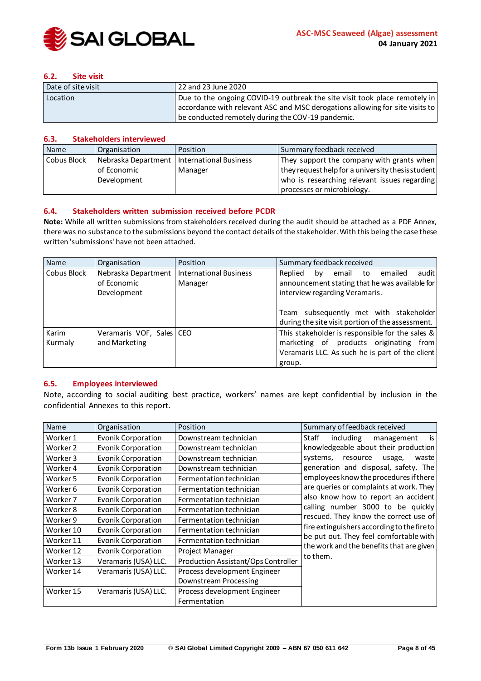

#### <span id="page-7-0"></span>**6.2. Site visit**

| Date of site visit | 22 and 23 June 2020                                                          |
|--------------------|------------------------------------------------------------------------------|
| Location           | Due to the ongoing COVID-19 outbreak the site visit took place remotely in   |
|                    | accordance with relevant ASC and MSC derogations allowing for site visits to |
|                    | be conducted remotely during the COV-19 pandemic.                            |

#### <span id="page-7-1"></span>**6.3. Stakeholders interviewed**

| Name        | Organisation        | Position                      | Summary feedback received                         |
|-------------|---------------------|-------------------------------|---------------------------------------------------|
| Cobus Block | Nebraska Department | <b>International Business</b> | They support the company with grants when         |
|             | of Economic         | Manager                       | they request help for a university thesis student |
|             | Development         |                               | who is researching relevant issues regarding      |
|             |                     |                               | processes or microbiology.                        |

#### <span id="page-7-2"></span>**6.4. Stakeholders written submission received before PCDR**

**Note:** While all written submissions from stakeholders received during the audit should be attached as a PDF Annex, there was no substance to the submissions beyond the contact details of the stakeholder. With this being the case these written 'submissions' have not been attached.

| Name             | Organisation                                      | Position                                 | Summary feedback received                                                                                                                                                                                                       |
|------------------|---------------------------------------------------|------------------------------------------|---------------------------------------------------------------------------------------------------------------------------------------------------------------------------------------------------------------------------------|
| Cobus Block      | Nebraska Department<br>of Economic<br>Development | <b>International Business</b><br>Manager | emailed<br>audit<br>Replied<br>email to<br>by<br>announcement stating that he was available for<br>interview regarding Veramaris.<br>Team subsequently met with stakeholder<br>during the site visit portion of the assessment. |
| Karim<br>Kurmaly | Veramaris VOF, Sales   CEO<br>and Marketing       |                                          | This stakeholder is responsible for the sales &<br>marketing of products originating from<br>Veramaris LLC. As such he is part of the client<br>group.                                                                          |

#### <span id="page-7-3"></span>**6.5. Employees interviewed**

Note, according to social auditing best practice, workers' names are kept confidential by inclusion in the confidential Annexes to this report.

| Name      | Organisation              | Position                            | Summary of feedback received                |
|-----------|---------------------------|-------------------------------------|---------------------------------------------|
| Worker 1  | <b>Evonik Corporation</b> | Downstream technician               | is<br>Staff<br>including<br>management      |
| Worker 2  | Evonik Corporation        | Downstream technician               | knowledgeable about their production        |
| Worker 3  | Evonik Corporation        | Downstream technician               | systems,<br>resource<br>usage,<br>waste     |
| Worker 4  | Evonik Corporation        | Downstream technician               | generation and disposal, safety. The        |
| Worker 5  | <b>Evonik Corporation</b> | Fermentation technician             | employees know the procedures if there      |
| Worker 6  | Evonik Corporation        | Fermentation technician             | are queries or complaints at work. They     |
| Worker 7  | Evonik Corporation        | Fermentation technician             | also know how to report an accident         |
| Worker 8  | Evonik Corporation        | Fermentation technician             | calling number 3000 to be quickly           |
| Worker 9  | Evonik Corporation        | Fermentation technician             | rescued. They know the correct use of       |
| Worker 10 | <b>Evonik Corporation</b> | Fermentation technician             | fire extinguishers according to the fire to |
| Worker 11 | Evonik Corporation        | Fermentation technician             | be put out. They feel comfortable with      |
| Worker 12 | <b>Evonik Corporation</b> | Project Manager                     | the work and the benefits that are given    |
| Worker 13 | Veramaris (USA) LLC.      | Production Assistant/Ops Controller | to them.                                    |
| Worker 14 | Veramaris (USA) LLC.      | Process development Engineer        |                                             |
|           |                           | Downstream Processing               |                                             |
| Worker 15 | Veramaris (USA) LLC.      | Process development Engineer        |                                             |
|           |                           | Fermentation                        |                                             |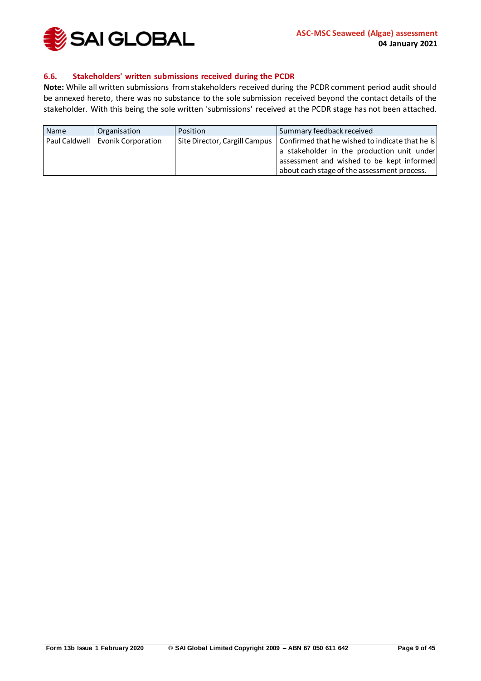

#### <span id="page-8-0"></span>**6.6. Stakeholders' written submissions received during the PCDR**

**Note:** While all written submissions from stakeholders received during the PCDR comment period audit should be annexed hereto, there was no substance to the sole submission received beyond the contact details of the stakeholder. With this being the sole written 'submissions' received at the PCDR stage has not been attached.

| Name | Organisation                       | Position | Summary feedback received                                                                                                                                                                                                 |
|------|------------------------------------|----------|---------------------------------------------------------------------------------------------------------------------------------------------------------------------------------------------------------------------------|
|      | Paul Caldwell   Evonik Corporation |          | Site Director, Cargill Campus   Confirmed that he wished to indicate that he is<br>a stakeholder in the production unit under<br>assessment and wished to be kept informed<br>about each stage of the assessment process. |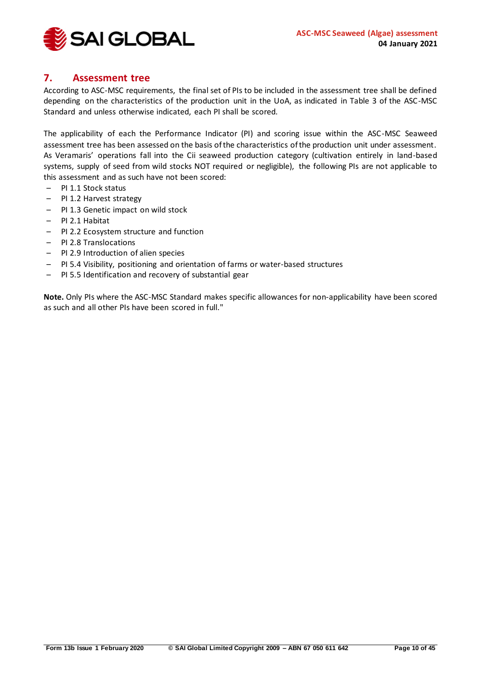

## <span id="page-9-0"></span>**7. Assessment tree**

According to ASC-MSC requirements, the final set of PIs to be included in the assessment tree shall be defined depending on the characteristics of the production unit in the UoA, as indicated in Table 3 of the ASC-MSC Standard and unless otherwise indicated, each PI shall be scored.

The applicability of each the Performance Indicator (PI) and scoring issue within the ASC-MSC Seaweed assessment tree has been assessed on the basis of the characteristics of the production unit under assessment. As Veramaris' operations fall into the Cii seaweed production category (cultivation entirely in land-based systems, supply of seed from wild stocks NOT required or negligible), the following PIs are not applicable to this assessment and as such have not been scored:

- PI 1.1 Stock status
- PI 1.2 Harvest strategy
- PI 1.3 Genetic impact on wild stock
- PI 2.1 Habitat
- PI 2.2 Ecosystem structure and function
- PI 2.8 Translocations
- PI 2.9 Introduction of alien species
- PI 5.4 Visibility, positioning and orientation of farms or water-based structures
- PI 5.5 Identification and recovery of substantial gear

**Note.** Only PIs where the ASC-MSC Standard makes specific allowances for non-applicability have been scored as such and all other PIs have been scored in full."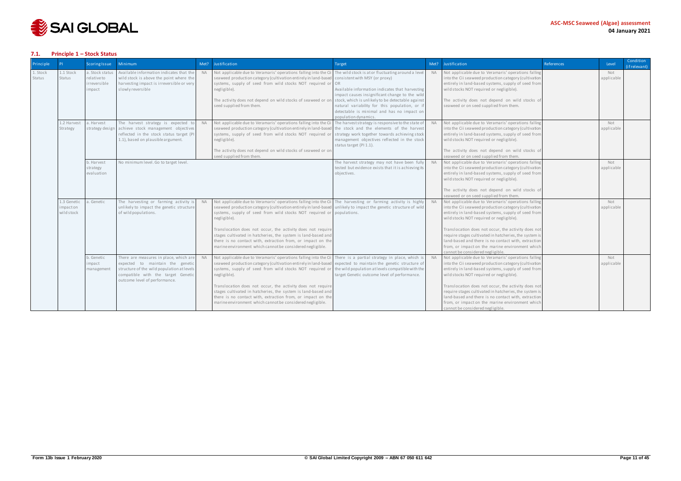

#### <span id="page-10-0"></span>**7.1. Principle 1 – Stock Status**

| Principle          |                                      | <b>Scoring Issue</b>                                    | <b>Minimum</b>                                                                                                                                                                                  |           | Met? Justification                                                                                                                                                                                                                                                                                                                                                                                                                                                                                                                                                                        | Target                                                                                                                                                                                                                                                                                                                                                                      | Met?      | Justification                                                                                                                                                                                                                                                                                                                                                                                                                                                                  | References | Level             | Condition<br>(if relevant) |
|--------------------|--------------------------------------|---------------------------------------------------------|-------------------------------------------------------------------------------------------------------------------------------------------------------------------------------------------------|-----------|-------------------------------------------------------------------------------------------------------------------------------------------------------------------------------------------------------------------------------------------------------------------------------------------------------------------------------------------------------------------------------------------------------------------------------------------------------------------------------------------------------------------------------------------------------------------------------------------|-----------------------------------------------------------------------------------------------------------------------------------------------------------------------------------------------------------------------------------------------------------------------------------------------------------------------------------------------------------------------------|-----------|--------------------------------------------------------------------------------------------------------------------------------------------------------------------------------------------------------------------------------------------------------------------------------------------------------------------------------------------------------------------------------------------------------------------------------------------------------------------------------|------------|-------------------|----------------------------|
| 1. Stock<br>Status | 1.1 Stock<br>Status                  | a. Stock status<br>relativeto<br>irreversible<br>impact | Available information indicates that the<br>wild stock is above the point where the<br>harvesting impact is irreversible or very<br>slowly reversible                                           | <b>NA</b> | Not applicable due to Veramaris' operations falling into the Ci<br>seaweed production category (cultivation entirely in land-based<br>systems, supply of seed from wild stocks NOT required or<br>negligible).<br>The activity does not depend on wild stocks of seaweed or on<br>seed supplied from them.                                                                                                                                                                                                                                                                                | The wild stock is at or fluctuating around a leve<br>consistent with MSY (or proxy)<br>OR<br>Available information indicates that harvesting<br>impact causes insignificant change to the wild<br>stock, which is unlikely to be detectable against<br>natural variability for this population, or if<br>detectable is minimal and has no impact on<br>population dynamics. | <b>NA</b> | Not applicable due to Veramaris' operations falling<br>into the Cii seaweed production category (cultivation<br>entirely in land-based systems, supply of seed from<br>wild stocks NOT required or negligible).<br>The activity does not depend on wild stocks of<br>seaweed or on seed supplied from them.                                                                                                                                                                    |            | Not<br>applicable |                            |
|                    | 1.2 Harvest<br>Strategy              | a. Harvest<br>strategy design                           | The harvest strategy is expected to<br>achieve stock management objectives<br>reflected in the stock status target (PI<br>1.1), based on plausible argument.                                    | <b>NA</b> | Not applicable due to Veramaris' operations falling into the Cil<br>seaweed production category (cultivation entirely in land-based<br>systems, supply of seed from wild stocks NOT required of<br>negligible).<br>The activity does not depend on wild stocks of seaweed or on<br>seed supplied from them.                                                                                                                                                                                                                                                                               | The harvest strategy is responsive to the state of<br>the stock and the elements of the harvest<br>strategy work together towards achieving stock<br>management objectives reflected in the stock<br>status target (PI 1.1).                                                                                                                                                | <b>NA</b> | Not applicable due to Veramaris' operations falling<br>into the Cii seaweed production category (cultivation<br>entirely in land-based systems, supply of seed from<br>wild stocks NOT required or negligible).<br>The activity does not depend on wild stocks of<br>seaweed or on seed supplied from them.                                                                                                                                                                    |            | Not<br>applicable |                            |
|                    |                                      | b. Harvest<br>strategy<br>evaluation                    | No minimum level. Go to target level.                                                                                                                                                           |           |                                                                                                                                                                                                                                                                                                                                                                                                                                                                                                                                                                                           | The harvest strategy may not have been fully<br>tested but evidence exists that it is achieving its<br>objectives.                                                                                                                                                                                                                                                          | <b>NA</b> | Not applicable due to Veramaris' operations falling<br>into the Cii seaweed production category (cultivation<br>entirely in land-based systems, supply of seed from<br>wild stocks NOT required or negligible).<br>The activity does not depend on wild stocks of<br>seaweed or on seed supplied from them.                                                                                                                                                                    |            | Not<br>applicable |                            |
|                    | 1.3 Genetic<br>mpacton<br>wild stock | a. Genetic                                              | The harvesting or farming activity is<br>unlikely to impact the genetic structure<br>of wild populations.                                                                                       | <b>NA</b> | Not applicable due to Veramaris' operations falling into the Cil The harvesting or farming activity is highly NA<br>seaweed production category (cultivation entirely in land-based unlikely to impact the genetic structure of wild<br>systems, supply of seed from wild stocks NOT required or populations.<br>negligible).<br>Translocation does not occur, the activity does not require<br>stages cultivated in hatcheries, the system is land-based and<br>there is no contact with, extraction from, or impact on the<br>marine environment which cannot be considered negligible. |                                                                                                                                                                                                                                                                                                                                                                             |           | Not applicable due to Veramaris' operations falling<br>into the Cii seaweed production category (cultivation<br>entirely in land-based systems, supply of seed from<br>wild stocks NOT required or negligible).<br>Translocation does not occur, the activity does not<br>require stages cultivated in hatcheries, the system is<br>land-based and there is no contact with, extraction<br>from, or impact on the marine environment which<br>cannot be considered negligible. |            | Not<br>applicable |                            |
|                    |                                      | b. Genetic<br>impact<br>management                      | There are measures in place, which are<br>expected to maintain the genetic<br>structure of the wild population at levels<br>compatible with the target Genetic<br>outcome level of performance. | <b>NA</b> | Not applicable due to Veramaris' operations falling into the Cil There is a partial strategy in place, which is<br>seaweed production category (cultivation entirely in land-based<br>systems, supply of seed from wild stocks NOT required or<br>negligible).<br>Translocation does not occur, the activity does not require<br>stages cultivated in hatcheries, the system is land-based and<br>there is no contact with, extraction from, or impact on the<br>marine environment which cannot be considered negligible.                                                                | expected to maintain the genetic structure of<br>the wild population at levels compatible with the<br>target Genetic outcome level of performance.                                                                                                                                                                                                                          | <b>NA</b> | Not applicable due to Veramaris' operations falling<br>into the Cii seaweed production category (cultivation<br>entirely in land-based systems, supply of seed from<br>wild stocks NOT required or negligible).<br>Translocation does not occur, the activity does not<br>require stages cultivated in hatcheries, the system is<br>land-based and there is no contact with, extraction<br>from, or impact on the marine environment which<br>cannot be considered negligible. |            | Not<br>applicable |                            |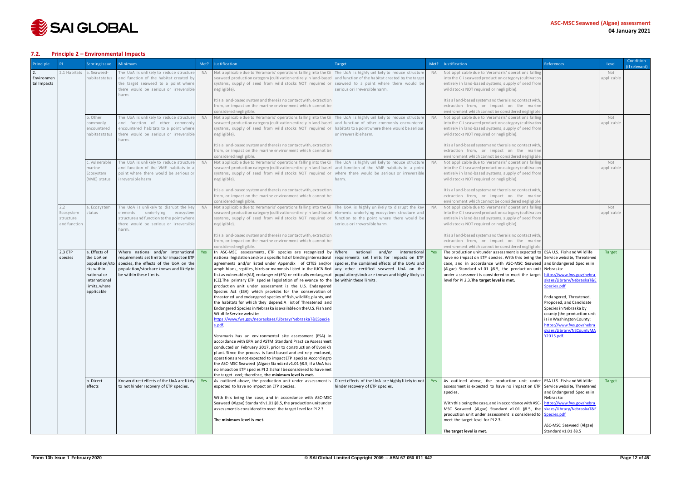

#### <span id="page-11-0"></span>**7.2. Principle 2 – Environmental Impacts**

| <b>Principle</b>          |                                               | <b>Scoring Issue</b>                                                                                                                    | <b>Minimum</b>                                                                                                                                                                                                                                      | Met?      | Justification                                                                                                                                                                                                                                                                                                                                                                                                                                                                                                                                                                                                                                                                                                                                                                                                                                                                                                                                                                                                                                                                                                                                                                                                                                                                                                                                                                                                                                                                                                                                                                                                                                                  | Target                                                                                                                                                                          | Met?       | Justification                                                                                                                                                                                                                                                                                                                                                                                                                                                                                                              | <b>References</b>                                                                                                                                                                                                                                          | Level                   | Condition<br>(if relevant) |
|---------------------------|-----------------------------------------------|-----------------------------------------------------------------------------------------------------------------------------------------|-----------------------------------------------------------------------------------------------------------------------------------------------------------------------------------------------------------------------------------------------------|-----------|----------------------------------------------------------------------------------------------------------------------------------------------------------------------------------------------------------------------------------------------------------------------------------------------------------------------------------------------------------------------------------------------------------------------------------------------------------------------------------------------------------------------------------------------------------------------------------------------------------------------------------------------------------------------------------------------------------------------------------------------------------------------------------------------------------------------------------------------------------------------------------------------------------------------------------------------------------------------------------------------------------------------------------------------------------------------------------------------------------------------------------------------------------------------------------------------------------------------------------------------------------------------------------------------------------------------------------------------------------------------------------------------------------------------------------------------------------------------------------------------------------------------------------------------------------------------------------------------------------------------------------------------------------------|---------------------------------------------------------------------------------------------------------------------------------------------------------------------------------|------------|----------------------------------------------------------------------------------------------------------------------------------------------------------------------------------------------------------------------------------------------------------------------------------------------------------------------------------------------------------------------------------------------------------------------------------------------------------------------------------------------------------------------------|------------------------------------------------------------------------------------------------------------------------------------------------------------------------------------------------------------------------------------------------------------|-------------------------|----------------------------|
| Environmen<br>tal Impacts | 2.1 Habitats                                  | a. Seaweed-<br>ha bi ta t s ta tus                                                                                                      | The UoA is unlikely to reduce structure<br>and function of the habitat created by<br>the target seaweed to a point where<br>there would be serious or irreversible<br>harm.                                                                         | <b>NA</b> | Not applicable due to Veramaris' operations falling into the Cil<br>seaweed production category (cultivation entirely in land-based<br>systems, supply of seed from wild stocks NOT required or<br>negligible).<br>It is a land-based system and there is no contact with, extraction                                                                                                                                                                                                                                                                                                                                                                                                                                                                                                                                                                                                                                                                                                                                                                                                                                                                                                                                                                                                                                                                                                                                                                                                                                                                                                                                                                          | The UoA is highly unlikely to reduce structure<br>and function of the habitat created by the target<br>seaweed to a point where there would be<br>serious or irreversible harm. | <b>NA</b>  | Not applicable due to Veramaris' operations falling<br>into the Cii seaweed production category (cultivation<br>entirely in land-based systems, supply of seed from<br>wild stocks NOT required or negligible).<br>It is a land-based system and there is no contact with,                                                                                                                                                                                                                                                 |                                                                                                                                                                                                                                                            | Not<br>applicable       |                            |
|                           |                                               |                                                                                                                                         |                                                                                                                                                                                                                                                     |           | from, or impact on the marine environment which cannot be<br>considered negligible.                                                                                                                                                                                                                                                                                                                                                                                                                                                                                                                                                                                                                                                                                                                                                                                                                                                                                                                                                                                                                                                                                                                                                                                                                                                                                                                                                                                                                                                                                                                                                                            |                                                                                                                                                                                 |            | extraction from, or impact on the marine<br>environment which cannot be considered negligible                                                                                                                                                                                                                                                                                                                                                                                                                              |                                                                                                                                                                                                                                                            |                         |                            |
|                           |                                               | b. Other<br>commonly<br>encountered<br>ha bi ta t s ta tus                                                                              | The UoA is unlikely to reduce structure<br>and function of other commonly<br>encountered habitats to a point where<br>there would be serious or irreversible<br>harm.                                                                               | <b>NA</b> | Not applicable due to Veramaris' operations falling into the Cii The UoA is highly unlikely to reduce structure<br>seaweed production category (cultivation entirely in land-based<br>systems, supply of seed from wild stocks NOT required or<br>negligible).                                                                                                                                                                                                                                                                                                                                                                                                                                                                                                                                                                                                                                                                                                                                                                                                                                                                                                                                                                                                                                                                                                                                                                                                                                                                                                                                                                                                 | and function of other commonly encountered<br>habitats to a point where there would be serious<br>or irreversible harm.                                                         | <b>NA</b>  | Not applicable due to Veramaris' operations falling<br>into the Cii seaweed production category (cultivation<br>entirely in land-based systems, supply of seed from<br>wild stocks NOT required or negligible).                                                                                                                                                                                                                                                                                                            |                                                                                                                                                                                                                                                            | Not<br>applicable       |                            |
|                           |                                               |                                                                                                                                         |                                                                                                                                                                                                                                                     |           | It is a land-based system and there is no contact with, extraction<br>from, or impact on the marine environment which cannot be<br>considered negligible.                                                                                                                                                                                                                                                                                                                                                                                                                                                                                                                                                                                                                                                                                                                                                                                                                                                                                                                                                                                                                                                                                                                                                                                                                                                                                                                                                                                                                                                                                                      |                                                                                                                                                                                 |            | It is a land-based system and there is no contact with,<br>extraction from, or impact on the marine<br>environment which cannot be considered negligible                                                                                                                                                                                                                                                                                                                                                                   |                                                                                                                                                                                                                                                            |                         |                            |
|                           |                                               | .Wulnerable<br>marine<br>Ecosystem<br>(VME) status                                                                                      | The UoA is unlikely to reduce structure<br>and function of the VME habitats to a<br>point where there would be serious or<br>irreversible harm                                                                                                      | <b>NA</b> | Not applicable due to Veramaris' operations falling into the Cii<br>seaweed production category (cultivation entirely in land-based<br>systems, supply of seed from wild stocks NOT required or<br>negligible).                                                                                                                                                                                                                                                                                                                                                                                                                                                                                                                                                                                                                                                                                                                                                                                                                                                                                                                                                                                                                                                                                                                                                                                                                                                                                                                                                                                                                                                | The UoA is highly unlikely to reduce structure<br>and function of the VME habitats to a point<br>where there would be serious or irreversible<br>harm.                          | <b>NA</b>  | Not applicable due to Veramaris' operations falling<br>into the Cii seaweed production category (cultivation<br>entirely in land-based systems, supply of seed from<br>wild stocks NOT required or negligible).                                                                                                                                                                                                                                                                                                            |                                                                                                                                                                                                                                                            | Not<br>applicable       |                            |
|                           |                                               |                                                                                                                                         |                                                                                                                                                                                                                                                     |           | It is a land-based system and there is no contact with, extraction<br>from, or impact on the marine environment which cannot be<br>considered negligible.                                                                                                                                                                                                                                                                                                                                                                                                                                                                                                                                                                                                                                                                                                                                                                                                                                                                                                                                                                                                                                                                                                                                                                                                                                                                                                                                                                                                                                                                                                      |                                                                                                                                                                                 |            | It is a land-based system and there is no contact with,<br>extraction from, or impact on the marine<br>environment which cannot be considered negligible                                                                                                                                                                                                                                                                                                                                                                   |                                                                                                                                                                                                                                                            |                         |                            |
|                           | 2.2<br>Ecosystem<br>structure<br>and functior | a. Ecosystem<br>status                                                                                                                  | The UoA is unlikely to disrupt the key<br>elements underlying ecosystem<br>structure and function to the point where<br>there would be serious or irreversible<br>harm.                                                                             | <b>NA</b> | Not applicable due to Veramaris' operations falling into the Cil The UoA is highly unlikely to disrupt the key<br>seaweed production category (cultivation entirely in land-based elements underlying ecosystem structure and<br>systems, supply of seed from wild stocks NOT required or<br>negligible).                                                                                                                                                                                                                                                                                                                                                                                                                                                                                                                                                                                                                                                                                                                                                                                                                                                                                                                                                                                                                                                                                                                                                                                                                                                                                                                                                      | function to the point where there would be<br>serious or irreversible harm.                                                                                                     | <b>NA</b>  | Not applicable due to Veramaris' operations falling<br>into the Cii seaweed production category (cultivation<br>entirely in land-based systems, supply of seed from<br>wild stocks NOT required or negligible).                                                                                                                                                                                                                                                                                                            |                                                                                                                                                                                                                                                            | Not<br>applicable       |                            |
|                           |                                               |                                                                                                                                         |                                                                                                                                                                                                                                                     |           | It is a land-based system and there is no contact with, extraction<br>from, or impact on the marine environment which cannot be<br>considered negligible.                                                                                                                                                                                                                                                                                                                                                                                                                                                                                                                                                                                                                                                                                                                                                                                                                                                                                                                                                                                                                                                                                                                                                                                                                                                                                                                                                                                                                                                                                                      |                                                                                                                                                                                 |            | It is a land-based system and there is no contact with,<br>extraction from, or impact on the marine<br>environment which cannot be considered negligible                                                                                                                                                                                                                                                                                                                                                                   |                                                                                                                                                                                                                                                            |                         |                            |
|                           | 2.3 ETP<br>s peci es                          | a. Effects of<br>the UoA on<br>population/sto<br>cks within<br>national or<br>international<br>limits, where<br>applicable<br>b. Direct | Where national and/or international<br>requirements set limits for impact on ETP<br>species, the effects of the UoA on the<br>population/stock are known and likely to<br>be within these limits.<br>Known direct effects of the UoA are likely Yes | Yes       | In ASC-MSC assessments, ETP species are recognized by Where national and/or<br>national legislation and/or a specific list of binding international requirements set limits for impacts on ETP<br>agreements and/or listed under Appendix I of CITES and/or species, the combined effects of the UoAs and<br>amphibians, reptiles, birds or mammals listed in the IUCN Red any other certified seaweed UoA on the<br>list as vulnerable (VU), endangered (EN) or critically endangered   population/stock are known and highly likely to<br>$(CE)$ . The primary ETP species legislation of relevance to the be within these limits.<br>production unit under assessment is the U.S. Endangered<br>Species Act (ESA) which provides for the conservation of<br>threatened and endangered species of fish, wildlife, plants, and<br>the habitats for which they depend.A list of Threatened and<br>Endangered Species in Nebraska is available on the U.S. Fish and<br>Wildlife Service website:<br>https://www.fws.gov/nebraskaes/Library/NebraskaT&ESpecie<br>s.pdf.<br>Veramaris has an environmental site assessment (ESA) in<br>accordance with EPA and ASTM Standard Practice Assessment<br>conducted on February 2017, prior to construction of Evonik's<br>plant. Since the process is land based and entirely enclosed,<br>operations are not expected to impact ETP species. According to<br>the ASC-MSC Seaweed (Algae) Standard v1.01 §8.5, if a UoA has<br>no impact on ETP species PI 2.3 shall be considered to have met<br>the target level; therefore, the minimum level is met.<br>As outlined above, the production unit under assessment is | international<br>Direct effects of the UoA are highly likely to not                                                                                                             | Yes<br>Yes | The production unit under assessment is expected to $\vert$ ESA U.S. Fish and Wildlife<br>have no impact on ETP species. With this being the Service website, Threatened<br>case, and in accordance with ASC-MSC Seaweed and Endangered Species in<br>(Algae) Standard v1.01 §8.5, the production unit Nebraska:<br>under assessment is considered to meet the target   https://www.fws.gov/nebra<br>level for PI 2.3. The target level is met.<br>As outlined above, the production unit under ESA U.S. Fish and Wildlife | skaes/Library/NebraskaT&E<br>Species.pdf<br>Endangered, Threatened,<br>Proposed, and Candidate<br>Species in Nebraska by<br>county (the production unit<br>is in Washington County:<br>https://www.fws.gov/nebra<br>skaes/Library/NECountyMA<br>Y2015.pdf. | <b>Target</b><br>Target |                            |
|                           |                                               | effects                                                                                                                                 | to not hinder recovery of ETP species.                                                                                                                                                                                                              |           | expected to have no impact on ETP species.<br>With this being the case, and in accordance with ASC-MSC<br>Seaweed (Algae) Standard v1.01 §8.5, the production unit under<br>assessment is considered to meet the target level for PI 2.3.                                                                                                                                                                                                                                                                                                                                                                                                                                                                                                                                                                                                                                                                                                                                                                                                                                                                                                                                                                                                                                                                                                                                                                                                                                                                                                                                                                                                                      | hinder recovery of ETP species.                                                                                                                                                 |            | assessment is expected to have no impact on ETP   Service website, Threatened<br>species.<br>With this being the case, and in accordance with ASC-   https://www.fws.gov/nebra<br>MSC Seaweed (Algae) Standard v1.01 §8.5, the skaes/Library/NebraskaT&E<br>production unit under assessment is considered to Species.pdf                                                                                                                                                                                                  | and Endangered Species in<br>Nebraska:                                                                                                                                                                                                                     |                         |                            |
|                           |                                               |                                                                                                                                         |                                                                                                                                                                                                                                                     |           | The minimum level is met.                                                                                                                                                                                                                                                                                                                                                                                                                                                                                                                                                                                                                                                                                                                                                                                                                                                                                                                                                                                                                                                                                                                                                                                                                                                                                                                                                                                                                                                                                                                                                                                                                                      |                                                                                                                                                                                 |            | meet the target level for PI 2.3.<br>The target level is met.                                                                                                                                                                                                                                                                                                                                                                                                                                                              | ASC-MSC Seaweed (Algae)<br>Standard v1.01 §8.5                                                                                                                                                                                                             |                         |                            |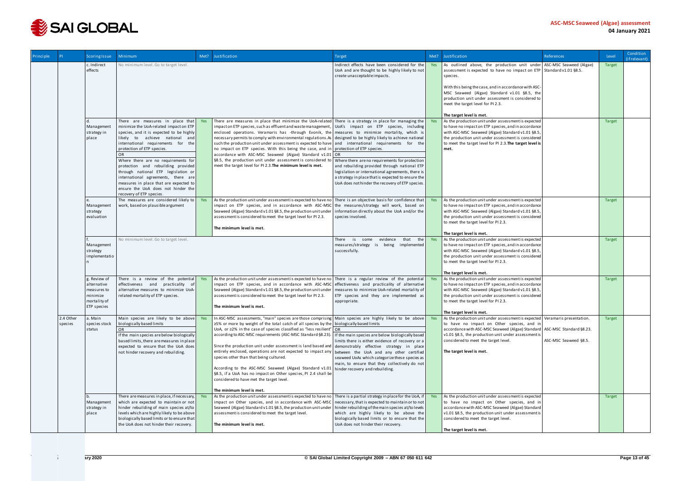

| Principle |                      | <b>Scoring Issue</b>        | Minimum                                                                                 | Met? | Justification                                                                                                                                                                                                          | Target                                                                                                                          | Met? | Justification                                                                                                                                                                                   | <b>References</b>     | Level         | Condition<br>(if relevant) |
|-----------|----------------------|-----------------------------|-----------------------------------------------------------------------------------------|------|------------------------------------------------------------------------------------------------------------------------------------------------------------------------------------------------------------------------|---------------------------------------------------------------------------------------------------------------------------------|------|-------------------------------------------------------------------------------------------------------------------------------------------------------------------------------------------------|-----------------------|---------------|----------------------------|
|           |                      | c. Indirect<br>effects      | No minimum level. Go to target level.                                                   |      |                                                                                                                                                                                                                        | Indirect effects have been considered for the<br>UoA and are thought to be highly likely to not<br>create unacceptable impacts. | Yes  | As outlined above, the production unit under ASC-MSC Seaweed (Algae)<br>assessment is expected to have no impact on ETP Standard v1.01 $\S$ 8.5.<br>species.                                    |                       | <b>Target</b> |                            |
|           |                      |                             |                                                                                         |      |                                                                                                                                                                                                                        |                                                                                                                                 |      | With this being the case, and in accordance with ASC-<br>MSC Seaweed (Algae) Standard v1.01 §8.5, the<br>production unit under assessment is considered to<br>meet the target level for PI 2.3. |                       |               |                            |
|           |                      |                             |                                                                                         |      |                                                                                                                                                                                                                        |                                                                                                                                 |      | The target level is met.                                                                                                                                                                        |                       |               |                            |
|           |                      |                             | There are measures in place that Yes                                                    |      | There are measures in place that minimize the UoA-related There is a strategy in place for managing the                                                                                                                |                                                                                                                                 | Yes  | As the production unit under assessment is expected                                                                                                                                             |                       | <b>Target</b> |                            |
|           |                      | Management<br>strategy in   | minimize the UoA-related impact on ETP<br>species, and it is expected to be highly      |      | impact on ETP species, such as effluent and waste management,<br>enclosed operations. Veramaris has -through Evonik, the measures to minimize mortality, which is                                                      | UoA's impact on ETP species, including                                                                                          |      | to have no impact on ETP species, and in accordance<br>with ASC-MSC Seaweed (Algae) Standard v1.01 §8.5,                                                                                        |                       |               |                            |
|           |                      | place                       | likely to achieve national and<br>international requirements for the                    |      | necessary permits to comply with environmental regulations.As designed to be highly likely to achieve national<br>such the production unit under assessment is expected to have and international requirements for the |                                                                                                                                 |      | the production unit under assessment is considered<br>to meet the target level for PI 2.3. The target level is                                                                                  |                       |               |                            |
|           |                      |                             | protection of ETP species.                                                              |      | no impact on ETP species. With this being the case, and in protection of ETP species.                                                                                                                                  |                                                                                                                                 |      | met.                                                                                                                                                                                            |                       |               |                            |
|           |                      |                             | <b>OR</b><br>Where there are no requirements for                                        |      | accordance with ASC-MSC Seaweed (Algae) Standard v1.01 OR<br>§8.5, the production unit under assessment is considered to                                                                                               | Where there are no requirements for protection                                                                                  |      |                                                                                                                                                                                                 |                       |               |                            |
|           |                      |                             | protection and rebuilding provided                                                      |      | meet the target level for PI 2.3. The minimum level is met.                                                                                                                                                            | and rebuilding provided through national ETP                                                                                    |      |                                                                                                                                                                                                 |                       |               |                            |
|           |                      |                             | through national ETP legislation or<br>international agreements, there are              |      |                                                                                                                                                                                                                        | legislation or international agreements, there is<br>a strategy in place that is expected to ensure the                         |      |                                                                                                                                                                                                 |                       |               |                            |
|           |                      |                             | measures in place that are expected to<br>ensure the UoA does not hinder the            |      |                                                                                                                                                                                                                        | UoA does not hinder the recovery of ETP species.                                                                                |      |                                                                                                                                                                                                 |                       |               |                            |
|           |                      |                             | recovery of ETP species.<br>The measures are considered likely to                       | Yes  |                                                                                                                                                                                                                        |                                                                                                                                 |      |                                                                                                                                                                                                 |                       |               |                            |
|           |                      | Management                  | work, based on plausible argument                                                       |      | As the production unit under assessment is expected to have no<br>impact on ETP species, and in accordance with ASC-MSC                                                                                                | There is an objective basis for confidence that<br>the measures/strategy will work, based on                                    | Yes  | As the production unit under assessment is expected<br>to have no impact on ETP species, and in accordance                                                                                      |                       | Target        |                            |
|           |                      | strategy<br>evaluation      |                                                                                         |      | Seaweed (Algae) Standard v1.01 §8.5, the production unit under<br>assessment is considered to meet the target level for PI 2.3.                                                                                        | information directly about the UoA and/or the<br>species involved.                                                              |      | with ASC-MSC Seaweed (Algae) Standard v1.01 §8.5,<br>the production unit under assessment is considered                                                                                         |                       |               |                            |
|           |                      |                             |                                                                                         |      | The minimum level is met.                                                                                                                                                                                              |                                                                                                                                 |      | to meet the target level for PI 2.3.                                                                                                                                                            |                       |               |                            |
|           |                      |                             |                                                                                         |      |                                                                                                                                                                                                                        |                                                                                                                                 |      | The target level is met.                                                                                                                                                                        |                       |               |                            |
|           |                      | Management                  | No minimum level. Go to target level.                                                   |      |                                                                                                                                                                                                                        | is some<br>evidence<br>that<br>the<br>There<br>measures/strategy is being implemented                                           | Yes  | As the production unit under assessment is expected<br>to have no impact on ETP species, and in accordance                                                                                      |                       | <b>Target</b> |                            |
|           |                      | strategy<br>implementatio   |                                                                                         |      |                                                                                                                                                                                                                        | successfully.                                                                                                                   |      | with ASC-MSC Seaweed (Algae) Standard v1.01 §8.5,<br>the production unit under assessment is considered<br>to meet the target level for PI 2.3.                                                 |                       |               |                            |
|           |                      |                             |                                                                                         |      |                                                                                                                                                                                                                        |                                                                                                                                 |      | The target level is met.                                                                                                                                                                        |                       |               |                            |
|           |                      | g. Review of<br>alternative | There is a review of the potential Yes<br>effectiveness and practicality of             |      | As the production unit under assessment is expected to have no There is a regular review of the potential<br>impact on ETP species, and in accordance with ASC-MSC                                                     | effectiveness and practicality of alternative                                                                                   | Yes  | As the production unit under assessment is expected<br>to have no impact on ETP species, and in accordance                                                                                      |                       | <b>Target</b> |                            |
|           |                      | measures to                 | alternative measures to minimize UoA-                                                   |      | Seaweed (Algae) Standard v1.01 §8.5, the production unit under                                                                                                                                                         | measures to minimize UoA-related mortality of                                                                                   |      | with ASC-MSC Seaweed (Algae) Standard v1.01 §8.5,                                                                                                                                               |                       |               |                            |
|           |                      | minimize<br>mortality of    | related mortality of ETP species.                                                       |      | assessment is considered to meet the target level for PI 2.3.                                                                                                                                                          | ETP species and they are implemented as<br>appropriate.                                                                         |      | the production unit under assessment is considered<br>to meet the target level for PI 2.3.                                                                                                      |                       |               |                            |
|           |                      | ETP species                 |                                                                                         |      | The minimum level is met.                                                                                                                                                                                              |                                                                                                                                 |      | The target level is met.                                                                                                                                                                        |                       |               |                            |
|           | 2.4 Other<br>species | a. Main<br>species stock    | Main species are likely to be above Yes<br>biologically based limits                    |      | In ASC-MSC assessments, "main" species are those comprising Main species are highly likely to be above<br>$\geq$ 5% or more by weight of the total catch of all species by the biologically based limits               |                                                                                                                                 | Yes  | As the production unit under assessment is expected Veramaris presentation.<br>to have no impact on Other species, and in                                                                       |                       | Target        |                            |
|           |                      | status                      | OR                                                                                      |      | UoA, or $\geq$ 2% in the case of species classified as "less resilient" OR                                                                                                                                             |                                                                                                                                 |      | accordance with ASC-MSC Seaweed (Algae) Standard ASC-MSC Standard §8.23.                                                                                                                        |                       |               |                            |
|           |                      |                             | If the main species are below biologically<br>based limits, there are measures in place |      | according to ASC-MSC requirements (ASC-MSC Standard §8.23).   If the main species are below biologically based                                                                                                         | limits there is either evidence of recovery or a                                                                                |      | v1.01 §8.5, the production unit under assessment is<br>considered to meet the target level.                                                                                                     | ASC-MSC Seaweed §8.5. |               |                            |
|           |                      |                             | expected to ensure that the UoA does<br>not hinder recovery and rebuilding.             |      | Since the production unit under assessment is land based and demonstrably effective strategy in place<br>entirely enclosed, operations are not expected to impact any                                                  | between the UoA and any other certified                                                                                         |      | The target level is met.                                                                                                                                                                        |                       |               |                            |
|           |                      |                             |                                                                                         |      | species other than that being cultured.                                                                                                                                                                                | seaweed UoAs which categorize these species as<br>main, to ensure that they collectively do not                                 |      |                                                                                                                                                                                                 |                       |               |                            |
|           |                      |                             |                                                                                         |      | According to the ASC-MSC Seaweed (Algae) Standard v1.01<br>§8.5, if a UoA has no impact on Other species, PI 2.4 shall be<br>considered to have met the target level.                                                  | hinder recovery and rebuilding.                                                                                                 |      |                                                                                                                                                                                                 |                       |               |                            |
|           |                      |                             |                                                                                         |      | The minimum level is met.                                                                                                                                                                                              |                                                                                                                                 |      |                                                                                                                                                                                                 |                       |               |                            |
|           |                      | Management                  | There are measures in place, if necessary, Yes<br>which are expected to maintain or not |      | As the production unit under assessment is expected to have no There is a partial strategy in place for the UoA, if<br>impact on Other species, and in accordance with ASC-MSC                                         | necessary, that is expected to maintain or to not                                                                               | Yes  | As the production unit under assessment is expected<br>to have no impact on Other species, and in                                                                                               |                       | Target        |                            |
|           |                      | strategy in<br>place        | hinder rebuilding of main species at/to<br>levels which are highly likely to be above   |      | Seaweed (Algae) Standard v1.01 §8.5, the production unit under<br>assessment is considered to meet the target level.                                                                                                   | hinder rebuilding of the main species at/to levels<br>which are highly likely to be above the                                   |      | accordance with ASC-MSC Seaweed (Algae) Standard<br>v1.01 §8.5, the production unit under assessment is                                                                                         |                       |               |                            |
|           |                      |                             | biologically based limits or to ensure that<br>the UoA does not hinder their recovery.  |      |                                                                                                                                                                                                                        | biologically based limits or to ensure that the<br>UoA does not hinder their recovery.                                          |      | considered to meet the target level.                                                                                                                                                            |                       |               |                            |
|           |                      |                             |                                                                                         |      | The minimum level is met.                                                                                                                                                                                              |                                                                                                                                 |      | The target level is met.                                                                                                                                                                        |                       |               |                            |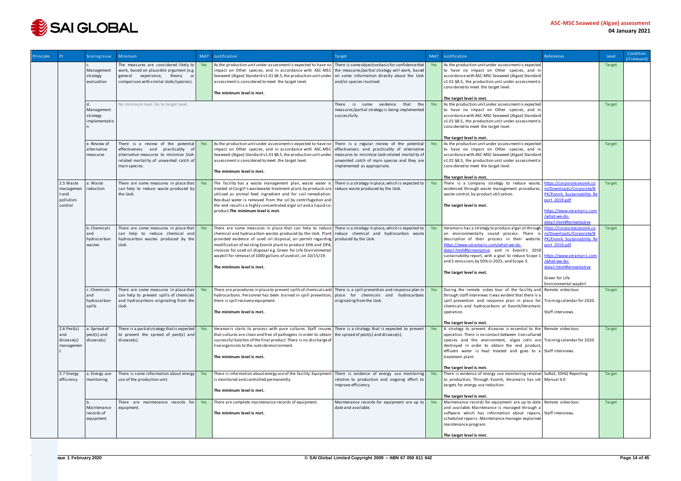

| Principle |                                                        | Scoring Issue                                | <b>Minimum</b>                                                                                                                                                              | Met? | Justification                                                                                                                                                                                                                                                                                                                                                                                                                                                                        | Target                                                                                                                                                                        | Met? | Justification                                                                                                                                                                                                                                                                                                                                                                                              | References                                                                                                                                                                                  | Level         | Condition<br>(if relevant) |
|-----------|--------------------------------------------------------|----------------------------------------------|-----------------------------------------------------------------------------------------------------------------------------------------------------------------------------|------|--------------------------------------------------------------------------------------------------------------------------------------------------------------------------------------------------------------------------------------------------------------------------------------------------------------------------------------------------------------------------------------------------------------------------------------------------------------------------------------|-------------------------------------------------------------------------------------------------------------------------------------------------------------------------------|------|------------------------------------------------------------------------------------------------------------------------------------------------------------------------------------------------------------------------------------------------------------------------------------------------------------------------------------------------------------------------------------------------------------|---------------------------------------------------------------------------------------------------------------------------------------------------------------------------------------------|---------------|----------------------------|
|           |                                                        | Management<br>strategy<br>evaluation         | The measures are considered likely to<br>work, based on plausible argument (e.g.<br>experience, theory<br>general<br>or<br>comparison with similar UoAs/species).           | Yes  | As the production unit under assessment is expected to have no<br>impact on Other species, and in accordance with ASC-MSC<br>Seaweed (Algae) Standard v1.01 §8.5, the production unit under<br>assessment is considered to meet the target level.<br>The minimum level is met.                                                                                                                                                                                                       | There is some objective basis for confidence that<br>the measures/partial strategy will work, based<br>on some information directly about the UoA<br>and/or species involved. | Yes  | As the production unit under assessment is expected<br>to have no impact on Other species, and in<br>accordance with ASC-MSC Seaweed (Algae) Standard<br>v1.01 §8.5, the production unit under assessment is<br>considered to meet the target level.<br>The target level is met.                                                                                                                           |                                                                                                                                                                                             | <b>Target</b> |                            |
|           |                                                        | Management<br>strategy<br>implementatio      | No minimum level. Go to target level.                                                                                                                                       |      |                                                                                                                                                                                                                                                                                                                                                                                                                                                                                      | evidence<br>that the<br>There<br>is some<br>measures/partial strategy is being implemented<br>successfully.                                                                   | Yes  | As the production unit under assessment is expected<br>to have no impact on Other species, and in<br>accordance with ASC-MSC Seaweed (Algae) Standard<br>v1.01 §8.5, the production unit under assessment is<br>considered to meet the target level.                                                                                                                                                       |                                                                                                                                                                                             | <b>Target</b> |                            |
|           |                                                        | e. Review of<br>alternative<br>measures      | There is a review of the potential<br>effectiveness and practicality of<br>alternative measures to minimize UoA-<br>related mortality of unwanted catch of<br>main species. | Yes  | As the production unit under assessment is expected to have no There is a regular review of the potential<br>impact on Other species, and in accordance with ASC-MSC<br>Seaweed (Algae) Standard v1.01 §8.5, the production unit under<br>assessment is considered to meet the target level.<br>The minimum level is met.                                                                                                                                                            | effectiveness and practicality of alternative<br>measures to minimize UoA-related mortality of<br>unwanted catch of main species and they are<br>implemented as appropriate.  | Yes  | The target level is met.<br>As the production unit under assessment is expected<br>to have no impact on Other species, and in<br>accordance with ASC-MSC Seaweed (Algae) Standard<br>v1.01 §8.5, the production unit under assessment is<br>considered to meet the target level.<br>The target level is met.                                                                                               |                                                                                                                                                                                             | <b>Target</b> |                            |
|           | 2.5 Waste<br>managemen<br>tand<br>pollution<br>control | a. Waste<br>reduction                        | There are some measures in place that<br>can help to reduce waste produced by<br>the UoA.                                                                                   | Yes  | The facility has a waste management plan, waste water is<br>treated at Cargill's wastewater treatment plant, by products are<br>utilized as animal feed ingredient and for soil remediation.<br>Residual water is removed from the oil by centrifugation and<br>the end result is a highly concentrated algal oil and a liquid co-<br>product. The minimum level is met.                                                                                                             | There is a strategy in place, which is expected to<br>reduce waste produced by the UoA.                                                                                       | Yes  | There is a company strategy to reduce waste<br>evidenced through waste management procedures<br>waste control, by-product utilization.<br>The target level is met.                                                                                                                                                                                                                                         | https://corporate.evonik.co<br>m/Downloads/Corporate/B<br>PK/Evonik Sustainability Re<br>port 2019.pdf<br>https://www.veramaris.com<br>/what-we-do-<br>detail.html#fermentative             | <b>Target</b> |                            |
|           |                                                        | b. Chemicals<br>and<br>hydrocarbon<br>wastes | There are some measures in place that<br>can help to reduce chemical and<br>hydrocarbon wastes produced by the<br>UoA.                                                      | Yes  | There are some measures in place that can help to reduce<br>chemical and hydrocarbon wastes produced by the UoA. Plant reduce chemical and hydrocarbon waste<br>provided evidence of used oil disposal, air permit regarding produced by the UoA.<br>modification of existing Evonik plant to produce EHA and DPA,<br>invoices for used oil disposal e.g. Green for Life Environmental<br>waybill for removal of 1000 gallons of used oil, on 10/15/19.<br>The minimum level is met. | There is a strategy in place, which is expected to                                                                                                                            | Yes  | Veramaris has a strategy to produce algal oil through<br>an environmentally sound process. There<br>description of their process in their website. PK/Evonik Sustainability Re<br>Https://www.veramaris.com/what-we-do-<br>detail.html#fermentative and in Evonik's 2019<br>sustainability report, with a goal to reduce Scope<br>and 2 emissions by 50% in 2025, and Scope 3.<br>The target level is met. | https://corporate.evonik.co<br>m/Downloads/Corporate/B<br>port 2019.pdf<br>nttps://www.veramaris.com<br>/what-we-do-<br>detail.html#fermentative<br>Green for Life<br>Environmental waybill | <b>Target</b> |                            |
|           |                                                        | c. Chemicals<br>and<br>hydrocarbon<br>spills | There are some measures in place that<br>can help to prevent spills of chemicals<br>and hydrocarbons originating from the<br>UoA.                                           | Yes  | There are procedures in place to prevent spills of chemicals and There is a spill prevention and response plan in<br>hydrocarbons. Personnel has been trained in spill prevention, place for chemicals and hydrocarbons<br>there is spill recovery equipment.<br>The minimum level is met.                                                                                                                                                                                           | originating from the UoA.                                                                                                                                                     | Yes  | During the remote video tour of the facility and Remote video tour.<br>through staff interviews it was evident that there is a<br>spill prevention and response plan in place for Training calendar for 2020.<br>chemicals and hydrocarbons at Evonik/Veramaris<br>operation.<br>The target level is met.                                                                                                  | Staff interviews.                                                                                                                                                                           | Target        |                            |
|           | $2.6$ Pest(s)<br>and<br>disease(s)<br>managemen        | a. Spread of<br>pest(s) and<br>disease(s)    | There is a partial strategy that is expected<br>to prevent the spread of pest(s) and<br>$disease(s)$ .                                                                      | Yes  | Veramaris starts its process with pure cultures. Staff insures   There is a strategy that is expected to prevent<br>that cultures are clean and free of pathogens in order to obtain<br>successful batches of the final product. There is no discharge of<br>live organisms to the outside environment.<br>The minimum level is met.                                                                                                                                                 | the spread of pest(s) and disease(s).                                                                                                                                         | Yes  | A strategy to prevent diseases is essential to the Remote video tour.<br>operation. There is no contact between live cultured<br>species and the environment, algae cells are Training calendar for 2020.<br>destroyed in order to obtain the end product,<br>effluent water is heat treated and goes to a Staffinterviews.<br>treatment plant.<br>The target level is met.                                |                                                                                                                                                                                             | Target        |                            |
|           | 2.7 Energy<br>efficiency                               | a. Energy use<br>monitoring                  | There is some information about energy<br>use of the production unit.                                                                                                       | Yes  | There is information about energy use of the facility. Equipment<br>is monitored and controlled permanently.<br>The minimum level is met.                                                                                                                                                                                                                                                                                                                                            | There is evidence of energy use monitoring<br>relative to production and ongoing effort to<br>improve efficiency.                                                             |      | There is evidence of energy use monitoring relative   SuRe2, ESHQ Reporting<br>to production, Through Evonik, Veramaris has set   Manual 4.0<br>targets for energy use reduction.<br>The target level is met.                                                                                                                                                                                              |                                                                                                                                                                                             | Target        |                            |
|           |                                                        | Maintenance<br>records of<br>equipment       | There are maintenance records for<br>equipment.                                                                                                                             | Yes  | There are complete maintenance records of equipment.<br>The minimum level is met.                                                                                                                                                                                                                                                                                                                                                                                                    | Maintenance records for equipment are up to<br>date and available.                                                                                                            | Yes  | Maintenance records for equipment are up to date   Remote video tour.<br>and available. Maintenance is managed through a<br>software which has information about repairs, Staff interviews.<br>scheduled repairs. Maintenance manager explained<br>maintenance program.<br>The target level is met.                                                                                                        |                                                                                                                                                                                             | Target        |                            |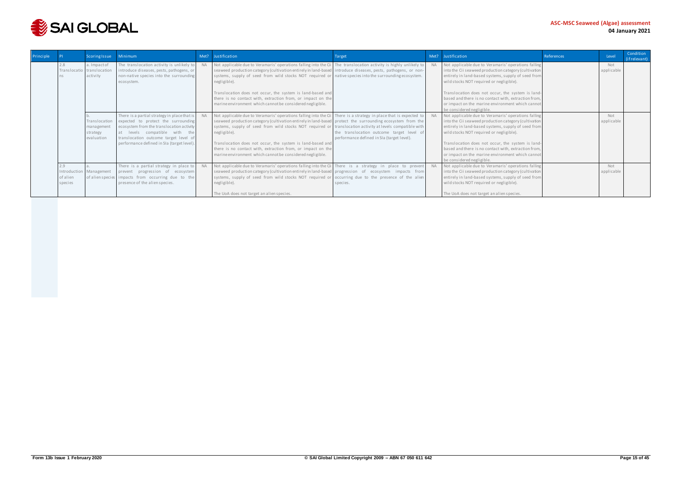

| Principle |                     | Scoring Issue                                          | Minimum                                                                                                                                                                                                                                                  | Met?      | Justification                                                                                                                                                                                                                                                                                                                                                                                                                                                                                                                                           | Target                                                                                  | Met? | Justification                                                                                                                                                                                                                                                                                                                                                                                                 | References | Level             | Condition<br>(if relevant) |
|-----------|---------------------|--------------------------------------------------------|----------------------------------------------------------------------------------------------------------------------------------------------------------------------------------------------------------------------------------------------------------|-----------|---------------------------------------------------------------------------------------------------------------------------------------------------------------------------------------------------------------------------------------------------------------------------------------------------------------------------------------------------------------------------------------------------------------------------------------------------------------------------------------------------------------------------------------------------------|-----------------------------------------------------------------------------------------|------|---------------------------------------------------------------------------------------------------------------------------------------------------------------------------------------------------------------------------------------------------------------------------------------------------------------------------------------------------------------------------------------------------------------|------------|-------------------|----------------------------|
|           |                     | a. Impact of<br>Translocatio translocation<br>activity | The translocation activity is unlikely to<br>introduce diseases, pests, pathogens, or<br>non-native species into the surrounding<br>ecosystem.                                                                                                           | <b>NA</b> | Not applicable due to Veramaris' operations falling into the Cii The translocation activity is highly unlikely to<br>seaweed production category (cultivation entirely in land-based introduce diseases, pests, pathogens, or non-<br>systems, supply of seed from wild stocks NOT required or native species into the surrounding ecosystem.<br>negligible).<br>Translocation does not occur, the system is land-based and<br>there is no contact with, extraction from, or impact on the<br>marine environment which cannot be considered negligible. |                                                                                         |      | Not applicable due to Veramaris' operations falling<br>into the Cii seaweed production category (cultivation<br>entirely in land-based systems, supply of seed from<br>wild stocks NOT required or negligible).<br>Translocation does not occur, the system is land-<br>based and there is no contact with, extraction from,<br>or impact on the marine environment which cannot<br>be considered negligible. |            | Not<br>applicable |                            |
|           |                     | Translocation<br>management<br>strategy<br>evaluation  | There is a partial strategy in place that is<br>expected to protect the surrounding<br>ecosystem from the translocation activity<br>at levels compatible with the<br>translocation outcome target level of<br>performance defined in SIa (target level). | <b>NA</b> | Not applicable due to Veramaris' operations falling into the Cil There is a strategy in place that is expected to<br>seaweed production category (cultivation entirely in land-based protect the surrounding ecosystem from the<br>systems, supply of seed from wild stocks NOT required or translocation activity at levels compatible with<br>negligible).<br>Translocation does not occur, the system is land-based and<br>there is no contact with, extraction from, or impact on the<br>marine environment which cannot be considered negligible.  | the translocation outcome target level of<br>performance defined in SIa (target level). |      | Not applicable due to Veramaris' operations falling<br>into the Cii seaweed production category (cultivation<br>entirely in land-based systems, supply of seed from<br>wild stocks NOT required or negligible).<br>Translocation does not occur, the system is land-<br>based and there is no contact with, extraction from,<br>or impact on the marine environment which cannot<br>be considered negligible. |            | Not<br>applicable |                            |
|           | of alien<br>species | Introduction Management                                | There is a partial strategy in place to<br>prevent progression of ecosystem<br>of alien species impacts from occurring due to the<br>presence of the alien species.                                                                                      |           | Not applicable due to Veramaris' operations falling into the Cil There is a strategy in place to prevent<br>seaweed production category (cultivation entirely in land-based progression of ecosystem impacts from<br>systems, supply of seed from wild stocks NOT required or occurring due to the presence of the alien<br>negligible).<br>The UoA does not target an alien species.                                                                                                                                                                   | species.                                                                                |      | Not applicable due to Veramaris' operations falling<br>into the Cii seaweed production category (cultivation<br>entirely in land-based systems, supply of seed from<br>wild stocks NOT required or negligible).<br>The UoA does not target an alien species.                                                                                                                                                  |            | Not<br>applicable |                            |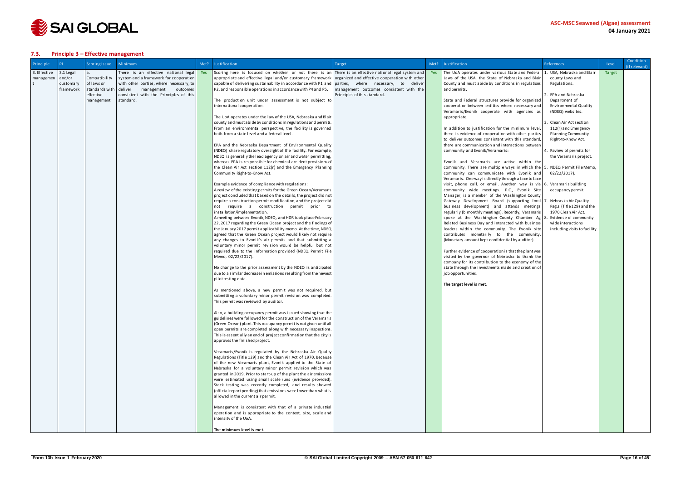

### <span id="page-15-0"></span>**7.3. Principle 3 – Effective management**

| 3. Effective<br>There is an effective national legal<br>Scoring here is focused on whether or not there is an There is an effective national legal system and Yes<br>The UoA operates under various State and Federal 1. USA, Nebraska and Blair<br>3.1 Legal<br>Target<br>Yes<br>Compatibility<br>organized and effective cooperation with other<br>and/or<br>system and a framework for cooperation<br>appropriate and effective legal and/or customary framework<br>Laws of the USA, the State of Nebraska and Blair<br>county Laws and<br>managemen<br>of laws or<br>with other parties, where necessary, to<br>capable of delivering sustainability in accordance with P1 and<br>parties, where necessary, to deliver<br>County and must abide by conditions in regulations<br>Regulations.<br>customary<br>standards with<br>management outcomes consistent with the<br>deliver<br>management outcomes<br>P2, and responsible operations in accordance with P4 and P5.<br>and permits.<br>framework<br>effective<br>consistent with the Principles of this<br>EPA and Nebraska<br>Principles of this standard.<br>management<br>standard.<br>The production unit under assessment is not subject to<br>State and Federal structures provide for organized<br>Department of<br>international cooperation.<br>cooperation between entities where necessary and<br>Environmental Quality<br>Veramaris/Evonik cooperate with agencies as<br>(NDEQ) websites.<br>The UoA operates under the law of the USA, Nebraska and Blair<br>appropriate.<br>county and must abide by conditions in regulations and permits.<br>Clean Air Act section<br>From an environmental perspective, the facility is governed<br>In addition to justification for the minimum level<br>112(r) and Emergency<br>both from a state level and a federal level.<br>there is evidence of cooperation with other parties<br><b>Planning Community</b><br>to deliver outcomes consistent with this standard,<br>Right-to-Know Act.<br>EPA and the Nebraska Department of Environmental Quality<br>there are communication and interactions between<br>(NDEQ) share regulatory oversight of the facility. For example,<br>community and Evonik/Veramaris:<br>Review of permits for<br>NDEQ is generally the lead agency on air and water permitting,<br>the Veramaris project.<br>whereas EPA is responsible for chemical accident provisions of<br>Evonik and Veramaris are active within the<br>the Clean Air Act section 112(r) and the Emergency Planning<br>community. There are multiple ways in which the 5.<br>NDEQ Permit File Memo,<br>Community Right-to-Know Act.<br>community can communicate with Evonik and<br>02/22/2017).<br>Veramaris. One way is directly through a face to face<br>Example evidence of compliance with regulations:<br>visit, phone call, or email. Another way is via 6. Veramarisbuilding<br>A review of the existing permits for the Green Ocean/Veramaris<br>community wide meetings. P.C., Evonik Site<br>occupancy permit.<br>Manager, is a member of the Washington County<br>project concluded that based on the details, the project did not<br>require a construction permit modification, and the project did<br>Gateway Development Board (supporting local 7<br>Nebraska Air Quality<br>not require a construction permit prior to<br>business development) and attends meetings<br>Reg.s (Title 129) and the<br>installation/implementation.<br>regularly (bimonthly meetings). Recently, Veramaris<br>1970 Clean Air Act.<br>A meeting between Evonik, NDEQ, and HDR took place February<br>spoke at the Washington County Chamber Ag<br>Evidence of community<br>22, 2017 regarding the Green Ocean project and the findings of<br>Related Business Day and interacted with business<br>wide interactions<br>the January 2017 permit applicability memo. At the time, NDEQ<br>leaders within the community. The Evonik site<br>including visits to facility.<br>agreed that the Green Ocean project would likely not require<br>contributes monetarily to the community.<br>(Monetary amount kept confidential by auditor).<br>any changes to Evonik's air permits and that submitting a<br>voluntary minor permit revision would be helpful but not<br>required due to the information provided (NDEQ Permit File<br>Further evidence of cooperation is that the plant was<br>visited by the governor of Nebraska to thank the<br>Memo, 02/22/2017).<br>company for its contribution to the economy of the<br>No change to the prior assessment by the NDEQ is anticipated<br>state through the investments made and creation of<br>due to a similar decrease in emissions resulting from the newest<br>job opportunities.<br>pilot testing data.<br>The target level is met.<br>As mentioned above, a new permit was not required, but<br>submitting a voluntary minor permit revision was completed<br>This permit was reviewed by auditor.<br>Also, a building occupancy permit was issued showing that the<br>guidelines were followed for the construction of the Veramaris<br>(Green Ocean) plant. This occupancy permit is not given until all<br>open permits are completed along with necessary inspections.<br>This is essentially an end of project confirmation that the city is<br>approves the finished project.<br>Veramaris/Evonik is regulated by the Nebraska Air Quality | Principle | <b>PI</b> | Scoring Issue | Minimum | Met? | Justification                                                  | <b>Target</b> | Met? | Justification | References | Level | Condition<br>(if relevant) |
|-----------------------------------------------------------------------------------------------------------------------------------------------------------------------------------------------------------------------------------------------------------------------------------------------------------------------------------------------------------------------------------------------------------------------------------------------------------------------------------------------------------------------------------------------------------------------------------------------------------------------------------------------------------------------------------------------------------------------------------------------------------------------------------------------------------------------------------------------------------------------------------------------------------------------------------------------------------------------------------------------------------------------------------------------------------------------------------------------------------------------------------------------------------------------------------------------------------------------------------------------------------------------------------------------------------------------------------------------------------------------------------------------------------------------------------------------------------------------------------------------------------------------------------------------------------------------------------------------------------------------------------------------------------------------------------------------------------------------------------------------------------------------------------------------------------------------------------------------------------------------------------------------------------------------------------------------------------------------------------------------------------------------------------------------------------------------------------------------------------------------------------------------------------------------------------------------------------------------------------------------------------------------------------------------------------------------------------------------------------------------------------------------------------------------------------------------------------------------------------------------------------------------------------------------------------------------------------------------------------------------------------------------------------------------------------------------------------------------------------------------------------------------------------------------------------------------------------------------------------------------------------------------------------------------------------------------------------------------------------------------------------------------------------------------------------------------------------------------------------------------------------------------------------------------------------------------------------------------------------------------------------------------------------------------------------------------------------------------------------------------------------------------------------------------------------------------------------------------------------------------------------------------------------------------------------------------------------------------------------------------------------------------------------------------------------------------------------------------------------------------------------------------------------------------------------------------------------------------------------------------------------------------------------------------------------------------------------------------------------------------------------------------------------------------------------------------------------------------------------------------------------------------------------------------------------------------------------------------------------------------------------------------------------------------------------------------------------------------------------------------------------------------------------------------------------------------------------------------------------------------------------------------------------------------------------------------------------------------------------------------------------------------------------------------------------------------------------------------------------------------------------------------------------------------------------------------------------------------------------------------------------------------------------------------------------------------------------------------------------------------------------------------------------------------------------------------------------------------------------------------------------------------------------------------------------------------------------------------------------------------------------------------------------------------------------------------------------------------------------------------------------------------------------------------|-----------|-----------|---------------|---------|------|----------------------------------------------------------------|---------------|------|---------------|------------|-------|----------------------------|
|                                                                                                                                                                                                                                                                                                                                                                                                                                                                                                                                                                                                                                                                                                                                                                                                                                                                                                                                                                                                                                                                                                                                                                                                                                                                                                                                                                                                                                                                                                                                                                                                                                                                                                                                                                                                                                                                                                                                                                                                                                                                                                                                                                                                                                                                                                                                                                                                                                                                                                                                                                                                                                                                                                                                                                                                                                                                                                                                                                                                                                                                                                                                                                                                                                                                                                                                                                                                                                                                                                                                                                                                                                                                                                                                                                                                                                                                                                                                                                                                                                                                                                                                                                                                                                                                                                                                                                                                                                                                                                                                                                                                                                                                                                                                                                                                                                                                                                                                                                                                                                                                                                                                                                                                                                                                                                                                                                                                                       |           |           |               |         |      |                                                                |               |      |               |            |       |                            |
|                                                                                                                                                                                                                                                                                                                                                                                                                                                                                                                                                                                                                                                                                                                                                                                                                                                                                                                                                                                                                                                                                                                                                                                                                                                                                                                                                                                                                                                                                                                                                                                                                                                                                                                                                                                                                                                                                                                                                                                                                                                                                                                                                                                                                                                                                                                                                                                                                                                                                                                                                                                                                                                                                                                                                                                                                                                                                                                                                                                                                                                                                                                                                                                                                                                                                                                                                                                                                                                                                                                                                                                                                                                                                                                                                                                                                                                                                                                                                                                                                                                                                                                                                                                                                                                                                                                                                                                                                                                                                                                                                                                                                                                                                                                                                                                                                                                                                                                                                                                                                                                                                                                                                                                                                                                                                                                                                                                                                       |           |           |               |         |      |                                                                |               |      |               |            |       |                            |
|                                                                                                                                                                                                                                                                                                                                                                                                                                                                                                                                                                                                                                                                                                                                                                                                                                                                                                                                                                                                                                                                                                                                                                                                                                                                                                                                                                                                                                                                                                                                                                                                                                                                                                                                                                                                                                                                                                                                                                                                                                                                                                                                                                                                                                                                                                                                                                                                                                                                                                                                                                                                                                                                                                                                                                                                                                                                                                                                                                                                                                                                                                                                                                                                                                                                                                                                                                                                                                                                                                                                                                                                                                                                                                                                                                                                                                                                                                                                                                                                                                                                                                                                                                                                                                                                                                                                                                                                                                                                                                                                                                                                                                                                                                                                                                                                                                                                                                                                                                                                                                                                                                                                                                                                                                                                                                                                                                                                                       |           |           |               |         |      |                                                                |               |      |               |            |       |                            |
|                                                                                                                                                                                                                                                                                                                                                                                                                                                                                                                                                                                                                                                                                                                                                                                                                                                                                                                                                                                                                                                                                                                                                                                                                                                                                                                                                                                                                                                                                                                                                                                                                                                                                                                                                                                                                                                                                                                                                                                                                                                                                                                                                                                                                                                                                                                                                                                                                                                                                                                                                                                                                                                                                                                                                                                                                                                                                                                                                                                                                                                                                                                                                                                                                                                                                                                                                                                                                                                                                                                                                                                                                                                                                                                                                                                                                                                                                                                                                                                                                                                                                                                                                                                                                                                                                                                                                                                                                                                                                                                                                                                                                                                                                                                                                                                                                                                                                                                                                                                                                                                                                                                                                                                                                                                                                                                                                                                                                       |           |           |               |         |      |                                                                |               |      |               |            |       |                            |
|                                                                                                                                                                                                                                                                                                                                                                                                                                                                                                                                                                                                                                                                                                                                                                                                                                                                                                                                                                                                                                                                                                                                                                                                                                                                                                                                                                                                                                                                                                                                                                                                                                                                                                                                                                                                                                                                                                                                                                                                                                                                                                                                                                                                                                                                                                                                                                                                                                                                                                                                                                                                                                                                                                                                                                                                                                                                                                                                                                                                                                                                                                                                                                                                                                                                                                                                                                                                                                                                                                                                                                                                                                                                                                                                                                                                                                                                                                                                                                                                                                                                                                                                                                                                                                                                                                                                                                                                                                                                                                                                                                                                                                                                                                                                                                                                                                                                                                                                                                                                                                                                                                                                                                                                                                                                                                                                                                                                                       |           |           |               |         |      |                                                                |               |      |               |            |       |                            |
|                                                                                                                                                                                                                                                                                                                                                                                                                                                                                                                                                                                                                                                                                                                                                                                                                                                                                                                                                                                                                                                                                                                                                                                                                                                                                                                                                                                                                                                                                                                                                                                                                                                                                                                                                                                                                                                                                                                                                                                                                                                                                                                                                                                                                                                                                                                                                                                                                                                                                                                                                                                                                                                                                                                                                                                                                                                                                                                                                                                                                                                                                                                                                                                                                                                                                                                                                                                                                                                                                                                                                                                                                                                                                                                                                                                                                                                                                                                                                                                                                                                                                                                                                                                                                                                                                                                                                                                                                                                                                                                                                                                                                                                                                                                                                                                                                                                                                                                                                                                                                                                                                                                                                                                                                                                                                                                                                                                                                       |           |           |               |         |      |                                                                |               |      |               |            |       |                            |
|                                                                                                                                                                                                                                                                                                                                                                                                                                                                                                                                                                                                                                                                                                                                                                                                                                                                                                                                                                                                                                                                                                                                                                                                                                                                                                                                                                                                                                                                                                                                                                                                                                                                                                                                                                                                                                                                                                                                                                                                                                                                                                                                                                                                                                                                                                                                                                                                                                                                                                                                                                                                                                                                                                                                                                                                                                                                                                                                                                                                                                                                                                                                                                                                                                                                                                                                                                                                                                                                                                                                                                                                                                                                                                                                                                                                                                                                                                                                                                                                                                                                                                                                                                                                                                                                                                                                                                                                                                                                                                                                                                                                                                                                                                                                                                                                                                                                                                                                                                                                                                                                                                                                                                                                                                                                                                                                                                                                                       |           |           |               |         |      |                                                                |               |      |               |            |       |                            |
|                                                                                                                                                                                                                                                                                                                                                                                                                                                                                                                                                                                                                                                                                                                                                                                                                                                                                                                                                                                                                                                                                                                                                                                                                                                                                                                                                                                                                                                                                                                                                                                                                                                                                                                                                                                                                                                                                                                                                                                                                                                                                                                                                                                                                                                                                                                                                                                                                                                                                                                                                                                                                                                                                                                                                                                                                                                                                                                                                                                                                                                                                                                                                                                                                                                                                                                                                                                                                                                                                                                                                                                                                                                                                                                                                                                                                                                                                                                                                                                                                                                                                                                                                                                                                                                                                                                                                                                                                                                                                                                                                                                                                                                                                                                                                                                                                                                                                                                                                                                                                                                                                                                                                                                                                                                                                                                                                                                                                       |           |           |               |         |      |                                                                |               |      |               |            |       |                            |
|                                                                                                                                                                                                                                                                                                                                                                                                                                                                                                                                                                                                                                                                                                                                                                                                                                                                                                                                                                                                                                                                                                                                                                                                                                                                                                                                                                                                                                                                                                                                                                                                                                                                                                                                                                                                                                                                                                                                                                                                                                                                                                                                                                                                                                                                                                                                                                                                                                                                                                                                                                                                                                                                                                                                                                                                                                                                                                                                                                                                                                                                                                                                                                                                                                                                                                                                                                                                                                                                                                                                                                                                                                                                                                                                                                                                                                                                                                                                                                                                                                                                                                                                                                                                                                                                                                                                                                                                                                                                                                                                                                                                                                                                                                                                                                                                                                                                                                                                                                                                                                                                                                                                                                                                                                                                                                                                                                                                                       |           |           |               |         |      |                                                                |               |      |               |            |       |                            |
|                                                                                                                                                                                                                                                                                                                                                                                                                                                                                                                                                                                                                                                                                                                                                                                                                                                                                                                                                                                                                                                                                                                                                                                                                                                                                                                                                                                                                                                                                                                                                                                                                                                                                                                                                                                                                                                                                                                                                                                                                                                                                                                                                                                                                                                                                                                                                                                                                                                                                                                                                                                                                                                                                                                                                                                                                                                                                                                                                                                                                                                                                                                                                                                                                                                                                                                                                                                                                                                                                                                                                                                                                                                                                                                                                                                                                                                                                                                                                                                                                                                                                                                                                                                                                                                                                                                                                                                                                                                                                                                                                                                                                                                                                                                                                                                                                                                                                                                                                                                                                                                                                                                                                                                                                                                                                                                                                                                                                       |           |           |               |         |      |                                                                |               |      |               |            |       |                            |
|                                                                                                                                                                                                                                                                                                                                                                                                                                                                                                                                                                                                                                                                                                                                                                                                                                                                                                                                                                                                                                                                                                                                                                                                                                                                                                                                                                                                                                                                                                                                                                                                                                                                                                                                                                                                                                                                                                                                                                                                                                                                                                                                                                                                                                                                                                                                                                                                                                                                                                                                                                                                                                                                                                                                                                                                                                                                                                                                                                                                                                                                                                                                                                                                                                                                                                                                                                                                                                                                                                                                                                                                                                                                                                                                                                                                                                                                                                                                                                                                                                                                                                                                                                                                                                                                                                                                                                                                                                                                                                                                                                                                                                                                                                                                                                                                                                                                                                                                                                                                                                                                                                                                                                                                                                                                                                                                                                                                                       |           |           |               |         |      |                                                                |               |      |               |            |       |                            |
|                                                                                                                                                                                                                                                                                                                                                                                                                                                                                                                                                                                                                                                                                                                                                                                                                                                                                                                                                                                                                                                                                                                                                                                                                                                                                                                                                                                                                                                                                                                                                                                                                                                                                                                                                                                                                                                                                                                                                                                                                                                                                                                                                                                                                                                                                                                                                                                                                                                                                                                                                                                                                                                                                                                                                                                                                                                                                                                                                                                                                                                                                                                                                                                                                                                                                                                                                                                                                                                                                                                                                                                                                                                                                                                                                                                                                                                                                                                                                                                                                                                                                                                                                                                                                                                                                                                                                                                                                                                                                                                                                                                                                                                                                                                                                                                                                                                                                                                                                                                                                                                                                                                                                                                                                                                                                                                                                                                                                       |           |           |               |         |      |                                                                |               |      |               |            |       |                            |
|                                                                                                                                                                                                                                                                                                                                                                                                                                                                                                                                                                                                                                                                                                                                                                                                                                                                                                                                                                                                                                                                                                                                                                                                                                                                                                                                                                                                                                                                                                                                                                                                                                                                                                                                                                                                                                                                                                                                                                                                                                                                                                                                                                                                                                                                                                                                                                                                                                                                                                                                                                                                                                                                                                                                                                                                                                                                                                                                                                                                                                                                                                                                                                                                                                                                                                                                                                                                                                                                                                                                                                                                                                                                                                                                                                                                                                                                                                                                                                                                                                                                                                                                                                                                                                                                                                                                                                                                                                                                                                                                                                                                                                                                                                                                                                                                                                                                                                                                                                                                                                                                                                                                                                                                                                                                                                                                                                                                                       |           |           |               |         |      |                                                                |               |      |               |            |       |                            |
|                                                                                                                                                                                                                                                                                                                                                                                                                                                                                                                                                                                                                                                                                                                                                                                                                                                                                                                                                                                                                                                                                                                                                                                                                                                                                                                                                                                                                                                                                                                                                                                                                                                                                                                                                                                                                                                                                                                                                                                                                                                                                                                                                                                                                                                                                                                                                                                                                                                                                                                                                                                                                                                                                                                                                                                                                                                                                                                                                                                                                                                                                                                                                                                                                                                                                                                                                                                                                                                                                                                                                                                                                                                                                                                                                                                                                                                                                                                                                                                                                                                                                                                                                                                                                                                                                                                                                                                                                                                                                                                                                                                                                                                                                                                                                                                                                                                                                                                                                                                                                                                                                                                                                                                                                                                                                                                                                                                                                       |           |           |               |         |      |                                                                |               |      |               |            |       |                            |
|                                                                                                                                                                                                                                                                                                                                                                                                                                                                                                                                                                                                                                                                                                                                                                                                                                                                                                                                                                                                                                                                                                                                                                                                                                                                                                                                                                                                                                                                                                                                                                                                                                                                                                                                                                                                                                                                                                                                                                                                                                                                                                                                                                                                                                                                                                                                                                                                                                                                                                                                                                                                                                                                                                                                                                                                                                                                                                                                                                                                                                                                                                                                                                                                                                                                                                                                                                                                                                                                                                                                                                                                                                                                                                                                                                                                                                                                                                                                                                                                                                                                                                                                                                                                                                                                                                                                                                                                                                                                                                                                                                                                                                                                                                                                                                                                                                                                                                                                                                                                                                                                                                                                                                                                                                                                                                                                                                                                                       |           |           |               |         |      |                                                                |               |      |               |            |       |                            |
|                                                                                                                                                                                                                                                                                                                                                                                                                                                                                                                                                                                                                                                                                                                                                                                                                                                                                                                                                                                                                                                                                                                                                                                                                                                                                                                                                                                                                                                                                                                                                                                                                                                                                                                                                                                                                                                                                                                                                                                                                                                                                                                                                                                                                                                                                                                                                                                                                                                                                                                                                                                                                                                                                                                                                                                                                                                                                                                                                                                                                                                                                                                                                                                                                                                                                                                                                                                                                                                                                                                                                                                                                                                                                                                                                                                                                                                                                                                                                                                                                                                                                                                                                                                                                                                                                                                                                                                                                                                                                                                                                                                                                                                                                                                                                                                                                                                                                                                                                                                                                                                                                                                                                                                                                                                                                                                                                                                                                       |           |           |               |         |      |                                                                |               |      |               |            |       |                            |
|                                                                                                                                                                                                                                                                                                                                                                                                                                                                                                                                                                                                                                                                                                                                                                                                                                                                                                                                                                                                                                                                                                                                                                                                                                                                                                                                                                                                                                                                                                                                                                                                                                                                                                                                                                                                                                                                                                                                                                                                                                                                                                                                                                                                                                                                                                                                                                                                                                                                                                                                                                                                                                                                                                                                                                                                                                                                                                                                                                                                                                                                                                                                                                                                                                                                                                                                                                                                                                                                                                                                                                                                                                                                                                                                                                                                                                                                                                                                                                                                                                                                                                                                                                                                                                                                                                                                                                                                                                                                                                                                                                                                                                                                                                                                                                                                                                                                                                                                                                                                                                                                                                                                                                                                                                                                                                                                                                                                                       |           |           |               |         |      |                                                                |               |      |               |            |       |                            |
|                                                                                                                                                                                                                                                                                                                                                                                                                                                                                                                                                                                                                                                                                                                                                                                                                                                                                                                                                                                                                                                                                                                                                                                                                                                                                                                                                                                                                                                                                                                                                                                                                                                                                                                                                                                                                                                                                                                                                                                                                                                                                                                                                                                                                                                                                                                                                                                                                                                                                                                                                                                                                                                                                                                                                                                                                                                                                                                                                                                                                                                                                                                                                                                                                                                                                                                                                                                                                                                                                                                                                                                                                                                                                                                                                                                                                                                                                                                                                                                                                                                                                                                                                                                                                                                                                                                                                                                                                                                                                                                                                                                                                                                                                                                                                                                                                                                                                                                                                                                                                                                                                                                                                                                                                                                                                                                                                                                                                       |           |           |               |         |      |                                                                |               |      |               |            |       |                            |
|                                                                                                                                                                                                                                                                                                                                                                                                                                                                                                                                                                                                                                                                                                                                                                                                                                                                                                                                                                                                                                                                                                                                                                                                                                                                                                                                                                                                                                                                                                                                                                                                                                                                                                                                                                                                                                                                                                                                                                                                                                                                                                                                                                                                                                                                                                                                                                                                                                                                                                                                                                                                                                                                                                                                                                                                                                                                                                                                                                                                                                                                                                                                                                                                                                                                                                                                                                                                                                                                                                                                                                                                                                                                                                                                                                                                                                                                                                                                                                                                                                                                                                                                                                                                                                                                                                                                                                                                                                                                                                                                                                                                                                                                                                                                                                                                                                                                                                                                                                                                                                                                                                                                                                                                                                                                                                                                                                                                                       |           |           |               |         |      |                                                                |               |      |               |            |       |                            |
|                                                                                                                                                                                                                                                                                                                                                                                                                                                                                                                                                                                                                                                                                                                                                                                                                                                                                                                                                                                                                                                                                                                                                                                                                                                                                                                                                                                                                                                                                                                                                                                                                                                                                                                                                                                                                                                                                                                                                                                                                                                                                                                                                                                                                                                                                                                                                                                                                                                                                                                                                                                                                                                                                                                                                                                                                                                                                                                                                                                                                                                                                                                                                                                                                                                                                                                                                                                                                                                                                                                                                                                                                                                                                                                                                                                                                                                                                                                                                                                                                                                                                                                                                                                                                                                                                                                                                                                                                                                                                                                                                                                                                                                                                                                                                                                                                                                                                                                                                                                                                                                                                                                                                                                                                                                                                                                                                                                                                       |           |           |               |         |      |                                                                |               |      |               |            |       |                            |
|                                                                                                                                                                                                                                                                                                                                                                                                                                                                                                                                                                                                                                                                                                                                                                                                                                                                                                                                                                                                                                                                                                                                                                                                                                                                                                                                                                                                                                                                                                                                                                                                                                                                                                                                                                                                                                                                                                                                                                                                                                                                                                                                                                                                                                                                                                                                                                                                                                                                                                                                                                                                                                                                                                                                                                                                                                                                                                                                                                                                                                                                                                                                                                                                                                                                                                                                                                                                                                                                                                                                                                                                                                                                                                                                                                                                                                                                                                                                                                                                                                                                                                                                                                                                                                                                                                                                                                                                                                                                                                                                                                                                                                                                                                                                                                                                                                                                                                                                                                                                                                                                                                                                                                                                                                                                                                                                                                                                                       |           |           |               |         |      |                                                                |               |      |               |            |       |                            |
|                                                                                                                                                                                                                                                                                                                                                                                                                                                                                                                                                                                                                                                                                                                                                                                                                                                                                                                                                                                                                                                                                                                                                                                                                                                                                                                                                                                                                                                                                                                                                                                                                                                                                                                                                                                                                                                                                                                                                                                                                                                                                                                                                                                                                                                                                                                                                                                                                                                                                                                                                                                                                                                                                                                                                                                                                                                                                                                                                                                                                                                                                                                                                                                                                                                                                                                                                                                                                                                                                                                                                                                                                                                                                                                                                                                                                                                                                                                                                                                                                                                                                                                                                                                                                                                                                                                                                                                                                                                                                                                                                                                                                                                                                                                                                                                                                                                                                                                                                                                                                                                                                                                                                                                                                                                                                                                                                                                                                       |           |           |               |         |      |                                                                |               |      |               |            |       |                            |
|                                                                                                                                                                                                                                                                                                                                                                                                                                                                                                                                                                                                                                                                                                                                                                                                                                                                                                                                                                                                                                                                                                                                                                                                                                                                                                                                                                                                                                                                                                                                                                                                                                                                                                                                                                                                                                                                                                                                                                                                                                                                                                                                                                                                                                                                                                                                                                                                                                                                                                                                                                                                                                                                                                                                                                                                                                                                                                                                                                                                                                                                                                                                                                                                                                                                                                                                                                                                                                                                                                                                                                                                                                                                                                                                                                                                                                                                                                                                                                                                                                                                                                                                                                                                                                                                                                                                                                                                                                                                                                                                                                                                                                                                                                                                                                                                                                                                                                                                                                                                                                                                                                                                                                                                                                                                                                                                                                                                                       |           |           |               |         |      |                                                                |               |      |               |            |       |                            |
|                                                                                                                                                                                                                                                                                                                                                                                                                                                                                                                                                                                                                                                                                                                                                                                                                                                                                                                                                                                                                                                                                                                                                                                                                                                                                                                                                                                                                                                                                                                                                                                                                                                                                                                                                                                                                                                                                                                                                                                                                                                                                                                                                                                                                                                                                                                                                                                                                                                                                                                                                                                                                                                                                                                                                                                                                                                                                                                                                                                                                                                                                                                                                                                                                                                                                                                                                                                                                                                                                                                                                                                                                                                                                                                                                                                                                                                                                                                                                                                                                                                                                                                                                                                                                                                                                                                                                                                                                                                                                                                                                                                                                                                                                                                                                                                                                                                                                                                                                                                                                                                                                                                                                                                                                                                                                                                                                                                                                       |           |           |               |         |      |                                                                |               |      |               |            |       |                            |
|                                                                                                                                                                                                                                                                                                                                                                                                                                                                                                                                                                                                                                                                                                                                                                                                                                                                                                                                                                                                                                                                                                                                                                                                                                                                                                                                                                                                                                                                                                                                                                                                                                                                                                                                                                                                                                                                                                                                                                                                                                                                                                                                                                                                                                                                                                                                                                                                                                                                                                                                                                                                                                                                                                                                                                                                                                                                                                                                                                                                                                                                                                                                                                                                                                                                                                                                                                                                                                                                                                                                                                                                                                                                                                                                                                                                                                                                                                                                                                                                                                                                                                                                                                                                                                                                                                                                                                                                                                                                                                                                                                                                                                                                                                                                                                                                                                                                                                                                                                                                                                                                                                                                                                                                                                                                                                                                                                                                                       |           |           |               |         |      |                                                                |               |      |               |            |       |                            |
|                                                                                                                                                                                                                                                                                                                                                                                                                                                                                                                                                                                                                                                                                                                                                                                                                                                                                                                                                                                                                                                                                                                                                                                                                                                                                                                                                                                                                                                                                                                                                                                                                                                                                                                                                                                                                                                                                                                                                                                                                                                                                                                                                                                                                                                                                                                                                                                                                                                                                                                                                                                                                                                                                                                                                                                                                                                                                                                                                                                                                                                                                                                                                                                                                                                                                                                                                                                                                                                                                                                                                                                                                                                                                                                                                                                                                                                                                                                                                                                                                                                                                                                                                                                                                                                                                                                                                                                                                                                                                                                                                                                                                                                                                                                                                                                                                                                                                                                                                                                                                                                                                                                                                                                                                                                                                                                                                                                                                       |           |           |               |         |      |                                                                |               |      |               |            |       |                            |
|                                                                                                                                                                                                                                                                                                                                                                                                                                                                                                                                                                                                                                                                                                                                                                                                                                                                                                                                                                                                                                                                                                                                                                                                                                                                                                                                                                                                                                                                                                                                                                                                                                                                                                                                                                                                                                                                                                                                                                                                                                                                                                                                                                                                                                                                                                                                                                                                                                                                                                                                                                                                                                                                                                                                                                                                                                                                                                                                                                                                                                                                                                                                                                                                                                                                                                                                                                                                                                                                                                                                                                                                                                                                                                                                                                                                                                                                                                                                                                                                                                                                                                                                                                                                                                                                                                                                                                                                                                                                                                                                                                                                                                                                                                                                                                                                                                                                                                                                                                                                                                                                                                                                                                                                                                                                                                                                                                                                                       |           |           |               |         |      |                                                                |               |      |               |            |       |                            |
|                                                                                                                                                                                                                                                                                                                                                                                                                                                                                                                                                                                                                                                                                                                                                                                                                                                                                                                                                                                                                                                                                                                                                                                                                                                                                                                                                                                                                                                                                                                                                                                                                                                                                                                                                                                                                                                                                                                                                                                                                                                                                                                                                                                                                                                                                                                                                                                                                                                                                                                                                                                                                                                                                                                                                                                                                                                                                                                                                                                                                                                                                                                                                                                                                                                                                                                                                                                                                                                                                                                                                                                                                                                                                                                                                                                                                                                                                                                                                                                                                                                                                                                                                                                                                                                                                                                                                                                                                                                                                                                                                                                                                                                                                                                                                                                                                                                                                                                                                                                                                                                                                                                                                                                                                                                                                                                                                                                                                       |           |           |               |         |      |                                                                |               |      |               |            |       |                            |
|                                                                                                                                                                                                                                                                                                                                                                                                                                                                                                                                                                                                                                                                                                                                                                                                                                                                                                                                                                                                                                                                                                                                                                                                                                                                                                                                                                                                                                                                                                                                                                                                                                                                                                                                                                                                                                                                                                                                                                                                                                                                                                                                                                                                                                                                                                                                                                                                                                                                                                                                                                                                                                                                                                                                                                                                                                                                                                                                                                                                                                                                                                                                                                                                                                                                                                                                                                                                                                                                                                                                                                                                                                                                                                                                                                                                                                                                                                                                                                                                                                                                                                                                                                                                                                                                                                                                                                                                                                                                                                                                                                                                                                                                                                                                                                                                                                                                                                                                                                                                                                                                                                                                                                                                                                                                                                                                                                                                                       |           |           |               |         |      |                                                                |               |      |               |            |       |                            |
|                                                                                                                                                                                                                                                                                                                                                                                                                                                                                                                                                                                                                                                                                                                                                                                                                                                                                                                                                                                                                                                                                                                                                                                                                                                                                                                                                                                                                                                                                                                                                                                                                                                                                                                                                                                                                                                                                                                                                                                                                                                                                                                                                                                                                                                                                                                                                                                                                                                                                                                                                                                                                                                                                                                                                                                                                                                                                                                                                                                                                                                                                                                                                                                                                                                                                                                                                                                                                                                                                                                                                                                                                                                                                                                                                                                                                                                                                                                                                                                                                                                                                                                                                                                                                                                                                                                                                                                                                                                                                                                                                                                                                                                                                                                                                                                                                                                                                                                                                                                                                                                                                                                                                                                                                                                                                                                                                                                                                       |           |           |               |         |      |                                                                |               |      |               |            |       |                            |
|                                                                                                                                                                                                                                                                                                                                                                                                                                                                                                                                                                                                                                                                                                                                                                                                                                                                                                                                                                                                                                                                                                                                                                                                                                                                                                                                                                                                                                                                                                                                                                                                                                                                                                                                                                                                                                                                                                                                                                                                                                                                                                                                                                                                                                                                                                                                                                                                                                                                                                                                                                                                                                                                                                                                                                                                                                                                                                                                                                                                                                                                                                                                                                                                                                                                                                                                                                                                                                                                                                                                                                                                                                                                                                                                                                                                                                                                                                                                                                                                                                                                                                                                                                                                                                                                                                                                                                                                                                                                                                                                                                                                                                                                                                                                                                                                                                                                                                                                                                                                                                                                                                                                                                                                                                                                                                                                                                                                                       |           |           |               |         |      |                                                                |               |      |               |            |       |                            |
|                                                                                                                                                                                                                                                                                                                                                                                                                                                                                                                                                                                                                                                                                                                                                                                                                                                                                                                                                                                                                                                                                                                                                                                                                                                                                                                                                                                                                                                                                                                                                                                                                                                                                                                                                                                                                                                                                                                                                                                                                                                                                                                                                                                                                                                                                                                                                                                                                                                                                                                                                                                                                                                                                                                                                                                                                                                                                                                                                                                                                                                                                                                                                                                                                                                                                                                                                                                                                                                                                                                                                                                                                                                                                                                                                                                                                                                                                                                                                                                                                                                                                                                                                                                                                                                                                                                                                                                                                                                                                                                                                                                                                                                                                                                                                                                                                                                                                                                                                                                                                                                                                                                                                                                                                                                                                                                                                                                                                       |           |           |               |         |      |                                                                |               |      |               |            |       |                            |
|                                                                                                                                                                                                                                                                                                                                                                                                                                                                                                                                                                                                                                                                                                                                                                                                                                                                                                                                                                                                                                                                                                                                                                                                                                                                                                                                                                                                                                                                                                                                                                                                                                                                                                                                                                                                                                                                                                                                                                                                                                                                                                                                                                                                                                                                                                                                                                                                                                                                                                                                                                                                                                                                                                                                                                                                                                                                                                                                                                                                                                                                                                                                                                                                                                                                                                                                                                                                                                                                                                                                                                                                                                                                                                                                                                                                                                                                                                                                                                                                                                                                                                                                                                                                                                                                                                                                                                                                                                                                                                                                                                                                                                                                                                                                                                                                                                                                                                                                                                                                                                                                                                                                                                                                                                                                                                                                                                                                                       |           |           |               |         |      |                                                                |               |      |               |            |       |                            |
|                                                                                                                                                                                                                                                                                                                                                                                                                                                                                                                                                                                                                                                                                                                                                                                                                                                                                                                                                                                                                                                                                                                                                                                                                                                                                                                                                                                                                                                                                                                                                                                                                                                                                                                                                                                                                                                                                                                                                                                                                                                                                                                                                                                                                                                                                                                                                                                                                                                                                                                                                                                                                                                                                                                                                                                                                                                                                                                                                                                                                                                                                                                                                                                                                                                                                                                                                                                                                                                                                                                                                                                                                                                                                                                                                                                                                                                                                                                                                                                                                                                                                                                                                                                                                                                                                                                                                                                                                                                                                                                                                                                                                                                                                                                                                                                                                                                                                                                                                                                                                                                                                                                                                                                                                                                                                                                                                                                                                       |           |           |               |         |      |                                                                |               |      |               |            |       |                            |
|                                                                                                                                                                                                                                                                                                                                                                                                                                                                                                                                                                                                                                                                                                                                                                                                                                                                                                                                                                                                                                                                                                                                                                                                                                                                                                                                                                                                                                                                                                                                                                                                                                                                                                                                                                                                                                                                                                                                                                                                                                                                                                                                                                                                                                                                                                                                                                                                                                                                                                                                                                                                                                                                                                                                                                                                                                                                                                                                                                                                                                                                                                                                                                                                                                                                                                                                                                                                                                                                                                                                                                                                                                                                                                                                                                                                                                                                                                                                                                                                                                                                                                                                                                                                                                                                                                                                                                                                                                                                                                                                                                                                                                                                                                                                                                                                                                                                                                                                                                                                                                                                                                                                                                                                                                                                                                                                                                                                                       |           |           |               |         |      |                                                                |               |      |               |            |       |                            |
|                                                                                                                                                                                                                                                                                                                                                                                                                                                                                                                                                                                                                                                                                                                                                                                                                                                                                                                                                                                                                                                                                                                                                                                                                                                                                                                                                                                                                                                                                                                                                                                                                                                                                                                                                                                                                                                                                                                                                                                                                                                                                                                                                                                                                                                                                                                                                                                                                                                                                                                                                                                                                                                                                                                                                                                                                                                                                                                                                                                                                                                                                                                                                                                                                                                                                                                                                                                                                                                                                                                                                                                                                                                                                                                                                                                                                                                                                                                                                                                                                                                                                                                                                                                                                                                                                                                                                                                                                                                                                                                                                                                                                                                                                                                                                                                                                                                                                                                                                                                                                                                                                                                                                                                                                                                                                                                                                                                                                       |           |           |               |         |      |                                                                |               |      |               |            |       |                            |
|                                                                                                                                                                                                                                                                                                                                                                                                                                                                                                                                                                                                                                                                                                                                                                                                                                                                                                                                                                                                                                                                                                                                                                                                                                                                                                                                                                                                                                                                                                                                                                                                                                                                                                                                                                                                                                                                                                                                                                                                                                                                                                                                                                                                                                                                                                                                                                                                                                                                                                                                                                                                                                                                                                                                                                                                                                                                                                                                                                                                                                                                                                                                                                                                                                                                                                                                                                                                                                                                                                                                                                                                                                                                                                                                                                                                                                                                                                                                                                                                                                                                                                                                                                                                                                                                                                                                                                                                                                                                                                                                                                                                                                                                                                                                                                                                                                                                                                                                                                                                                                                                                                                                                                                                                                                                                                                                                                                                                       |           |           |               |         |      |                                                                |               |      |               |            |       |                            |
|                                                                                                                                                                                                                                                                                                                                                                                                                                                                                                                                                                                                                                                                                                                                                                                                                                                                                                                                                                                                                                                                                                                                                                                                                                                                                                                                                                                                                                                                                                                                                                                                                                                                                                                                                                                                                                                                                                                                                                                                                                                                                                                                                                                                                                                                                                                                                                                                                                                                                                                                                                                                                                                                                                                                                                                                                                                                                                                                                                                                                                                                                                                                                                                                                                                                                                                                                                                                                                                                                                                                                                                                                                                                                                                                                                                                                                                                                                                                                                                                                                                                                                                                                                                                                                                                                                                                                                                                                                                                                                                                                                                                                                                                                                                                                                                                                                                                                                                                                                                                                                                                                                                                                                                                                                                                                                                                                                                                                       |           |           |               |         |      |                                                                |               |      |               |            |       |                            |
|                                                                                                                                                                                                                                                                                                                                                                                                                                                                                                                                                                                                                                                                                                                                                                                                                                                                                                                                                                                                                                                                                                                                                                                                                                                                                                                                                                                                                                                                                                                                                                                                                                                                                                                                                                                                                                                                                                                                                                                                                                                                                                                                                                                                                                                                                                                                                                                                                                                                                                                                                                                                                                                                                                                                                                                                                                                                                                                                                                                                                                                                                                                                                                                                                                                                                                                                                                                                                                                                                                                                                                                                                                                                                                                                                                                                                                                                                                                                                                                                                                                                                                                                                                                                                                                                                                                                                                                                                                                                                                                                                                                                                                                                                                                                                                                                                                                                                                                                                                                                                                                                                                                                                                                                                                                                                                                                                                                                                       |           |           |               |         |      |                                                                |               |      |               |            |       |                            |
|                                                                                                                                                                                                                                                                                                                                                                                                                                                                                                                                                                                                                                                                                                                                                                                                                                                                                                                                                                                                                                                                                                                                                                                                                                                                                                                                                                                                                                                                                                                                                                                                                                                                                                                                                                                                                                                                                                                                                                                                                                                                                                                                                                                                                                                                                                                                                                                                                                                                                                                                                                                                                                                                                                                                                                                                                                                                                                                                                                                                                                                                                                                                                                                                                                                                                                                                                                                                                                                                                                                                                                                                                                                                                                                                                                                                                                                                                                                                                                                                                                                                                                                                                                                                                                                                                                                                                                                                                                                                                                                                                                                                                                                                                                                                                                                                                                                                                                                                                                                                                                                                                                                                                                                                                                                                                                                                                                                                                       |           |           |               |         |      |                                                                |               |      |               |            |       |                            |
|                                                                                                                                                                                                                                                                                                                                                                                                                                                                                                                                                                                                                                                                                                                                                                                                                                                                                                                                                                                                                                                                                                                                                                                                                                                                                                                                                                                                                                                                                                                                                                                                                                                                                                                                                                                                                                                                                                                                                                                                                                                                                                                                                                                                                                                                                                                                                                                                                                                                                                                                                                                                                                                                                                                                                                                                                                                                                                                                                                                                                                                                                                                                                                                                                                                                                                                                                                                                                                                                                                                                                                                                                                                                                                                                                                                                                                                                                                                                                                                                                                                                                                                                                                                                                                                                                                                                                                                                                                                                                                                                                                                                                                                                                                                                                                                                                                                                                                                                                                                                                                                                                                                                                                                                                                                                                                                                                                                                                       |           |           |               |         |      |                                                                |               |      |               |            |       |                            |
|                                                                                                                                                                                                                                                                                                                                                                                                                                                                                                                                                                                                                                                                                                                                                                                                                                                                                                                                                                                                                                                                                                                                                                                                                                                                                                                                                                                                                                                                                                                                                                                                                                                                                                                                                                                                                                                                                                                                                                                                                                                                                                                                                                                                                                                                                                                                                                                                                                                                                                                                                                                                                                                                                                                                                                                                                                                                                                                                                                                                                                                                                                                                                                                                                                                                                                                                                                                                                                                                                                                                                                                                                                                                                                                                                                                                                                                                                                                                                                                                                                                                                                                                                                                                                                                                                                                                                                                                                                                                                                                                                                                                                                                                                                                                                                                                                                                                                                                                                                                                                                                                                                                                                                                                                                                                                                                                                                                                                       |           |           |               |         |      |                                                                |               |      |               |            |       |                            |
|                                                                                                                                                                                                                                                                                                                                                                                                                                                                                                                                                                                                                                                                                                                                                                                                                                                                                                                                                                                                                                                                                                                                                                                                                                                                                                                                                                                                                                                                                                                                                                                                                                                                                                                                                                                                                                                                                                                                                                                                                                                                                                                                                                                                                                                                                                                                                                                                                                                                                                                                                                                                                                                                                                                                                                                                                                                                                                                                                                                                                                                                                                                                                                                                                                                                                                                                                                                                                                                                                                                                                                                                                                                                                                                                                                                                                                                                                                                                                                                                                                                                                                                                                                                                                                                                                                                                                                                                                                                                                                                                                                                                                                                                                                                                                                                                                                                                                                                                                                                                                                                                                                                                                                                                                                                                                                                                                                                                                       |           |           |               |         |      |                                                                |               |      |               |            |       |                            |
|                                                                                                                                                                                                                                                                                                                                                                                                                                                                                                                                                                                                                                                                                                                                                                                                                                                                                                                                                                                                                                                                                                                                                                                                                                                                                                                                                                                                                                                                                                                                                                                                                                                                                                                                                                                                                                                                                                                                                                                                                                                                                                                                                                                                                                                                                                                                                                                                                                                                                                                                                                                                                                                                                                                                                                                                                                                                                                                                                                                                                                                                                                                                                                                                                                                                                                                                                                                                                                                                                                                                                                                                                                                                                                                                                                                                                                                                                                                                                                                                                                                                                                                                                                                                                                                                                                                                                                                                                                                                                                                                                                                                                                                                                                                                                                                                                                                                                                                                                                                                                                                                                                                                                                                                                                                                                                                                                                                                                       |           |           |               |         |      |                                                                |               |      |               |            |       |                            |
|                                                                                                                                                                                                                                                                                                                                                                                                                                                                                                                                                                                                                                                                                                                                                                                                                                                                                                                                                                                                                                                                                                                                                                                                                                                                                                                                                                                                                                                                                                                                                                                                                                                                                                                                                                                                                                                                                                                                                                                                                                                                                                                                                                                                                                                                                                                                                                                                                                                                                                                                                                                                                                                                                                                                                                                                                                                                                                                                                                                                                                                                                                                                                                                                                                                                                                                                                                                                                                                                                                                                                                                                                                                                                                                                                                                                                                                                                                                                                                                                                                                                                                                                                                                                                                                                                                                                                                                                                                                                                                                                                                                                                                                                                                                                                                                                                                                                                                                                                                                                                                                                                                                                                                                                                                                                                                                                                                                                                       |           |           |               |         |      | Regulations (Title 129) and the Clean Air Act of 1970. Because |               |      |               |            |       |                            |
| of the new Veramaris plant, Evonik applied to the State of                                                                                                                                                                                                                                                                                                                                                                                                                                                                                                                                                                                                                                                                                                                                                                                                                                                                                                                                                                                                                                                                                                                                                                                                                                                                                                                                                                                                                                                                                                                                                                                                                                                                                                                                                                                                                                                                                                                                                                                                                                                                                                                                                                                                                                                                                                                                                                                                                                                                                                                                                                                                                                                                                                                                                                                                                                                                                                                                                                                                                                                                                                                                                                                                                                                                                                                                                                                                                                                                                                                                                                                                                                                                                                                                                                                                                                                                                                                                                                                                                                                                                                                                                                                                                                                                                                                                                                                                                                                                                                                                                                                                                                                                                                                                                                                                                                                                                                                                                                                                                                                                                                                                                                                                                                                                                                                                                            |           |           |               |         |      |                                                                |               |      |               |            |       |                            |
| Nebraska for a voluntary minor permit revision which was                                                                                                                                                                                                                                                                                                                                                                                                                                                                                                                                                                                                                                                                                                                                                                                                                                                                                                                                                                                                                                                                                                                                                                                                                                                                                                                                                                                                                                                                                                                                                                                                                                                                                                                                                                                                                                                                                                                                                                                                                                                                                                                                                                                                                                                                                                                                                                                                                                                                                                                                                                                                                                                                                                                                                                                                                                                                                                                                                                                                                                                                                                                                                                                                                                                                                                                                                                                                                                                                                                                                                                                                                                                                                                                                                                                                                                                                                                                                                                                                                                                                                                                                                                                                                                                                                                                                                                                                                                                                                                                                                                                                                                                                                                                                                                                                                                                                                                                                                                                                                                                                                                                                                                                                                                                                                                                                                              |           |           |               |         |      |                                                                |               |      |               |            |       |                            |
| granted in 2019. Prior to start-up of the plant the air emissions<br>were estimated using small scale runs (evidence provided).                                                                                                                                                                                                                                                                                                                                                                                                                                                                                                                                                                                                                                                                                                                                                                                                                                                                                                                                                                                                                                                                                                                                                                                                                                                                                                                                                                                                                                                                                                                                                                                                                                                                                                                                                                                                                                                                                                                                                                                                                                                                                                                                                                                                                                                                                                                                                                                                                                                                                                                                                                                                                                                                                                                                                                                                                                                                                                                                                                                                                                                                                                                                                                                                                                                                                                                                                                                                                                                                                                                                                                                                                                                                                                                                                                                                                                                                                                                                                                                                                                                                                                                                                                                                                                                                                                                                                                                                                                                                                                                                                                                                                                                                                                                                                                                                                                                                                                                                                                                                                                                                                                                                                                                                                                                                                       |           |           |               |         |      |                                                                |               |      |               |            |       |                            |
| Stack testing was recently completed, and results showed                                                                                                                                                                                                                                                                                                                                                                                                                                                                                                                                                                                                                                                                                                                                                                                                                                                                                                                                                                                                                                                                                                                                                                                                                                                                                                                                                                                                                                                                                                                                                                                                                                                                                                                                                                                                                                                                                                                                                                                                                                                                                                                                                                                                                                                                                                                                                                                                                                                                                                                                                                                                                                                                                                                                                                                                                                                                                                                                                                                                                                                                                                                                                                                                                                                                                                                                                                                                                                                                                                                                                                                                                                                                                                                                                                                                                                                                                                                                                                                                                                                                                                                                                                                                                                                                                                                                                                                                                                                                                                                                                                                                                                                                                                                                                                                                                                                                                                                                                                                                                                                                                                                                                                                                                                                                                                                                                              |           |           |               |         |      |                                                                |               |      |               |            |       |                            |
| (official report pending) that emissions were lower than what is                                                                                                                                                                                                                                                                                                                                                                                                                                                                                                                                                                                                                                                                                                                                                                                                                                                                                                                                                                                                                                                                                                                                                                                                                                                                                                                                                                                                                                                                                                                                                                                                                                                                                                                                                                                                                                                                                                                                                                                                                                                                                                                                                                                                                                                                                                                                                                                                                                                                                                                                                                                                                                                                                                                                                                                                                                                                                                                                                                                                                                                                                                                                                                                                                                                                                                                                                                                                                                                                                                                                                                                                                                                                                                                                                                                                                                                                                                                                                                                                                                                                                                                                                                                                                                                                                                                                                                                                                                                                                                                                                                                                                                                                                                                                                                                                                                                                                                                                                                                                                                                                                                                                                                                                                                                                                                                                                      |           |           |               |         |      |                                                                |               |      |               |            |       |                            |
| allowed in the current air permit.                                                                                                                                                                                                                                                                                                                                                                                                                                                                                                                                                                                                                                                                                                                                                                                                                                                                                                                                                                                                                                                                                                                                                                                                                                                                                                                                                                                                                                                                                                                                                                                                                                                                                                                                                                                                                                                                                                                                                                                                                                                                                                                                                                                                                                                                                                                                                                                                                                                                                                                                                                                                                                                                                                                                                                                                                                                                                                                                                                                                                                                                                                                                                                                                                                                                                                                                                                                                                                                                                                                                                                                                                                                                                                                                                                                                                                                                                                                                                                                                                                                                                                                                                                                                                                                                                                                                                                                                                                                                                                                                                                                                                                                                                                                                                                                                                                                                                                                                                                                                                                                                                                                                                                                                                                                                                                                                                                                    |           |           |               |         |      |                                                                |               |      |               |            |       |                            |
|                                                                                                                                                                                                                                                                                                                                                                                                                                                                                                                                                                                                                                                                                                                                                                                                                                                                                                                                                                                                                                                                                                                                                                                                                                                                                                                                                                                                                                                                                                                                                                                                                                                                                                                                                                                                                                                                                                                                                                                                                                                                                                                                                                                                                                                                                                                                                                                                                                                                                                                                                                                                                                                                                                                                                                                                                                                                                                                                                                                                                                                                                                                                                                                                                                                                                                                                                                                                                                                                                                                                                                                                                                                                                                                                                                                                                                                                                                                                                                                                                                                                                                                                                                                                                                                                                                                                                                                                                                                                                                                                                                                                                                                                                                                                                                                                                                                                                                                                                                                                                                                                                                                                                                                                                                                                                                                                                                                                                       |           |           |               |         |      |                                                                |               |      |               |            |       |                            |
| Management is consistent with that of a private industrial                                                                                                                                                                                                                                                                                                                                                                                                                                                                                                                                                                                                                                                                                                                                                                                                                                                                                                                                                                                                                                                                                                                                                                                                                                                                                                                                                                                                                                                                                                                                                                                                                                                                                                                                                                                                                                                                                                                                                                                                                                                                                                                                                                                                                                                                                                                                                                                                                                                                                                                                                                                                                                                                                                                                                                                                                                                                                                                                                                                                                                                                                                                                                                                                                                                                                                                                                                                                                                                                                                                                                                                                                                                                                                                                                                                                                                                                                                                                                                                                                                                                                                                                                                                                                                                                                                                                                                                                                                                                                                                                                                                                                                                                                                                                                                                                                                                                                                                                                                                                                                                                                                                                                                                                                                                                                                                                                            |           |           |               |         |      |                                                                |               |      |               |            |       |                            |
| operation and is appropriate to the context, size, scale and                                                                                                                                                                                                                                                                                                                                                                                                                                                                                                                                                                                                                                                                                                                                                                                                                                                                                                                                                                                                                                                                                                                                                                                                                                                                                                                                                                                                                                                                                                                                                                                                                                                                                                                                                                                                                                                                                                                                                                                                                                                                                                                                                                                                                                                                                                                                                                                                                                                                                                                                                                                                                                                                                                                                                                                                                                                                                                                                                                                                                                                                                                                                                                                                                                                                                                                                                                                                                                                                                                                                                                                                                                                                                                                                                                                                                                                                                                                                                                                                                                                                                                                                                                                                                                                                                                                                                                                                                                                                                                                                                                                                                                                                                                                                                                                                                                                                                                                                                                                                                                                                                                                                                                                                                                                                                                                                                          |           |           |               |         |      |                                                                |               |      |               |            |       |                            |
| intensity of the UoA.                                                                                                                                                                                                                                                                                                                                                                                                                                                                                                                                                                                                                                                                                                                                                                                                                                                                                                                                                                                                                                                                                                                                                                                                                                                                                                                                                                                                                                                                                                                                                                                                                                                                                                                                                                                                                                                                                                                                                                                                                                                                                                                                                                                                                                                                                                                                                                                                                                                                                                                                                                                                                                                                                                                                                                                                                                                                                                                                                                                                                                                                                                                                                                                                                                                                                                                                                                                                                                                                                                                                                                                                                                                                                                                                                                                                                                                                                                                                                                                                                                                                                                                                                                                                                                                                                                                                                                                                                                                                                                                                                                                                                                                                                                                                                                                                                                                                                                                                                                                                                                                                                                                                                                                                                                                                                                                                                                                                 |           |           |               |         |      |                                                                |               |      |               |            |       |                            |
| The minimum level is met.                                                                                                                                                                                                                                                                                                                                                                                                                                                                                                                                                                                                                                                                                                                                                                                                                                                                                                                                                                                                                                                                                                                                                                                                                                                                                                                                                                                                                                                                                                                                                                                                                                                                                                                                                                                                                                                                                                                                                                                                                                                                                                                                                                                                                                                                                                                                                                                                                                                                                                                                                                                                                                                                                                                                                                                                                                                                                                                                                                                                                                                                                                                                                                                                                                                                                                                                                                                                                                                                                                                                                                                                                                                                                                                                                                                                                                                                                                                                                                                                                                                                                                                                                                                                                                                                                                                                                                                                                                                                                                                                                                                                                                                                                                                                                                                                                                                                                                                                                                                                                                                                                                                                                                                                                                                                                                                                                                                             |           |           |               |         |      |                                                                |               |      |               |            |       |                            |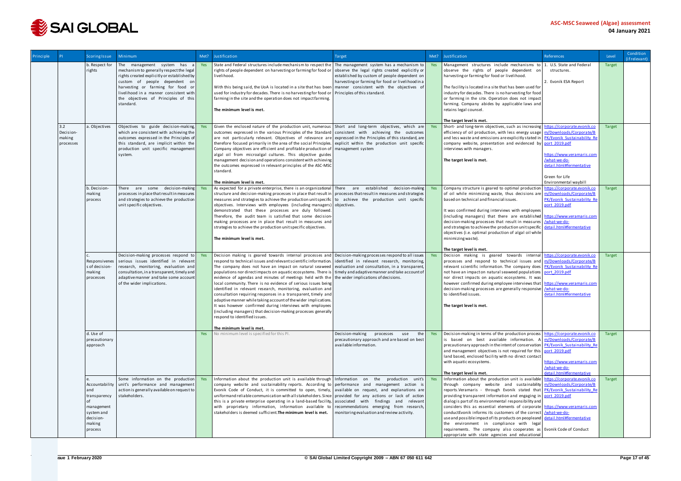

| Principle |                                         | <b>Scoring Issue</b>                                                                                | <b>Minimum</b>                                                                                                                                                                                                                                                                            | Met?       | Justification                                                                                                                                                                                                                                                                                                                                                                                                                                                                                                                                                                                                                                                                                                                                                                         | Target                                                                                                                                                                                                                                            |            | Met? Justification                                                                                                                                                                                                                                                                                                                                                                                                                                                                                                                                                                                                                                                                                                                                                        | <b>References</b>                                                                                                                  | Level         | Condition<br>(if relevant) |
|-----------|-----------------------------------------|-----------------------------------------------------------------------------------------------------|-------------------------------------------------------------------------------------------------------------------------------------------------------------------------------------------------------------------------------------------------------------------------------------------|------------|---------------------------------------------------------------------------------------------------------------------------------------------------------------------------------------------------------------------------------------------------------------------------------------------------------------------------------------------------------------------------------------------------------------------------------------------------------------------------------------------------------------------------------------------------------------------------------------------------------------------------------------------------------------------------------------------------------------------------------------------------------------------------------------|---------------------------------------------------------------------------------------------------------------------------------------------------------------------------------------------------------------------------------------------------|------------|---------------------------------------------------------------------------------------------------------------------------------------------------------------------------------------------------------------------------------------------------------------------------------------------------------------------------------------------------------------------------------------------------------------------------------------------------------------------------------------------------------------------------------------------------------------------------------------------------------------------------------------------------------------------------------------------------------------------------------------------------------------------------|------------------------------------------------------------------------------------------------------------------------------------|---------------|----------------------------|
|           |                                         | b. Respect for<br>rights                                                                            | The management system has<br>mechanism to generally respect the legal<br>rights created explicitly or established by<br>custom of people dependent on<br>harvesting or farming for food or<br>livelihood in a manner consistent with<br>the objectives of Principles of this<br>standard. | Yes        | State and Federal structures include mechanism to respect the   The management system has a mechanism to  <br>rights of people dependent on harvesting or farming for food or<br>livelihood.<br>With this being said, the UoA is located in a site that has been<br>used for industry for decades. There is no harvesting for food or<br>farming in the site and the operation does not impact farming.<br>The minimum level is met.                                                                                                                                                                                                                                                                                                                                                  | observe the legal rights created explicitly or<br>established by custom of people dependent on<br>harvesting or farming for food or livelihood in a<br>manner consistent with the objectives of<br>Principles of this standard.                   | Yes        | Management structures include mechanisms to 1. U.S. State and Federal<br>observe the rights of people dependent on<br>harvesting or farming for food or livelihood.<br>The facility is located in a site that has been used for<br>industry for decades. There is no harvesting for food<br>or farming in the site. Operation does not impact<br>farming. Company abides by applicable laws and<br>retains legal counsel.<br>The target level is met.                                                                                                                                                                                                                                                                                                                     | structures.<br>2. Evonik ESA Report                                                                                                | Target        |                            |
|           | 3.2<br>Decision-<br>making<br>processes | a. Objectives                                                                                       | Objectives to guide decision-making<br>which are consistent with achieving the<br>outcomes expressed in the Principles of<br>this standard, are implicit within the<br>production unit specific management<br>system.                                                                     | Yes        | Given the enclosed nature of the production unit, numerous Short and long-term objectives, which are<br>outcomes expressed in the various Principles of the Standard consistent with achieving the outcomes<br>are not particularly relevant. Objectives of relevance are<br>therefore focused primarily in the area of the social Principles.<br>Company objectives are efficient and profitable production of<br>algal oil from microalgal cultures. This objective guides<br>management decision and operations consistent with achieving<br>the outcomes expressed in relevant principles of the ASC-MSC<br>standard.<br>The minimum level is met.                                                                                                                                | expressed in the Principles of this standard, are<br>explicit within the production unit specific<br>management system                                                                                                                            | Yes        | Short- and long-term objectives, such as increasing https://corporate.evonik.co<br>efficiency of oil production, with less energy usage   m/Downloads/Corporate/B<br>and less waste and emissions are explicitly stated in <b>PK/Evonik Sustainability Re</b><br>company website, presentation and evidenced by port 2019.pdf<br>interviews with managers.<br>The target level is met.                                                                                                                                                                                                                                                                                                                                                                                    | nttps://www.veramaris.com<br>/what-we-do-<br>detail.html#fermentative<br>Green for Life<br>Environmental waybill                   | Target        |                            |
|           |                                         | b. Decision-<br>making<br>process                                                                   | There are some decision-making<br>processes in place that result in measures<br>and strategies to achieve the production<br>unit specific objectives.                                                                                                                                     | Yes        | As expected for a private enterprise, there is an organizational There are established<br>structure and decision-making processes in place that result in<br>measures and strategies to achieve the production unit specific<br>objectives. Interviews with employees (including managers) objectives.<br>demonstrated that these processes are duly followed.<br>Therefore, the audit team is satisfied that some decision-<br>making processes are in place that result in measures and<br>strategies to achieve the production unit specific objectives.<br>The minimum level is met.                                                                                                                                                                                              | decision-making<br>processes that result in measures and strategies<br>to achieve the production unit specific                                                                                                                                    | Yes        | Company structure is geared to optimal production<br>of oil while minimizing waste, thus decisions are<br>based on technical and financial issues.<br>It was confirmed during interviews with employees<br>(including managers) that there are established https://www.veramaris.com<br>decision-making processes that result in measures   /what-we-do-<br>and strategies to achieve the production unit specific<br>objectives (i.e. optimal production of algal oil while<br>minimizing waste).                                                                                                                                                                                                                                                                        | https://corporate.evonik.co<br>m/Downloads/Corporate/B<br>PK/Evonik Sustainability Re<br>port 2019.pdf<br>detail.html#fermentative | <b>Target</b> |                            |
|           |                                         | Responsivenes<br>s of decision-<br>making<br>processes                                              | Decision-making processes respond to<br>serious issues identified in relevant<br>research, monitoring, evaluation and<br>consultation, in a transparent, timely and<br>adaptive manner and take some account<br>of the wider implications.                                                | Yes        | Decision making is geared towards internal processes and<br>respond to technical issues and relevant scientific information.<br>The company does not have an impact on natural seaweed<br>populations nor direct impacts on aquatic ecosystems. There is<br>evidence of agendas and minutes of meetings held with the<br>local community. There is no evidence of serious issues being<br>identified in relevant research, monitoring, evaluation and<br>consultation requiring responses in a transparent, timely and<br>adaptive manner while taking account of the wider implications.<br>It was however confirmed during interviews with employees<br>(including managers) that decision-making processes generally<br>respond to identified issues.<br>The minimum level is met. | Decision-making processes respond to all issues   Yes<br>identified in relevant research, monitoring,<br>evaluation and consultation, in a transparent,<br>timely and adaptive manner and take account of<br>the wider implications of decisions. |            | The target level is met.<br>Decision making is geared towards internal https://corporate.evonik.co<br>processes and respond to technical issues and m/Downloads/Corporate/B<br>relevant scientific information. The company does   PK/Evonik Sustainability Re<br>not have an impact on natural seaweed populations port 2019.pdf<br>nor direct impacts on aquatic ecosystems. It was<br>however confirmed during employee interviews that   https://www.veramaris.com<br>decision-making processes are generally responsive /what-we-do-<br>to identified issues.<br>The target level is met.                                                                                                                                                                            | detail.html#fermentative                                                                                                           | <b>Target</b> |                            |
|           |                                         | d. Use of<br>precautionary<br>approach                                                              |                                                                                                                                                                                                                                                                                           | <b>Yes</b> | No minimum level is specified for this PI.                                                                                                                                                                                                                                                                                                                                                                                                                                                                                                                                                                                                                                                                                                                                            | Decision-making processes<br>use<br>the<br>precautionary approach and are based on best<br>available information.                                                                                                                                 | <b>Yes</b> | Decision-making in terms of the production process https://corporate.evonik.co<br>is based on best available information. A $m/Downloads/Corporate/B$<br>precautionary approach in the intent of conservation PK/Evonik Sustainability Re<br>and management objectives is not required for this port 2019.pdf<br>land based, enclosed facility with no direct contact<br>with aquatic ecosystems.<br>The target level is met.                                                                                                                                                                                                                                                                                                                                             | nttps://www.veramaris.com<br>/what-we-do-<br>detail.html#fermentative                                                              | Target        |                            |
|           |                                         | Accountability<br>and<br>transparency<br>management<br>system and<br>decision-<br>making<br>process | Some information on the production<br>unit's performance and management<br>action is generally available on request to<br>stakeholders.                                                                                                                                                   | Yes        | Information about the production unit is available through Information on the production unit's Yes<br>company website and sustainability reports. According to performance and management action is<br>Evonik Code of Conduct, it is committed to open, timely, available on request, and explanations are<br>uniformand reliable communication with all stakeholders. Since provided for any actions or lack of action<br>this is a private enterprise operating in a land-based facility,<br>with proprietary information, information available to<br>stakeholders is deemed sufficient. The minimum level is met.                                                                                                                                                                | associated with findings and relevant<br>recommendations emerging from research,<br>monitoring evaluation and review activity.                                                                                                                    |            | Information about the production unit is available https://corporate.evonik.co<br>through company website and sustainability m/Downloads/Corporate/B<br>reports. Veramaris - through Evonik stated that PK/Evonik Sustainability Re<br>providing transparent information and engaging in port 2019.pdf<br>dialog is part of its environmental responsibility and<br>considers this as essential elements of corporate https://www.veramaris.com<br>conductEvonik informs its customers of the correct /what-we-do-<br>use and possible impact of its products on peopleand detail.html#fermentative<br>the environment in compliance with legal<br>requirements. The company also cooperates as Evonik Code of Conduct<br>appropriate with state agencies and educational |                                                                                                                                    | Target        |                            |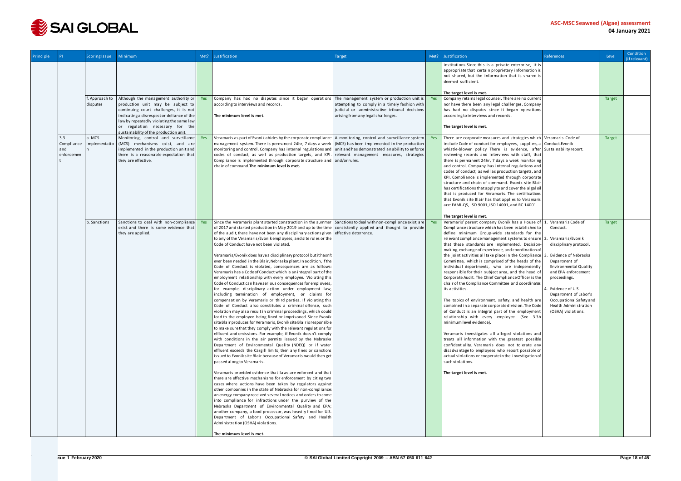

| Principle |                                        | <b>Scoring Issue</b>       | Minimum                                                                                                                                                                                                                                                                                        | Met? | Justification                                                                                                                                                                                                                                                                                                                                                                                                                                                                                                                                                                                                                                                                                                                                                                                                                                                                                                                                                                                                                                                                                                                                                                                                                                                                                                                                                                                                                                                                                                                                                                                                                                                                                                                                                                                                                                                                                                                                                                                                                                                                                                                                                                                                                                                                                                 | Target                                                                                                                                                                                   |     | Met? Justification<br>References                                                                                                                                                                                                                                                                                                                                                                                                                                                                                                                                                                                                                                                                                                                                                                                                                                                                                                                                                                                                                                                                                                                                                                                                                                                                                                                                                                                                                                                                                                                                          | Level         | Condition<br>(if relevant) |
|-----------|----------------------------------------|----------------------------|------------------------------------------------------------------------------------------------------------------------------------------------------------------------------------------------------------------------------------------------------------------------------------------------|------|---------------------------------------------------------------------------------------------------------------------------------------------------------------------------------------------------------------------------------------------------------------------------------------------------------------------------------------------------------------------------------------------------------------------------------------------------------------------------------------------------------------------------------------------------------------------------------------------------------------------------------------------------------------------------------------------------------------------------------------------------------------------------------------------------------------------------------------------------------------------------------------------------------------------------------------------------------------------------------------------------------------------------------------------------------------------------------------------------------------------------------------------------------------------------------------------------------------------------------------------------------------------------------------------------------------------------------------------------------------------------------------------------------------------------------------------------------------------------------------------------------------------------------------------------------------------------------------------------------------------------------------------------------------------------------------------------------------------------------------------------------------------------------------------------------------------------------------------------------------------------------------------------------------------------------------------------------------------------------------------------------------------------------------------------------------------------------------------------------------------------------------------------------------------------------------------------------------------------------------------------------------------------------------------------------------|------------------------------------------------------------------------------------------------------------------------------------------------------------------------------------------|-----|---------------------------------------------------------------------------------------------------------------------------------------------------------------------------------------------------------------------------------------------------------------------------------------------------------------------------------------------------------------------------------------------------------------------------------------------------------------------------------------------------------------------------------------------------------------------------------------------------------------------------------------------------------------------------------------------------------------------------------------------------------------------------------------------------------------------------------------------------------------------------------------------------------------------------------------------------------------------------------------------------------------------------------------------------------------------------------------------------------------------------------------------------------------------------------------------------------------------------------------------------------------------------------------------------------------------------------------------------------------------------------------------------------------------------------------------------------------------------------------------------------------------------------------------------------------------------|---------------|----------------------------|
|           |                                        |                            |                                                                                                                                                                                                                                                                                                |      |                                                                                                                                                                                                                                                                                                                                                                                                                                                                                                                                                                                                                                                                                                                                                                                                                                                                                                                                                                                                                                                                                                                                                                                                                                                                                                                                                                                                                                                                                                                                                                                                                                                                                                                                                                                                                                                                                                                                                                                                                                                                                                                                                                                                                                                                                                               |                                                                                                                                                                                          |     | institutions. Since this is a private enterprise, it is<br>appropriate that certain proprietary information is<br>not shared, but the information that is shared is<br>deemed sufficient.<br>The target level is met.                                                                                                                                                                                                                                                                                                                                                                                                                                                                                                                                                                                                                                                                                                                                                                                                                                                                                                                                                                                                                                                                                                                                                                                                                                                                                                                                                     |               |                            |
|           |                                        | f. Approach to<br>disputes | Although the management authority or Yes<br>production unit may be subject to<br>continuing court challenges, it is not<br>indicating a disrespect or defiance of the<br>law by repeatedly violating the same law<br>or regulation necessary for the<br>sustainability of the production unit. |      | Company has had no disputes since it began operations<br>according to interviews and records.<br>The minimum level is met.                                                                                                                                                                                                                                                                                                                                                                                                                                                                                                                                                                                                                                                                                                                                                                                                                                                                                                                                                                                                                                                                                                                                                                                                                                                                                                                                                                                                                                                                                                                                                                                                                                                                                                                                                                                                                                                                                                                                                                                                                                                                                                                                                                                    | The management system or production unit is $\ $<br>attempting to comply in a timely fashion with<br>judicial or administrative tribunal decisions<br>arising from any legal challenges. | Yes | Company retains legal counsel. There are no current<br>nor have there been any legal challenges. Company<br>has had no disputes since it began operations<br>according to interviews and records.<br>The target level is met.                                                                                                                                                                                                                                                                                                                                                                                                                                                                                                                                                                                                                                                                                                                                                                                                                                                                                                                                                                                                                                                                                                                                                                                                                                                                                                                                             | <b>Target</b> |                            |
|           | 3.3<br>Compliance<br>and<br>enforcemen | a. MCS<br>implementatio    | Monitoring, control and surveillance Yes<br>(MCS) mechanisms exist, and are<br>implemented in the production unit and<br>there is a reasonable expectation that<br>they are effective.                                                                                                         |      | Veramaris as part of Evonik abides by the corporate compliance $\vert$ A monitoring, control and surveillance system<br>management system. There is permanent 24hr, 7 days a week $\vert$ (MCS) has been implemented in the production<br>monitoring and control. Company has internal regulations and unit and has demonstrated an ability to enforce<br>codes of conduct, as well as production targets, and KPI.<br>Compliance is implemented through corporate structure and and/or rules.<br>chain of command. The minimum level is met.                                                                                                                                                                                                                                                                                                                                                                                                                                                                                                                                                                                                                                                                                                                                                                                                                                                                                                                                                                                                                                                                                                                                                                                                                                                                                                                                                                                                                                                                                                                                                                                                                                                                                                                                                                 | relevant management measures, strategies                                                                                                                                                 |     | There are corporate measures and strategies which   Veramaris Code of<br>include Code of conduct for employees, suppliers, a Conduct. Evonik<br>whistle-blower policy There is evidence, after Sustainability report.<br>reviewing records and interviews with staff, that<br>there is permanent 24hr, 7 days a week monitoring<br>and control. Company has internal regulations and<br>codes of conduct, as well as production targets, and<br>KPI. Compliance is implemented through corporate<br>structure and chain of command. Evonik site Blair<br>has certifications that apply to and cover the algal oil<br>that is produced for Veramaris. The certifications<br>that Evonik site Blair has that applies to Veramaris<br>are: FAMI-QS, ISO 9001, ISO 14001, and RC 14001.<br>The target level is met.                                                                                                                                                                                                                                                                                                                                                                                                                                                                                                                                                                                                                                                                                                                                                           | <b>Target</b> |                            |
|           |                                        | b. Sanctions               | Sanctions to deal with non-compliance Yes<br>exist and there is some evidence that<br>they are applied.                                                                                                                                                                                        |      | Since the Veramaris plant started construction in the summer Sanctions to deal with non-compliance exist, are<br>of 2017 and started production in May 2019 and up to the time<br>of the audit, there have not been any disciplinary actions given<br>to any of the Veramaris/Evonik employees, and site rules or the<br>Code of Conduct have not been violated.<br>Veramaris/Evonik does have a disciplinary protocol but it hasn't<br>ever been needed in the Blair, Nebraska plant. In addition, if the<br>Code of Conduct is violated, consequences are as follows:<br>Veramaris has a Code of Conduct which is an integral part of the<br>employment relationship with every employee. Violating this<br>Code of Conduct can have serious consequences for employees,<br>for example, disciplinary action under employment law,<br>including termination of employment, or claims for<br>compensation by Veramaris or third parties. If violating this<br>Code of Conduct also constitutes a criminal offense, such<br>violation may also result in criminal proceedings, which could<br>lead to the employee being fined or imprisoned. Since Evonik<br>site Blair produces for Veramaris, Evonik site Blairis responsible<br>to make sure that they comply with the relevant regulations for<br>effluent and emissions. For example, if Evonik doesn't comply<br>with conditions in the air permits issued by the Nebraska<br>Department of Environmental Quality (NDEQ) or if water<br>effluent exceeds the Cargill limits, then any fines or sanctions<br>issued to Evonik site Blair because of Veramaris would then get<br>passed along to Veramaris.<br>Veramaris provided evidence that laws are enforced and that<br>there are effective mechanisms for enforcement by citing two<br>cases where actions have been taken by regulators against<br>other companies in the state of Nebraska for non-compliance:<br>an energy company received several notices and orders to come<br>into compliance for infractions under the purview of the<br>Nebraska Department of Environmental Quality and EPA;<br>another company, a food processor, was heavily fined for U.S.<br>Department of Labor's Occupational Safety and Health<br>Administration (OSHA) violations.<br>The minimum level is met. | consistently applied and thought to provide<br>effective deterrence.                                                                                                                     | Yes | Veramaris' parent company Evonik has a House of 1<br>Veramaris Code of<br>Compliance structure which has been established to<br>Conduct.<br>define minimum Group-wide standards for the<br>relevant compliance management systems to ensure   2. Veramaris/Evonik<br>that these standards are implemented. Decision-<br>disciplinary protocol.<br>making, exchange of experience, and coordination of<br>the joint activities all take place in the Compliance<br>Evidence of Nebraska<br>Committee, which is comprised of the heads of the<br>Department of<br>individual departments, who are independently<br><b>Environmental Quality</b><br>and EPA enforcement<br>responsible for their subject area, and the head of<br>Corporate Audit. The Chief Compliance Officer is the<br>proceedings.<br>chair of the Compliance Committee and coordinates<br>its activities.<br>Evidence of U.S.<br>Department of Labor's<br>Occupational Safety and<br>The topics of environment, safety, and health are<br>Health Administration<br>combined in a separate corporate division. The Code<br>of Conduct is an integral part of the employment<br>(OSHA) violations.<br>relationship with every employee. (See 3.3b<br>minimum level evidence).<br>Veramaris investigates all alleged violations and<br>treats all information with the greatest possible<br>confidentiality. Veramaris does not tolerate any<br>disadvantage to employees who report possible or<br>actual violations or cooperate in the investigation of<br>such violations.<br>The target level is met. | <b>Target</b> |                            |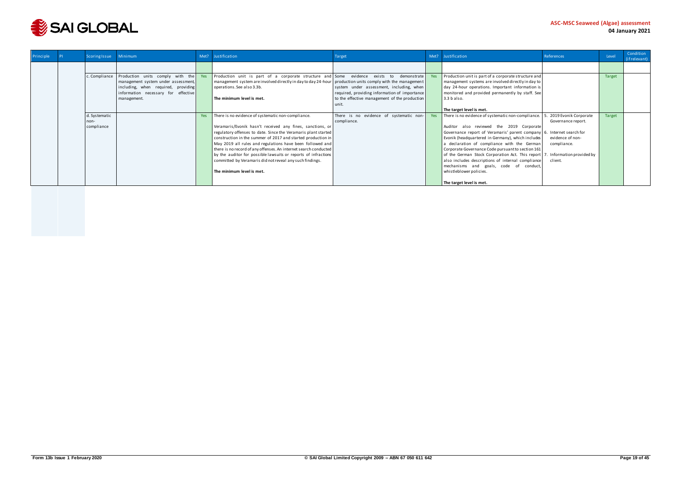

| Principle | Scoring Issue         | Minimum                                                                                                                                                              | Met? | Justification                                                                                                                                                                                                                                                                                                                                                                                                                                                                             | Target                                                                                                                                     | Met? | Justification<br>References                                                                                                                                                                                                                                                                                                                                                                                                                                                                                                            | Level         | Condition<br>(if relevant) |
|-----------|-----------------------|----------------------------------------------------------------------------------------------------------------------------------------------------------------------|------|-------------------------------------------------------------------------------------------------------------------------------------------------------------------------------------------------------------------------------------------------------------------------------------------------------------------------------------------------------------------------------------------------------------------------------------------------------------------------------------------|--------------------------------------------------------------------------------------------------------------------------------------------|------|----------------------------------------------------------------------------------------------------------------------------------------------------------------------------------------------------------------------------------------------------------------------------------------------------------------------------------------------------------------------------------------------------------------------------------------------------------------------------------------------------------------------------------------|---------------|----------------------------|
|           |                       |                                                                                                                                                                      |      |                                                                                                                                                                                                                                                                                                                                                                                                                                                                                           |                                                                                                                                            |      |                                                                                                                                                                                                                                                                                                                                                                                                                                                                                                                                        |               |                            |
|           | c. Compliance         | Production units comply with the<br>management system under assessment,<br>including, when required, providing<br>information necessary for effective<br>management. | Yes  | Production unit is part of a corporate structure and Some evidence exists to demonstrate<br>management system are involved directly in day to day 24-hour production units comply with the management<br>operations. See also 3.3b.<br>l The minimum level is met.                                                                                                                                                                                                                        | system under assessment, including, when<br>required, providing information of importance<br>to the effective management of the production |      | Production unit is part of a corporate structure and<br>management systems are involved directly in day to<br>day 24-hour operations. Important information is<br>monitored and provided permanently by staff. See<br>3.3 b also.                                                                                                                                                                                                                                                                                                      | <b>Target</b> |                            |
|           |                       |                                                                                                                                                                      |      |                                                                                                                                                                                                                                                                                                                                                                                                                                                                                           | unit.                                                                                                                                      |      | The target level is met.                                                                                                                                                                                                                                                                                                                                                                                                                                                                                                               |               |                            |
|           | d. Systematic<br>non- |                                                                                                                                                                      | Yes  | There is no evidence of systematic non-compliance.                                                                                                                                                                                                                                                                                                                                                                                                                                        | There is no evidence of systematic non- $\ $<br>compliance.                                                                                | Yes  | There is no evidence of systematic non-compliance.<br>2019 Evonik Corporate<br>Governance report.                                                                                                                                                                                                                                                                                                                                                                                                                                      | Target        |                            |
|           | compliance            |                                                                                                                                                                      |      | Veramaris/Evonik hasn't received any fines, sanctions, or<br>regulatory offenses to date. Since the Veramaris plant started<br>construction in the summer of 2017 and started production in<br>May 2019 all rules and regulations have been followed and<br>there is no record of any offenses. An internet search conducted<br>by the auditor for possible lawsuits or reports of infractions<br>committed by Veramaris did not reveal any such findings.<br>l The minimum level is met. |                                                                                                                                            |      | Auditor also reviewed the 2019 Corporate<br>Governance report of Veramaris' parent company 6. Internet search for<br>Evonik (headquartered in Germany), which includes<br>evidence of non-<br>a declaration of compliance with the German<br>compliance.<br>Corporate Governance Code pursuant to section 161<br>of the German Stock Corporation Act. This report   7.<br>Information provided by<br>also includes descriptions of internal compliance<br>client.<br>mechanisms and goals, code of conduct,<br>whistleblower policies. |               |                            |
|           |                       |                                                                                                                                                                      |      |                                                                                                                                                                                                                                                                                                                                                                                                                                                                                           |                                                                                                                                            |      | The target level is met.                                                                                                                                                                                                                                                                                                                                                                                                                                                                                                               |               |                            |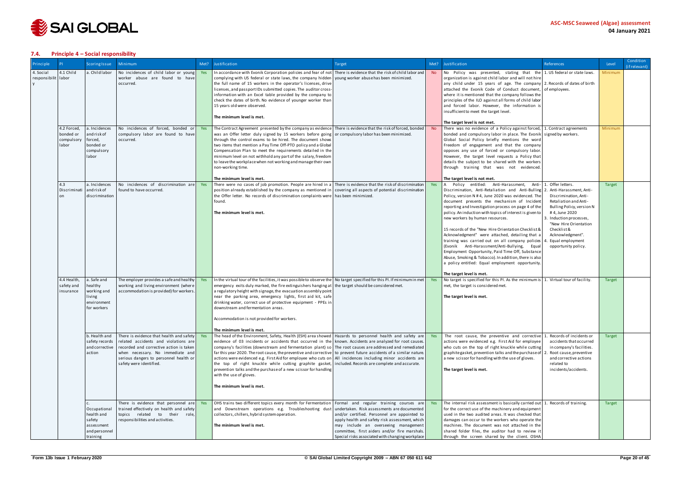

#### <span id="page-19-0"></span>**7.4. Principle 4 – Social responsibility**

| Principle                        |                                                 | Scoring Issue                                                                   | <b>Minimum</b>                                                                                                                                                                                                                       | Met?       | Justification                                                                                                                                                                                                                                                                                                                                                                                                                                                                                                                                                                                                                                                                                                                                                                                                 | Target                                                                                                                                                                                                                                                                                     | Met?           | Justification<br>References                                                                                                                                                                                                                                                                                                                                                                                                                                                                                                                                                                                                                                                                                                                                                                                                                                                                                                                                                                                                                                                          | Level         | Condition<br>(if relevant) |
|----------------------------------|-------------------------------------------------|---------------------------------------------------------------------------------|--------------------------------------------------------------------------------------------------------------------------------------------------------------------------------------------------------------------------------------|------------|---------------------------------------------------------------------------------------------------------------------------------------------------------------------------------------------------------------------------------------------------------------------------------------------------------------------------------------------------------------------------------------------------------------------------------------------------------------------------------------------------------------------------------------------------------------------------------------------------------------------------------------------------------------------------------------------------------------------------------------------------------------------------------------------------------------|--------------------------------------------------------------------------------------------------------------------------------------------------------------------------------------------------------------------------------------------------------------------------------------------|----------------|--------------------------------------------------------------------------------------------------------------------------------------------------------------------------------------------------------------------------------------------------------------------------------------------------------------------------------------------------------------------------------------------------------------------------------------------------------------------------------------------------------------------------------------------------------------------------------------------------------------------------------------------------------------------------------------------------------------------------------------------------------------------------------------------------------------------------------------------------------------------------------------------------------------------------------------------------------------------------------------------------------------------------------------------------------------------------------------|---------------|----------------------------|
| 4. Social<br>responsibilit labor | 4.1 Child                                       | a. Child labor                                                                  | No incidences of child labor or young<br>worker abuse are found to have<br>occurred.                                                                                                                                                 | Yes        | In accordance with Evonik Corporation policies and fear of not There is evidence that the risk of child labor and<br>complying with US federal or state laws, the company hidden<br>the full name of 15 workers in the operator's licenses, drive<br>licenses, and passport IDs submitted copies. The auditor cross-<br>information with an Excel table provided by the company to<br>check the dates of birth. No evidence of younger worker than<br>15 years old were observed.<br>The minimum level is met.                                                                                                                                                                                                                                                                                                | young worker abuse has been minimized.                                                                                                                                                                                                                                                     | <b>No</b>      | No Policy was presented, stating that the $\vert$ 1. US federal or state laws.<br>organization is against child labor and will not hire<br>any child under 15 years of age. The company 2. Records of dates of birth<br>attached the Evonik Code of Conduct document, of employees.<br>where it is mentioned that the company follows the<br>principles of the ILO against all forms of child labor<br>and forced labor. However, the information is<br>insufficient to meet the target level.<br>The target level is not met.                                                                                                                                                                                                                                                                                                                                                                                                                                                                                                                                                       | Minimum       |                            |
|                                  | 4.2 Forced,<br>bonded or<br>compulsory<br>labor | a. Incidences<br>and risk of<br>forced,<br>bonded or<br>compulsory<br>labor     | No incidences of forced, bonded or<br>compulsory labor are found to have<br>occurred.                                                                                                                                                | <b>Yes</b> | The Contract Agreement presented by the company as evidence There is evidence that the risk of forced, bonded<br>was an Offer letter duly signed by 15 workers before going or compulsory labor has been minimized.<br>through the control exams to be hired. The document shows<br>two items that mention a Pay Time Off-PTO policy and a Global<br>Compensation Plan to meet the requirements detailed in the<br>minimum level on not withhold any part of the salary, freedom<br>to leave the workplace when not working and manage their own<br>non-working time.                                                                                                                                                                                                                                         |                                                                                                                                                                                                                                                                                            | N <sub>o</sub> | There was no evidence of a Policy against forced,   1. Contract agreements<br>bonded and compulsory labor in place. The Evonik signed by workers.<br>Global Social Policy briefly mentions the word<br>Freedom of engagement and that the company<br>opposes any use of forced or compulsory labor.<br>However, the target level requests a Policy that<br>details the subject to be shared with the workers<br>through training that was not evidenced.                                                                                                                                                                                                                                                                                                                                                                                                                                                                                                                                                                                                                             | Minimum       |                            |
|                                  | 4.3<br>Discriminati                             | a. Incidences<br>andriskof<br>discrimination                                    | No incidences of discrimination are<br>found to have occurred.                                                                                                                                                                       | Yes        | The minimum level is met.<br>There were no cases of job promotion. People are hired in a There is evidence that the risk of discrimination<br>position already established by the company as mentioned in covering all aspects of potential discrimination<br>the Offer letter. No records of discrimination complaints were   has been minimized.<br>found.<br>The minimum level is met.                                                                                                                                                                                                                                                                                                                                                                                                                     |                                                                                                                                                                                                                                                                                            | Yes            | The target level is not met.<br>Offer letters.<br>Policy entitled: Anti-Harassment, Anti-<br>Discrimination, Anti-Retaliation and Anti-Bulling 2. Anti-Harassment, Anti-<br>Policy, version N #4, June 2020 was evidenced. The<br>Discrimination. Anti-<br>document presents the mechanism of Incident<br>Retaliation and Anti-<br>reporting and Investigation process on page 4 of the<br>Bulling Policy, version N<br>policy. An induction with topics of interest is given to<br>#4, June 2020<br>new workers by human resources.<br>. Induction processes,<br>"New Hire Orientation<br>15 records of the "New Hire Orientation Checklist &<br>Checklist &<br>Acknowledgment" were attached, detailing that a<br>Acknowledgment".<br>training was carried out on all company policies   4<br>Equal employment<br>(Evonik Anti-Harassment/Anti-Bullying, Equal<br>opportunity policy.<br>Employment Opportunity, Paid Time Off, Substance<br>Abuse, Smoking & Tobacco). In addition, there is also<br>a policy entitled: Equal employment opportunity.<br>The target level is met. | <b>Target</b> |                            |
|                                  | 4.4 Health,<br>safety and<br>insurance          | a. Safe and<br>healthy<br>working and<br>iving<br>environment<br>for workers    | The employer provides a safe and healthy<br>working and living environment (where<br>accommodation is provided) for workers.                                                                                                         | Yes        | In the virtual tour of the facilities, it was possible to observe the No target specified for this PI. If minimum in met<br>emergency exits duly marked, the fire extinguishers hanging at the target should be considered met.<br>a regulatory height with signage, the evacuation assembly point<br>near the parking area, emergency lights, first aid kit, safe<br>drinking water, correct use of protective equipment - PPEs in<br>downstream and fermentation areas.<br>Accommodation is not provided for workers.<br>The minimum level is met.                                                                                                                                                                                                                                                          |                                                                                                                                                                                                                                                                                            | Yes            | No target is specified for this PI. As the minimum is 1. Virtual tour of facility.<br>met, the target is considered met.<br>The target level is met.                                                                                                                                                                                                                                                                                                                                                                                                                                                                                                                                                                                                                                                                                                                                                                                                                                                                                                                                 | <b>Target</b> |                            |
|                                  |                                                 | b. Health and<br>safety records<br>and corrective<br>action                     | There is evidence that health and safety<br>related accidents and violations are<br>recorded and corrective action is taken<br>when necessary. No immediate and<br>serious dangers to personnel health or<br>safety were identified. | Yes        | The head of the Environment, Safety, Health (ESH) area showed   Hazards to personnel health and safety are<br>evidence of 03 incidents or accidents that occurred in the known. Accidents are analyzed for root causes.<br>company's facilities (downstream and fermentation plant) so The root causes are addressed and remediated<br>far this year 2020. The root cause, the preventive and corrective to prevent future accidents of a similar nature.<br>actions were evidenced e.g. First Aid for employee who cuts on   All incidences including minor accidents are<br>the top of right knuckle while cutting graphite gasket, included. Records are complete and accurate.<br>prevention talks and the purchase of a new scissor for handling<br>with the use of gloves.<br>The minimum level is met. |                                                                                                                                                                                                                                                                                            | Yes            | Records of incidents or<br>The root cause, the preventive and corrective 1.<br>actions were evidenced e.g. First Aid for employee<br>accidents that occurred<br>who cuts on the top of right knuckle while cutting<br>in company's facilities.<br>graphite gasket, prevention talks and the purchase of 2<br>Root cause, preventive<br>a new scissor for handling with the use of gloves.<br>and corrective actions<br>related to<br>The target level is met.<br>incidents/accidents.                                                                                                                                                                                                                                                                                                                                                                                                                                                                                                                                                                                                | Target        |                            |
|                                  |                                                 | Occupational<br>health and<br>safety<br>assessment<br>and personnel<br>training | There is evidence that personnel are<br>trained effectively on health and safety<br>topics related to their role,<br>responsibilities and activities.                                                                                |            | OHS trains two different topics every month for Fermentation Formal and regular training courses are<br>and Downstream operations e.g. Troubleshooting dust<br>collectors, chillers, hybrid system operation.<br>The minimum level is met.                                                                                                                                                                                                                                                                                                                                                                                                                                                                                                                                                                    | undertaken. Risk assessments are documented<br>and/or certified. Personnel are appointed to<br>apply health and safety risk assessment, which<br>may include an overseeing management<br>committee, first aiders and/or fire marshals.<br>Special risks associated with changing workplace |                | The internal risk assessment is basically carried out 1. Records of training.<br>for the correct use of the machinery and equipment<br>used in the two audited areas. It was checked that<br>damages can occur to the workers who operate the<br>machines. The document was not attached in the<br>shared folder files, the auditor had to review it<br>through the screen shared by the client. OSHA                                                                                                                                                                                                                                                                                                                                                                                                                                                                                                                                                                                                                                                                                | Target        |                            |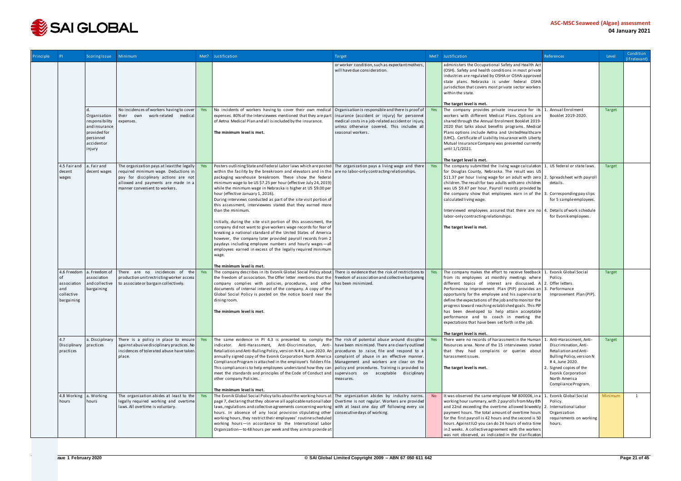

| Principle |                                                | <b>Scoring Issue</b>                                                                                 | Minimum                                                                                                                                                                                           | Met? | Justification                                                                                                                                                                                                                                                                                                                                                                                                                                                                                                                                                                                                                                                                                                                                                                                                                                                                                                                                                                                                                             | Target                                                                                                                                                                 | Met?      | Justification                                                                                                                                                                                                                                                                                                                                                                                                                                                                                                                               | References                                                                                                                                                                                                      | Level   | Condition<br>(if relevant) |
|-----------|------------------------------------------------|------------------------------------------------------------------------------------------------------|---------------------------------------------------------------------------------------------------------------------------------------------------------------------------------------------------|------|-------------------------------------------------------------------------------------------------------------------------------------------------------------------------------------------------------------------------------------------------------------------------------------------------------------------------------------------------------------------------------------------------------------------------------------------------------------------------------------------------------------------------------------------------------------------------------------------------------------------------------------------------------------------------------------------------------------------------------------------------------------------------------------------------------------------------------------------------------------------------------------------------------------------------------------------------------------------------------------------------------------------------------------------|------------------------------------------------------------------------------------------------------------------------------------------------------------------------|-----------|---------------------------------------------------------------------------------------------------------------------------------------------------------------------------------------------------------------------------------------------------------------------------------------------------------------------------------------------------------------------------------------------------------------------------------------------------------------------------------------------------------------------------------------------|-----------------------------------------------------------------------------------------------------------------------------------------------------------------------------------------------------------------|---------|----------------------------|
|           |                                                |                                                                                                      |                                                                                                                                                                                                   |      |                                                                                                                                                                                                                                                                                                                                                                                                                                                                                                                                                                                                                                                                                                                                                                                                                                                                                                                                                                                                                                           | or worker condition, such as expectant mothers,<br>will have due consideration.                                                                                        |           | administers the Occupational Safety and Health Act<br>(OSH). Safety and health conditions in most private<br>industries are regulated by OSHA or OSHA-approved<br>state plans. Nebraska is under federal OSHA<br>jurisdiction that covers most private sector workers<br>within the state.                                                                                                                                                                                                                                                  |                                                                                                                                                                                                                 |         |                            |
|           |                                                |                                                                                                      |                                                                                                                                                                                                   |      |                                                                                                                                                                                                                                                                                                                                                                                                                                                                                                                                                                                                                                                                                                                                                                                                                                                                                                                                                                                                                                           |                                                                                                                                                                        |           | The target level is met.                                                                                                                                                                                                                                                                                                                                                                                                                                                                                                                    |                                                                                                                                                                                                                 |         |                            |
|           |                                                | Organisation<br>responsibility<br>and insurance<br>provided for<br>personnel<br>accidentor<br>injury | No incidences of workers having to cover<br>their own<br>work-related medical<br>expenses.                                                                                                        | Yes  | No incidents of workers having to cover their own medical Organisation is responsible and there is proof of Yes<br>expenses. 80% of the Interviewees mentioned that they are part<br>of Aetna Medical Plan and all is included by the insurance.<br>The minimum level is met.                                                                                                                                                                                                                                                                                                                                                                                                                                                                                                                                                                                                                                                                                                                                                             | insurance (accident or injury) for personnel<br>medical costs in a job-related accident or injury,<br>unless otherwise covered. This includes all<br>seasonal workers. |           | The company provides private insurance for its<br>workers with different Medical Plans. Options are<br>shared through the Annual Enrolment Booklet 2019-<br>2020 that talks about benefits programs. Medical<br>Plans options include Aetna and UnitedHealthcare<br>(UHC). Certificate of Liability Insurance with Liberty<br>Mutual Insurance Company was presented currently<br>until 1/1/2021.                                                                                                                                           | Annual Enrolment<br>Booklet 2019-2020.                                                                                                                                                                          | Target  |                            |
|           |                                                |                                                                                                      |                                                                                                                                                                                                   |      |                                                                                                                                                                                                                                                                                                                                                                                                                                                                                                                                                                                                                                                                                                                                                                                                                                                                                                                                                                                                                                           |                                                                                                                                                                        |           | The target level is met.                                                                                                                                                                                                                                                                                                                                                                                                                                                                                                                    |                                                                                                                                                                                                                 |         |                            |
|           | 4.5 Fair and a. Fair and<br>decent<br>wages    | decent wages                                                                                         | The organization pays at least the legally<br>required minimum wage. Deductions in<br>pay for disciplinary actions are not<br>allowed and payments are made in a<br>manner convenient to workers. | Yes  | Posters outlining State and Federal Labor laws which are posted   The organization pays a living wage and there   Yes<br>within the facility by the breakroom and elevators and in the $\vert$ are no labor-only contracting relationships.<br>packaging warehouse breakroom. These show the federal<br>minimum wage to be US \$7.25 per hour (effective July 24, 2019)<br>while the minimum wage in Nebraska is higher at US \$9.00 per<br>hour (effective January 1, 2016).<br>During interviews conducted as part of the site visit portion of<br>this assessment, interviewees stated that they earned more<br>than the minimum.<br>Initially, during the site visit portion of this assessment, the<br>company did not want to give workers wage records for fear of<br>breaking a national standard of the United States of America<br>however, the company later provided payroll records from 2<br>paydays including employee numbers and hourly wages-all<br>employees earned in excess of the legally required minimum<br>wage. |                                                                                                                                                                        |           | The company submitted the living wage calculation<br>for Douglas County, Nebraska. The result was US<br>\$11.37 per hour living wage for an adult with zero 2. Spreadsheet with payroll<br>children. The result for two adults with zero children<br>was US \$9.47 per hour. Payroll records provided by<br>the company show that employees earn in of the<br>calculated living wage.<br>Interviewed employees assured that there are no 4<br>labor-only contracting relationships.<br>The target level is met.                             | 1. US federal or state laws.<br>details.<br>Corresponding pay slips<br>for 5 sample employees.<br>Details of work schedule<br>for Evonik employees.                                                             | Target  |                            |
|           | 4.6 Freedom                                    | a. Freedom of                                                                                        | There are no incidences of the                                                                                                                                                                    | Yes  | The minimum level is met.<br>The company describes in its Evonik Global Social Policy about There is evidence that the risk of restrictions to                                                                                                                                                                                                                                                                                                                                                                                                                                                                                                                                                                                                                                                                                                                                                                                                                                                                                            |                                                                                                                                                                        | Yes       | The company makes the effort to receive feedback 1. Evonik Global Social                                                                                                                                                                                                                                                                                                                                                                                                                                                                    |                                                                                                                                                                                                                 | Target  |                            |
|           | association<br>and<br>collective<br>bargaining | association<br>and collective<br>bargaining                                                          | production unit restricting worker access<br>to associate or bargain collectively.                                                                                                                |      | the freedom of association. The Offer letter mentions that the freedom of association and collective bargaining<br>company complies with policies, procedures, and other has been minimized.<br>documents of internal interest of the company. A copy of the<br>Global Social Policy is posted on the notice board near the<br>dining room.<br>The minimum level is met.                                                                                                                                                                                                                                                                                                                                                                                                                                                                                                                                                                                                                                                                  |                                                                                                                                                                        |           | from its employees at monthly meetings where<br>different topics of interest are discussed. $A \mid 2$ . Offer letters.<br>Performance Improvement Plan (PIP) provides an 3. Performance<br>opportunity for the employee and his supervisor to<br>define the expectations of the job and to monitor the<br>progress toward reaching established goals. This PIP<br>has been developed to help attain acceptable<br>performance and to coach in meeting the<br>expectations that have been set forth in the job.<br>The target level is met. | Policy.<br>Improvement Plan (PIP).                                                                                                                                                                              |         |                            |
|           | 4.7<br>Disciplinary practices<br>practices     | a. Disciplinary                                                                                      | There is a policy in place to ensure<br>against abusive disciplinary practices. No<br>incidences of tolerated abuse have taken<br>place.                                                          | Yes  | The same evidence in PI 4.3 is presented to comply the The risk of potential abuse around discipline Yes<br>indicator. Anti-Harassment, Anti-Discrimination, Anti-   have been minimized. There are clearly outlined<br>Retaliation and Anti-Bulling Policy, version N#4, June 2020. An procedures to raise, file and respond to a<br>annually signed copy of the Evonik Corporation North America   complaint of abuse in an effective manner.<br>Compliance Program is attached in the employee's folders file. Management and workers are clear on the<br>This compliance is to help employees understand how they can   policy and procedures. Training is provided to  <br>meet the standards and principles of the Code of Conduct and<br>other company Policies.<br>The minimum level is met.                                                                                                                                                                                                                                      | supervisors on acceptable disciplinary<br>measures.                                                                                                                    |           | There were no records of harassmentin the Human<br>Resources area. None of the 15 interviewees stated<br>that they had complains or queries about<br>harassmentissues.<br>The target level is met.                                                                                                                                                                                                                                                                                                                                          | Anti-Harassment, Anti-<br>Discrimination. Anti-<br>Retaliation and Anti-<br>Bulling Policy, version N<br>#4, June 2020.<br>. Signed copies of the<br>Evonik Corporation<br>North America<br>Compliance Program. | Target  |                            |
|           | 4.8 Working a. Working<br>hours                | hours                                                                                                | The organization abides at least to the Yes<br>legally required working and overtime<br>laws. All overtime is voluntary.                                                                          |      | The Evonik Global Social Policy talks about the working hours at   The organization abides by industry norms.<br>page 7, declaring that they observe all applicable national labor   Overtime is not regular. Workers are provided<br>laws, regulations and collective agreements concerning working with at least one day off following every six<br>hours. In absence of any local provision stipulating other<br>working hours, they restrict their employees' routine scheduled<br>working hours-in accordance to the International Labor<br>Organization-to 48 hours per week and they aim to provide at                                                                                                                                                                                                                                                                                                                                                                                                                             | consecutive days of working.                                                                                                                                           | <b>No</b> | It was observed the same employee N# 800006, in a<br>working hour summary, with 2 payrolls from May 8th<br>and 22nd exceeding the overtime allowed biweekly<br>payment hours. The total amount of overtime hours<br>for the first payroll is 42 hours and the second is 50<br>hours. Against ILO you can do 24 hours of extra time<br>in 2 weeks. A collective agreement with the workers<br>was not observed, as indicated in the clarification                                                                                            | Evonik Global Social<br>Policy.<br>International Labor<br>Organization<br>requirements on working<br>hours.                                                                                                     | Minimum | 1                          |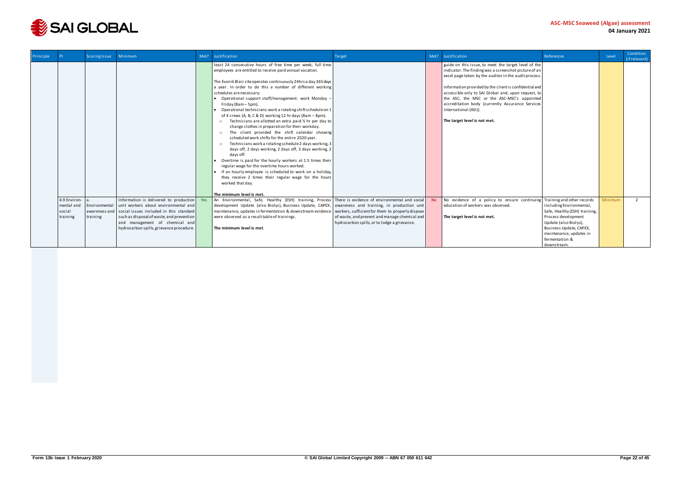

| Principle |                                                  | <b>Scoring Issue</b>                       | Minimum                                                                                                                                                                                                                                                  | Met? | Justification                                                                                                                                                                                                                                                                                                                                                                                                                                                                                                                                                                                                                                                                                                                                                                                                                                                                                                                                                                                                                                                                                                                                                                       | Target                                                                                                                                            | Met? | Justification                                                                                                                                                                                                                                                                                                                                                                                                                                       | References                                                                                                                                                                                       | Level   | Condition<br>(if relevant) |
|-----------|--------------------------------------------------|--------------------------------------------|----------------------------------------------------------------------------------------------------------------------------------------------------------------------------------------------------------------------------------------------------------|------|-------------------------------------------------------------------------------------------------------------------------------------------------------------------------------------------------------------------------------------------------------------------------------------------------------------------------------------------------------------------------------------------------------------------------------------------------------------------------------------------------------------------------------------------------------------------------------------------------------------------------------------------------------------------------------------------------------------------------------------------------------------------------------------------------------------------------------------------------------------------------------------------------------------------------------------------------------------------------------------------------------------------------------------------------------------------------------------------------------------------------------------------------------------------------------------|---------------------------------------------------------------------------------------------------------------------------------------------------|------|-----------------------------------------------------------------------------------------------------------------------------------------------------------------------------------------------------------------------------------------------------------------------------------------------------------------------------------------------------------------------------------------------------------------------------------------------------|--------------------------------------------------------------------------------------------------------------------------------------------------------------------------------------------------|---------|----------------------------|
|           |                                                  |                                            |                                                                                                                                                                                                                                                          |      | least 24 consecutive hours of free time per week; full time<br>employees are entitled to receive paid annual vacation.<br>The Evonik Blair site operates continuously 24hrs a day 365 days<br>a year. In order to do this a number of different working<br>schedules are necessary:<br>• Operational support staff/management: work Monday -<br>Friday (8am - 5pm).<br>Operational technicians: work a rotating shift schedule on 1<br>of 4 crews (A, B, C & D) working 12 hr days (8am - 8pm).<br>$\circ$ Technicians are allotted an extra paid $\frac{1}{2}$ hr per day to<br>change clothes in preparation for their workday.<br>The client provided the shift calendar showing<br>$\circ$<br>scheduled work shifts for the entire 2020 year.<br>Technicians work a rotating schedule 2 days working, 3<br>$\circ$<br>days off, 2 days working, 2 days off, 3 days working, 2<br>days off.<br>Overtime is paid for the hourly workers at 1.5 times their<br>regular wage for the overtime hours worked.<br>• If an hourly employee is scheduled to work on a holiday,<br>they receive 2 times their regular wage for the hours<br>worked that day.<br>The minimum level is met. |                                                                                                                                                   |      | guide on this issue, to meet the target level of the<br>indicator. The finding was a screenshot picture of an<br>excel page taken by the auditor in the audit process.<br>Information provided by the client is confidential and<br>accessible only to SAI Global and, upon request, to<br>the ASC, the MSC or the ASC-MSC's appointed<br>accreditation body (currently Assurance Services<br>International (ASI)).<br>The target level is not met. |                                                                                                                                                                                                  |         |                            |
|           | 4.9 Environ-<br>mental and<br>social<br>training | Environmental<br>awareness and<br>training | Information is delivered to production Yes<br>unit workers about environmental and<br>social issues included in this standard<br>such as disposal of waste, and prevention<br>and management of chemical and<br>hydrocarbon spills, grievance procedure. |      | An Environmental, Safe, Healthy (ESH) training, Process There is evidence of environmental and social<br>development Update (also Biolys), Business Update, CAPEX, awareness and training, in production unit<br>maintenance, updates in fermentation & downstream evidence<br>were observed as a result table of trainings.<br>The minimum level is met.                                                                                                                                                                                                                                                                                                                                                                                                                                                                                                                                                                                                                                                                                                                                                                                                                           | workers, sufficient for them to properly dispose<br>of waste, and prevent and manage chemical and<br>hydrocarbon spills, or to lodge a grievance. |      | No evidence of a policy to ensure continuing Training and other records<br>education of workers was observed.<br>The target level is not met.                                                                                                                                                                                                                                                                                                       | including Environmental,<br>Safe, Healthy (ESH) training,<br>Process development<br>Update (also Biolys),<br>Business Update, CAPEX,<br>maintenance, updates in<br>fermentation &<br>downstream. | Minimum | 2                          |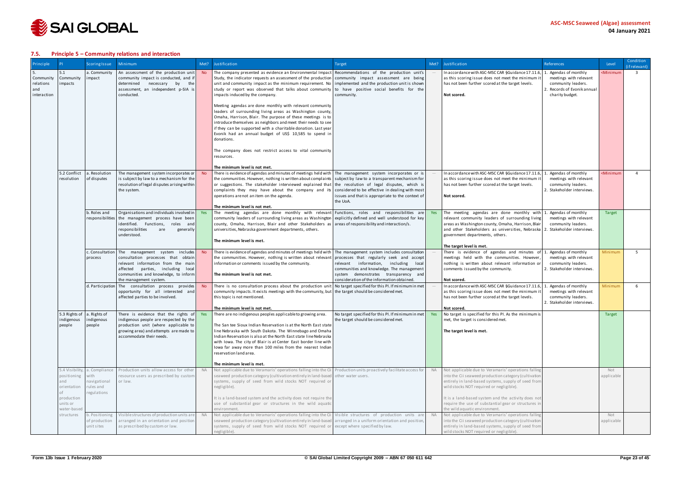

#### <span id="page-22-0"></span>**7.5. Principle 5 – Community relations and interaction**

| Principle                                      |                                                                                                               | <b>Scoring Issue</b>             | Minimum                                                                                                                                                                    | Met?                          | Justification                                                                                                                                                                                                                                                                                                                                                                                                                                             | Target                                                                                        | Met?               | Justification                                                                                                                                                                                     | <b>References</b>                                                                              | Level                                                         | Condition<br>(if relevant) |
|------------------------------------------------|---------------------------------------------------------------------------------------------------------------|----------------------------------|----------------------------------------------------------------------------------------------------------------------------------------------------------------------------|-------------------------------|-----------------------------------------------------------------------------------------------------------------------------------------------------------------------------------------------------------------------------------------------------------------------------------------------------------------------------------------------------------------------------------------------------------------------------------------------------------|-----------------------------------------------------------------------------------------------|--------------------|---------------------------------------------------------------------------------------------------------------------------------------------------------------------------------------------------|------------------------------------------------------------------------------------------------|---------------------------------------------------------------|----------------------------|
| Community<br>rel ati ons<br>and<br>interaction | 5.1<br>Community<br>mpacts                                                                                    | a. Community<br>impact           | An assessment of the production unit<br>community impact is conducted, and if<br>determined<br>necessary<br>by<br>the<br>assessment, an independent p-SIA is<br>conducted. | No.                           | The company presented as evidence an Environmental Impact Recommendations of the production unit's<br>Study, the indicator requests an assessment of the production community impact assessment are being<br>unit and community impact as the minimum requirement. No implemented and the production unit is shown<br>study or report was observed that talks about community to have positive social benefits for the<br>impacts induced by the company. | community.                                                                                    |                    | In accordance with ASC-MSC CAR §Guidance 17.11.6, 1. Agendas of monthly<br>as this scoring issue does not meet the minimum it<br>has not been further scored at the target levels.<br>Not scored. | meetings with relevant<br>community leaders.<br>2. Records of Evonik annual<br>charity budget. | <minimum< td=""><td><math>\overline{3}</math></td></minimum<> | $\overline{3}$             |
|                                                |                                                                                                               |                                  |                                                                                                                                                                            |                               | Meeting agendas are done monthly with relevant community<br>leaders of surrounding living areas as Washington county,<br>Omaha, Harrison, Blair. The purpose of these meetings is to<br>introduce themselves as neighbors and meet their needs to see<br>if they can be supported with a charitable donation. Last year<br>Evonik had an annual budget of US\$ 10,585 to spend in<br>donations.                                                           |                                                                                               |                    |                                                                                                                                                                                                   |                                                                                                |                                                               |                            |
|                                                |                                                                                                               |                                  |                                                                                                                                                                            |                               | The company does not restrict access to vital community<br>resources.                                                                                                                                                                                                                                                                                                                                                                                     |                                                                                               |                    |                                                                                                                                                                                                   |                                                                                                |                                                               |                            |
|                                                | 5.2 Conflict                                                                                                  | a. Resolution                    | The management system incorporates or                                                                                                                                      |                               | The minimum level is not met.<br>There is evidence of agendas and minutes of meetings held with The management system incorporates or is                                                                                                                                                                                                                                                                                                                  |                                                                                               |                    | In accordance with ASC-MSC CAR §Guidance 17.11.6,                                                                                                                                                 | Agendas of monthly                                                                             | <minimum< td=""><td><math>\Delta</math></td></minimum<>       | $\Delta$                   |
|                                                | resolution                                                                                                    | of disputes                      | is subject by law to a mechanism for the                                                                                                                                   |                               | the communities. However, nothing is written about complaints   subject by law to a transparent mechanism for                                                                                                                                                                                                                                                                                                                                             |                                                                                               |                    | as this scoring issue does not meet the minimum it                                                                                                                                                | meetings with relevant                                                                         |                                                               |                            |
|                                                |                                                                                                               |                                  | resolution of legal disputes arising within<br>the system.                                                                                                                 |                               | or suggestions. The stakeholder interviewed explained that<br>complaints they may have about the company and its                                                                                                                                                                                                                                                                                                                                          | the resolution of legal disputes, which is<br>considered to be effective in dealing with most |                    | has not been further scored at the target levels.                                                                                                                                                 | community leaders.<br>2. Stakeholder interviews.                                               |                                                               |                            |
|                                                |                                                                                                               |                                  |                                                                                                                                                                            |                               | operations are not an item on the agenda.                                                                                                                                                                                                                                                                                                                                                                                                                 | issues and that is appropriate to the context of<br>the UoA.                                  |                    | Not scored.                                                                                                                                                                                       |                                                                                                |                                                               |                            |
|                                                |                                                                                                               |                                  |                                                                                                                                                                            | The minimum level is not met. |                                                                                                                                                                                                                                                                                                                                                                                                                                                           |                                                                                               |                    |                                                                                                                                                                                                   |                                                                                                |                                                               |                            |
|                                                |                                                                                                               | b. Roles and<br>responsibilities | Organisations and individuals involved in<br>the management process have been                                                                                              |                               | The meeting agendas are done monthly with relevant Functions, roles and responsibilities are<br>community leaders of surrounding living areas as Washington explicitly defined and well understood for key                                                                                                                                                                                                                                                |                                                                                               | Yes                | The meeting agendas are done monthly with $1.$ Agendas of monthly<br>relevant community leaders of surrounding living                                                                             | meetings with relevant                                                                         | Target                                                        |                            |
|                                                | identified.<br>Functions,<br>roles<br>andl                                                                    |                                  | county, Omaha, Harrison, Blair and other Stakeholders as areas of responsibility and interaction/s.                                                                        |                               |                                                                                                                                                                                                                                                                                                                                                                                                                                                           | areas as Washington county, Omaha, Harrison, Blair                                            | community leaders. |                                                                                                                                                                                                   |                                                                                                |                                                               |                            |
|                                                | responsibilities<br>universities, Nebraska government departments, others.<br>are<br>generally<br>understood. |                                  |                                                                                                                                                                            |                               | and other Stakeholders as universities, Nebraska 2. Stakeholder interviews.<br>government departments, others.                                                                                                                                                                                                                                                                                                                                            |                                                                                               |                    |                                                                                                                                                                                                   |                                                                                                |                                                               |                            |
|                                                |                                                                                                               |                                  |                                                                                                                                                                            |                               | The minimum level is met.                                                                                                                                                                                                                                                                                                                                                                                                                                 |                                                                                               |                    |                                                                                                                                                                                                   |                                                                                                |                                                               |                            |
|                                                |                                                                                                               |                                  | c. Consultation The management system<br>includes                                                                                                                          | <b>No</b>                     | There is evidence of agendas and minutes of meetings held with The management system includes consultation                                                                                                                                                                                                                                                                                                                                                |                                                                                               |                    | The target level is met.<br>There is evidence of agendas and minutes of $1$                                                                                                                       | Agendas of monthly                                                                             | Minimum                                                       | -5                         |
|                                                |                                                                                                               | process                          | consultation processes that<br>obtain                                                                                                                                      |                               | the communities. However, nothing is written about relevant                                                                                                                                                                                                                                                                                                                                                                                               | processes that regularly seek and accept                                                      |                    | meetings held with the communities. However,                                                                                                                                                      | meetings with relevant                                                                         |                                                               |                            |
|                                                |                                                                                                               |                                  | relevant information from the main<br>affected<br>parties, including<br>local                                                                                              |                               | information or comments issued by the community.                                                                                                                                                                                                                                                                                                                                                                                                          | relevant information, including local<br>communities and knowledge. The management            |                    | nothing is written about relevant information or<br>comments issued by the community.                                                                                                             | community leaders.<br>2. Stakeholder interviews.                                               |                                                               |                            |
|                                                |                                                                                                               |                                  | communities and knowledge, to inform<br>the management system.                                                                                                             |                               | The minimum level is not met.                                                                                                                                                                                                                                                                                                                                                                                                                             | system demonstrates transparency and<br>consideration of the information obtained             |                    | Not scored.                                                                                                                                                                                       |                                                                                                |                                                               |                            |
|                                                |                                                                                                               |                                  | d. Participation   The consultation process provides                                                                                                                       |                               | There is no consultation process about the production unit No target specified for this PI. If minimum in met                                                                                                                                                                                                                                                                                                                                             |                                                                                               |                    | In accordance with ASC-MSC CAR §Guidance 17.11.6,                                                                                                                                                 | Agendas of monthly                                                                             | Minimum                                                       | 6                          |
|                                                |                                                                                                               |                                  | opportunity for all interested and<br>affected parties to be involved.                                                                                                     |                               | community impacts. It exists meetings with the community, but the target should be considered met.<br>this topic is not mentioned.                                                                                                                                                                                                                                                                                                                        |                                                                                               |                    | as this scoring issue does not meet the minimum it<br>has not been further scored at the target levels.                                                                                           | meetings with relevant<br>community leaders.                                                   |                                                               |                            |
|                                                |                                                                                                               |                                  |                                                                                                                                                                            |                               | The minimum level is not met.                                                                                                                                                                                                                                                                                                                                                                                                                             |                                                                                               |                    | Not scored.                                                                                                                                                                                       | 2. Stakeholder interviews.                                                                     |                                                               |                            |
|                                                | 5.3 Rights of a. Rights of                                                                                    |                                  | There is evidence that the rights of                                                                                                                                       |                               | There are no indigenous peoples applicable to growing area.                                                                                                                                                                                                                                                                                                                                                                                               | No target specified for this PI. If minimum in met                                            | Yes                | No target is specified for this PI. As the minimum is                                                                                                                                             |                                                                                                | Target                                                        |                            |
|                                                | indigenous<br>people                                                                                          | indigenous<br>people             | indigenous people are respected by the<br>production unit (where applicable to                                                                                             |                               | The San tee Sioux Indian Reservation is at the North East state                                                                                                                                                                                                                                                                                                                                                                                           | the target should be considered met.                                                          |                    | met, the target is considered met.                                                                                                                                                                |                                                                                                |                                                               |                            |
|                                                |                                                                                                               |                                  | growing area) and attempts are made to                                                                                                                                     |                               | line Nebraska with South Dakota. The Winnebago and Omaha                                                                                                                                                                                                                                                                                                                                                                                                  |                                                                                               |                    | The target level is met.                                                                                                                                                                          |                                                                                                |                                                               |                            |
|                                                |                                                                                                               |                                  | accommodate their needs.                                                                                                                                                   |                               | Indian Reservation is also at the North East state line Nebraska<br>with Iowa. The city of Blair is at Center East border line with                                                                                                                                                                                                                                                                                                                       |                                                                                               |                    |                                                                                                                                                                                                   |                                                                                                |                                                               |                            |
|                                                |                                                                                                               |                                  |                                                                                                                                                                            |                               | lowa far away more than 100 miles from the nearest Indian<br>reservation land area.                                                                                                                                                                                                                                                                                                                                                                       |                                                                                               |                    |                                                                                                                                                                                                   |                                                                                                |                                                               |                            |
|                                                |                                                                                                               |                                  |                                                                                                                                                                            |                               |                                                                                                                                                                                                                                                                                                                                                                                                                                                           |                                                                                               |                    |                                                                                                                                                                                                   |                                                                                                |                                                               |                            |
|                                                |                                                                                                               | 5.4 Visibility, a. Compliance    | Production units allow access for other                                                                                                                                    | <b>NA</b>                     | The minimum level is met.<br>Not applicable due to Veramaris' operations falling into the Cii Production units proactively facilitate access for                                                                                                                                                                                                                                                                                                          |                                                                                               | <b>NA</b>          | Not applicable due to Veramaris' operations falling                                                                                                                                               |                                                                                                | Not                                                           |                            |
|                                                | positioning                                                                                                   | with                             | resource users as prescribed by custom                                                                                                                                     |                               | seaweed production category (cultivation entirely in land-based other water users.                                                                                                                                                                                                                                                                                                                                                                        |                                                                                               |                    | into the Cii seaweed production category (cultivation                                                                                                                                             |                                                                                                | applicable                                                    |                            |
|                                                | and<br>orientation                                                                                            | navigational<br>rules and        | or law.                                                                                                                                                                    |                               | systems, supply of seed from wild stocks NOT required or<br>negligible).                                                                                                                                                                                                                                                                                                                                                                                  |                                                                                               |                    | entirely in land-based systems, supply of seed from<br>wild stocks NOT required or negligible).                                                                                                   |                                                                                                |                                                               |                            |
|                                                | of<br>production                                                                                              | regulations                      |                                                                                                                                                                            |                               | It is a land-based system and the activity does not require the                                                                                                                                                                                                                                                                                                                                                                                           |                                                                                               |                    | It is a land-based system and the activity does not                                                                                                                                               |                                                                                                |                                                               |                            |
|                                                | units or                                                                                                      |                                  |                                                                                                                                                                            |                               | use of substantial gear or structures in the wild aquatic                                                                                                                                                                                                                                                                                                                                                                                                 |                                                                                               |                    | require the use of substantial gear or structures in                                                                                                                                              |                                                                                                |                                                               |                            |
|                                                | water-based<br>structures                                                                                     | b. Positioning                   | Visible structures of production units are NA                                                                                                                              |                               | environment<br>Not applicable due to Veramaris' operations falling into the Cii Visible structures of production units are                                                                                                                                                                                                                                                                                                                                |                                                                                               | <b>NA</b>          | the wild aquatic environment.<br>Not applicable due to Veramaris' operations falling                                                                                                              |                                                                                                | Not                                                           |                            |
|                                                |                                                                                                               | of production                    | arranged in an orientation and position                                                                                                                                    |                               | seaweed production category (cultivation entirely in land-based arranged in a uniform orientation and position,                                                                                                                                                                                                                                                                                                                                           |                                                                                               |                    | into the Cii seaweed production category (cultivation                                                                                                                                             |                                                                                                | applicable                                                    |                            |
|                                                |                                                                                                               | unit sites                       | as prescribed by custom or law.                                                                                                                                            |                               | systems, supply of seed from wild stocks NOT required or except where specified by law.<br>negligible).                                                                                                                                                                                                                                                                                                                                                   |                                                                                               |                    | entirely in land-based systems, supply of seed from<br>wild stocks NOT required or negligible).                                                                                                   |                                                                                                |                                                               |                            |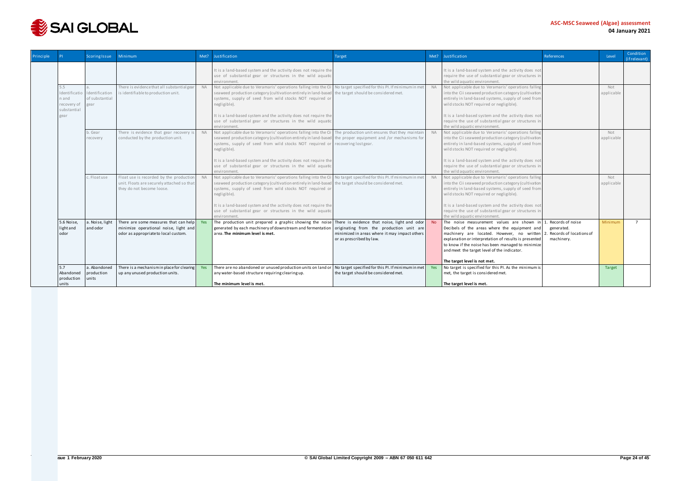

| Principle |                                                             | <b>Scoring Issue</b>                     | Minimum                                                                                                                      | Met?      | Justification                                                                                                                                                                                                                                                  | Target                                                                                                                                                                |           | Met? Justification                                                                                                                                                                                                                                                                                                               | References                                   | Level             | Condition<br>(if relevant) |
|-----------|-------------------------------------------------------------|------------------------------------------|------------------------------------------------------------------------------------------------------------------------------|-----------|----------------------------------------------------------------------------------------------------------------------------------------------------------------------------------------------------------------------------------------------------------------|-----------------------------------------------------------------------------------------------------------------------------------------------------------------------|-----------|----------------------------------------------------------------------------------------------------------------------------------------------------------------------------------------------------------------------------------------------------------------------------------------------------------------------------------|----------------------------------------------|-------------------|----------------------------|
|           |                                                             |                                          |                                                                                                                              |           | It is a land-based system and the activity does not require the<br>use of substantial gear or structures in the wild aquatic<br>environment.                                                                                                                   |                                                                                                                                                                       |           | It is a land-based system and the activity does not<br>require the use of substantial gear or structures in<br>the wild aquatic environment.                                                                                                                                                                                     |                                              |                   |                            |
|           | 5.5<br>Identificatio<br>n and<br>recovery of<br>substantial | Identification<br>of substantial<br>gear | There is evidence that all substantial gear<br>is identifiable to production unit.                                           | <b>NA</b> | Not applicable due to Veramaris' operations falling into the Cii<br>seaweed production category (cultivation entirely in land-based<br>systems, supply of seed from wild stocks NOT required or<br>negligible).                                                | No target specified for this PI. If minimum in met<br>the target should be considered met.                                                                            | <b>NA</b> | Not applicable due to Veramaris' operations falling<br>into the Cii seaweed production category (cultivation<br>entirely in land-based systems, supply of seed from<br>wild stocks NOT required or negligible).                                                                                                                  |                                              | Not<br>applicable |                            |
|           | gear                                                        |                                          |                                                                                                                              |           | It is a land-based system and the activity does not require the<br>use of substantial gear or structures in the wild aquatic<br>environment.                                                                                                                   |                                                                                                                                                                       |           | It is a land-based system and the activity does not<br>require the use of substantial gear or structures in<br>the wild aquatic environment.                                                                                                                                                                                     |                                              |                   |                            |
|           |                                                             | b. Gear<br>recovery                      | There is evidence that gear recovery i<br>conducted by the production unit.                                                  | <b>NA</b> | Not applicable due to Veramaris' operations falling into the Cii The production unit ensures that they maintain<br>seaweed production category (cultivation entirely in land-based<br>systems, supply of seed from wild stocks NOT required or<br>negligible). | the proper equipment and /or mechanisms for<br>recovering lost gear.                                                                                                  | <b>NA</b> | Not applicable due to Veramaris' operations falling<br>into the Cii seaweed production category (cultivation<br>entirely in land-based systems, supply of seed from<br>wild stocks NOT required or negligible).                                                                                                                  |                                              | Not<br>applicable |                            |
|           |                                                             |                                          |                                                                                                                              |           | It is a land-based system and the activity does not require the<br>use of substantial gear or structures in the wild aquatic<br>environment                                                                                                                    |                                                                                                                                                                       |           | It is a land-based system and the activity does not<br>require the use of substantial gear or structures in<br>the wild aquatic environment                                                                                                                                                                                      |                                              |                   |                            |
|           |                                                             | c. Floatuse                              | Float use is recorded by the production<br>unit. Floats are securely attached so that<br>they do not become loose.           | <b>NA</b> | Not applicable due to Veramaris' operations falling into the Cii<br>seaweed production category (cultivation entirely in land-based<br>systems, supply of seed from wild stocks NOT required or<br>negligible).                                                | No target specified for this PI. If minimum in met<br>the target should be considered met.                                                                            | <b>NA</b> | Not applicable due to Veramaris' operations falling<br>into the Cii seaweed production category (cultivation<br>entirely in land-based systems, supply of seed from<br>wild stocks NOT required or negligible).                                                                                                                  |                                              | Not<br>applicable |                            |
|           |                                                             |                                          |                                                                                                                              |           | It is a land-based system and the activity does not require the<br>use of substantial gear or structures in the wild aquatic<br>environment                                                                                                                    |                                                                                                                                                                       |           | It is a land-based system and the activity does not<br>require the use of substantial gear or structures in<br>the wild aquatic environment.                                                                                                                                                                                     |                                              |                   |                            |
|           | 5.6 Noise,<br>light and<br>odor                             | a. Noise, light<br>and odor              | There are some measures that can help   Yes<br>minimize operational noise, light and<br>odor as appropriate to local custom. |           | The production unit prepared a graphic showing the noise<br>generated by each machinery of downstream and fermentation<br>area. The minimum level is met.                                                                                                      | There is evidence that noise, light and odor<br>originating from the production unit are<br>minimized in areas where it may impact others<br>or as prescribed by law. | No        | The noise measurement values are shown in<br>Decibels of the areas where the equipment and<br>machinery are located. However, no written 2. Records of locations of<br>explanation or interpretation of results is presented<br>to know if the noise has been managed to minimize<br>and meet the target level of the indicator. | Records of noise<br>generated.<br>machinery. | Minimum           | $\overline{7}$             |
|           | 5.7<br>Abandoned                                            | a. Abandoned<br>production               | There is a mechanism in place for clearing<br>up any unused production units.                                                | Yes       | There are no abandoned or unused production units on land or<br>any water-based structure requiring clearing up.                                                                                                                                               | No target specified for this PI. If minimum in met   Yes<br>the target should be considered met.                                                                      |           | The target level is not met.<br>No target is specified for this PI. As the minimum is<br>met, the target is considered met.                                                                                                                                                                                                      |                                              | <b>Target</b>     |                            |
|           | production<br>units                                         | units                                    |                                                                                                                              |           | The minimum level is met.                                                                                                                                                                                                                                      |                                                                                                                                                                       |           | The target level is met.                                                                                                                                                                                                                                                                                                         |                                              |                   |                            |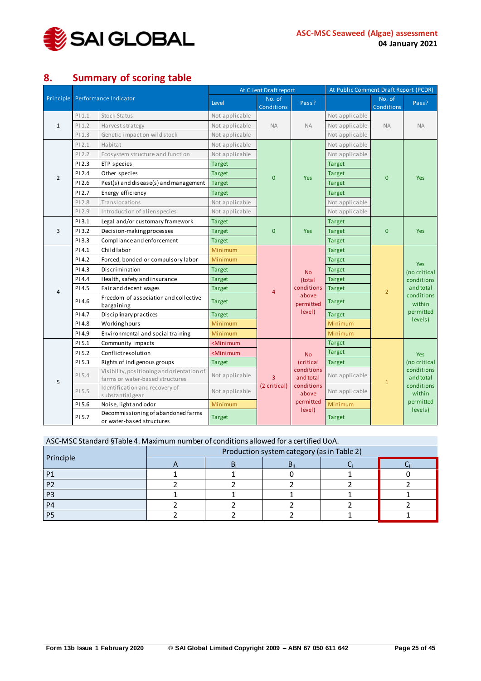

# <span id="page-24-0"></span>**8. Summary of scoring table**

|                |          |                                                                               |                                                                                                                                                                                                                                                                                                                                                                                                                                                                                                         |                                                                                                                                                                                                                                                                                                                                                                                                                                                                                                                                                                                                                                                                                                                                                                                                                                                                                                                                 |                                                       | At Public Comment Draft Report (PCDR) |                      |                                   |  |
|----------------|----------|-------------------------------------------------------------------------------|---------------------------------------------------------------------------------------------------------------------------------------------------------------------------------------------------------------------------------------------------------------------------------------------------------------------------------------------------------------------------------------------------------------------------------------------------------------------------------------------------------|---------------------------------------------------------------------------------------------------------------------------------------------------------------------------------------------------------------------------------------------------------------------------------------------------------------------------------------------------------------------------------------------------------------------------------------------------------------------------------------------------------------------------------------------------------------------------------------------------------------------------------------------------------------------------------------------------------------------------------------------------------------------------------------------------------------------------------------------------------------------------------------------------------------------------------|-------------------------------------------------------|---------------------------------------|----------------------|-----------------------------------|--|
| Principle      |          | Performance Indicator                                                         | Level                                                                                                                                                                                                                                                                                                                                                                                                                                                                                                   | No. of<br><b>Conditions</b>                                                                                                                                                                                                                                                                                                                                                                                                                                                                                                                                                                                                                                                                                                                                                                                                                                                                                                     | Pass?                                                 |                                       | No. of<br>Conditions | Pass?                             |  |
|                | $PI$ 1.1 | <b>Stock Status</b>                                                           | Not applicable                                                                                                                                                                                                                                                                                                                                                                                                                                                                                          | At Client Draft report<br>Not applicable<br><b>NA</b><br><b>NA</b><br><b>NA</b><br>Not applicable<br>Not applicable<br>Not applicable<br>Not applicable<br><b>Target</b><br><b>Target</b><br>$\mathbf{0}$<br>$\mathbf{0}$<br><b>Yes</b><br><b>Target</b><br><b>Target</b><br>Not applicable<br>Not applicable<br><b>Target</b><br>$\mathbf{0}$<br>$\mathbf{0}$<br><b>Yes</b><br><b>Target</b><br><b>Target</b><br><b>Target</b><br><b>Target</b><br><b>Target</b><br><b>No</b><br><b>Target</b><br>(total<br>conditions<br><b>Target</b><br>$\overline{2}$<br>$\overline{4}$<br>above<br><b>Target</b><br>permitted<br>level)<br><b>Target</b><br>Minimum<br>Minimum<br><b>Target</b><br><b>Target</b><br><b>No</b><br>(critical<br><b>Target</b><br>conditions<br>Not applicable<br>3<br>and total<br>$\mathbf{1}$<br>(2 critical)<br>conditions<br>Not applicable<br>above<br>permitted<br>Minimum<br>level)<br><b>Target</b> |                                                       |                                       |                      |                                   |  |
| $\mathbf{1}$   | PI 1.2   | Harvest strategy                                                              | Not applicable<br>Not applicable<br>Not applicable<br>Not applicable<br><b>Target</b><br><b>Target</b><br><b>Target</b><br><b>Target</b><br>Not applicable<br>Not applicable<br><b>Target</b><br><b>Target</b><br><b>Target</b><br>Minimum<br>Minimum<br><b>Target</b><br><b>Target</b><br><b>Target</b><br><b>Target</b><br><b>Target</b><br>Minimum<br>Minimum<br><minimum<br><minimum<br><b>Target</b><br/>Not applicable<br/>Not applicable<br/>Minimum<br/><b>Target</b></minimum<br></minimum<br> |                                                                                                                                                                                                                                                                                                                                                                                                                                                                                                                                                                                                                                                                                                                                                                                                                                                                                                                                 | <b>NA</b>                                             |                                       |                      |                                   |  |
|                | PI 1.3   | Genetic impacton wild stock                                                   |                                                                                                                                                                                                                                                                                                                                                                                                                                                                                                         |                                                                                                                                                                                                                                                                                                                                                                                                                                                                                                                                                                                                                                                                                                                                                                                                                                                                                                                                 |                                                       |                                       |                      |                                   |  |
|                | PI 2.1   | Habitat                                                                       |                                                                                                                                                                                                                                                                                                                                                                                                                                                                                                         |                                                                                                                                                                                                                                                                                                                                                                                                                                                                                                                                                                                                                                                                                                                                                                                                                                                                                                                                 | Yes<br><b>Yes</b><br>Yes<br>levels)<br>Yes<br>levels) |                                       |                      |                                   |  |
|                | PI 2.2   | Ecosystem structure and function                                              |                                                                                                                                                                                                                                                                                                                                                                                                                                                                                                         |                                                                                                                                                                                                                                                                                                                                                                                                                                                                                                                                                                                                                                                                                                                                                                                                                                                                                                                                 |                                                       |                                       |                      |                                   |  |
|                | PI 2.3   | ETP species                                                                   |                                                                                                                                                                                                                                                                                                                                                                                                                                                                                                         |                                                                                                                                                                                                                                                                                                                                                                                                                                                                                                                                                                                                                                                                                                                                                                                                                                                                                                                                 |                                                       |                                       |                      |                                   |  |
| $\overline{2}$ | PI 2.4   | Other species                                                                 |                                                                                                                                                                                                                                                                                                                                                                                                                                                                                                         |                                                                                                                                                                                                                                                                                                                                                                                                                                                                                                                                                                                                                                                                                                                                                                                                                                                                                                                                 |                                                       |                                       |                      |                                   |  |
|                | PI 2.6   | Pest(s) and disease(s) and management                                         |                                                                                                                                                                                                                                                                                                                                                                                                                                                                                                         |                                                                                                                                                                                                                                                                                                                                                                                                                                                                                                                                                                                                                                                                                                                                                                                                                                                                                                                                 |                                                       |                                       |                      |                                   |  |
|                | PI 2.7   | Energy efficiency                                                             |                                                                                                                                                                                                                                                                                                                                                                                                                                                                                                         |                                                                                                                                                                                                                                                                                                                                                                                                                                                                                                                                                                                                                                                                                                                                                                                                                                                                                                                                 |                                                       |                                       |                      |                                   |  |
|                | PI 2.8   | Translocations                                                                |                                                                                                                                                                                                                                                                                                                                                                                                                                                                                                         |                                                                                                                                                                                                                                                                                                                                                                                                                                                                                                                                                                                                                                                                                                                                                                                                                                                                                                                                 |                                                       |                                       |                      |                                   |  |
|                | PI 2.9   | Introduction of alien species                                                 |                                                                                                                                                                                                                                                                                                                                                                                                                                                                                                         |                                                                                                                                                                                                                                                                                                                                                                                                                                                                                                                                                                                                                                                                                                                                                                                                                                                                                                                                 |                                                       |                                       |                      |                                   |  |
|                | PI 3.1   | Legal and/or customary framework                                              |                                                                                                                                                                                                                                                                                                                                                                                                                                                                                                         |                                                                                                                                                                                                                                                                                                                                                                                                                                                                                                                                                                                                                                                                                                                                                                                                                                                                                                                                 |                                                       |                                       |                      |                                   |  |
| 3              | PI 3.2   | Decision-making processes                                                     |                                                                                                                                                                                                                                                                                                                                                                                                                                                                                                         |                                                                                                                                                                                                                                                                                                                                                                                                                                                                                                                                                                                                                                                                                                                                                                                                                                                                                                                                 |                                                       |                                       |                      |                                   |  |
|                | PI 3.3   | Compliance and enforcement                                                    |                                                                                                                                                                                                                                                                                                                                                                                                                                                                                                         |                                                                                                                                                                                                                                                                                                                                                                                                                                                                                                                                                                                                                                                                                                                                                                                                                                                                                                                                 |                                                       |                                       |                      |                                   |  |
|                | PI 4.1   | Childlabor                                                                    |                                                                                                                                                                                                                                                                                                                                                                                                                                                                                                         |                                                                                                                                                                                                                                                                                                                                                                                                                                                                                                                                                                                                                                                                                                                                                                                                                                                                                                                                 |                                                       |                                       |                      |                                   |  |
|                | PI 4.2   | Forced, bonded or compulsory labor                                            |                                                                                                                                                                                                                                                                                                                                                                                                                                                                                                         |                                                                                                                                                                                                                                                                                                                                                                                                                                                                                                                                                                                                                                                                                                                                                                                                                                                                                                                                 |                                                       |                                       |                      |                                   |  |
|                | PI 4.3   | Discrimination                                                                |                                                                                                                                                                                                                                                                                                                                                                                                                                                                                                         |                                                                                                                                                                                                                                                                                                                                                                                                                                                                                                                                                                                                                                                                                                                                                                                                                                                                                                                                 |                                                       |                                       |                      | (no critical                      |  |
|                | PI 4.4   | Health, safety and insurance                                                  |                                                                                                                                                                                                                                                                                                                                                                                                                                                                                                         |                                                                                                                                                                                                                                                                                                                                                                                                                                                                                                                                                                                                                                                                                                                                                                                                                                                                                                                                 |                                                       |                                       |                      | conditions                        |  |
| 4              | PI 4.5   | Fair and decent wages                                                         |                                                                                                                                                                                                                                                                                                                                                                                                                                                                                                         |                                                                                                                                                                                                                                                                                                                                                                                                                                                                                                                                                                                                                                                                                                                                                                                                                                                                                                                                 |                                                       |                                       |                      | and total<br>conditions<br>within |  |
|                | PI 4.6   | Freedom of association and collective<br>bargaining                           |                                                                                                                                                                                                                                                                                                                                                                                                                                                                                                         |                                                                                                                                                                                                                                                                                                                                                                                                                                                                                                                                                                                                                                                                                                                                                                                                                                                                                                                                 |                                                       |                                       |                      |                                   |  |
|                | PI 4.7   | Disciplinary practices                                                        |                                                                                                                                                                                                                                                                                                                                                                                                                                                                                                         |                                                                                                                                                                                                                                                                                                                                                                                                                                                                                                                                                                                                                                                                                                                                                                                                                                                                                                                                 |                                                       |                                       |                      | permitted                         |  |
|                | PI 4.8   | Working hours                                                                 |                                                                                                                                                                                                                                                                                                                                                                                                                                                                                                         |                                                                                                                                                                                                                                                                                                                                                                                                                                                                                                                                                                                                                                                                                                                                                                                                                                                                                                                                 |                                                       |                                       |                      |                                   |  |
|                | PI 4.9   | Environmental and social training                                             |                                                                                                                                                                                                                                                                                                                                                                                                                                                                                                         |                                                                                                                                                                                                                                                                                                                                                                                                                                                                                                                                                                                                                                                                                                                                                                                                                                                                                                                                 |                                                       |                                       |                      |                                   |  |
|                | PI 5.1   | Community impacts                                                             |                                                                                                                                                                                                                                                                                                                                                                                                                                                                                                         |                                                                                                                                                                                                                                                                                                                                                                                                                                                                                                                                                                                                                                                                                                                                                                                                                                                                                                                                 |                                                       |                                       |                      |                                   |  |
|                | PI 5.2   | Conflict resolution                                                           |                                                                                                                                                                                                                                                                                                                                                                                                                                                                                                         |                                                                                                                                                                                                                                                                                                                                                                                                                                                                                                                                                                                                                                                                                                                                                                                                                                                                                                                                 |                                                       |                                       |                      |                                   |  |
|                | PI 5.3   | Rights of indigenous groups                                                   |                                                                                                                                                                                                                                                                                                                                                                                                                                                                                                         |                                                                                                                                                                                                                                                                                                                                                                                                                                                                                                                                                                                                                                                                                                                                                                                                                                                                                                                                 |                                                       |                                       |                      | (no critical                      |  |
| 5              | PI 5.4   | Visibility, positioning and orientation of<br>farms or water-based structures |                                                                                                                                                                                                                                                                                                                                                                                                                                                                                                         |                                                                                                                                                                                                                                                                                                                                                                                                                                                                                                                                                                                                                                                                                                                                                                                                                                                                                                                                 |                                                       |                                       |                      | conditions<br>and total           |  |
|                | PI 5.5   | Identification and recovery of<br>substantialgear                             |                                                                                                                                                                                                                                                                                                                                                                                                                                                                                                         |                                                                                                                                                                                                                                                                                                                                                                                                                                                                                                                                                                                                                                                                                                                                                                                                                                                                                                                                 |                                                       |                                       |                      | conditions<br>within              |  |
|                | PI 5.6   | Noise, light and odor                                                         |                                                                                                                                                                                                                                                                                                                                                                                                                                                                                                         |                                                                                                                                                                                                                                                                                                                                                                                                                                                                                                                                                                                                                                                                                                                                                                                                                                                                                                                                 |                                                       |                                       |                      | permitted                         |  |
|                | PI 5.7   | Decommissioning of abandoned farms<br>or water-based structures               |                                                                                                                                                                                                                                                                                                                                                                                                                                                                                                         |                                                                                                                                                                                                                                                                                                                                                                                                                                                                                                                                                                                                                                                                                                                                                                                                                                                                                                                                 |                                                       |                                       |                      |                                   |  |

| ASC-MSC Standard §Table 4. Maximum number of conditions allowed for a certified UoA. |                                            |  |  |  |  |  |  |  |  |  |  |
|--------------------------------------------------------------------------------------|--------------------------------------------|--|--|--|--|--|--|--|--|--|--|
|                                                                                      | Production system category (as in Table 2) |  |  |  |  |  |  |  |  |  |  |
| Principle                                                                            |                                            |  |  |  |  |  |  |  |  |  |  |
| P <sub>1</sub>                                                                       |                                            |  |  |  |  |  |  |  |  |  |  |
| P <sub>2</sub>                                                                       |                                            |  |  |  |  |  |  |  |  |  |  |
| P3                                                                                   |                                            |  |  |  |  |  |  |  |  |  |  |
| P <sub>4</sub>                                                                       |                                            |  |  |  |  |  |  |  |  |  |  |
| P5                                                                                   |                                            |  |  |  |  |  |  |  |  |  |  |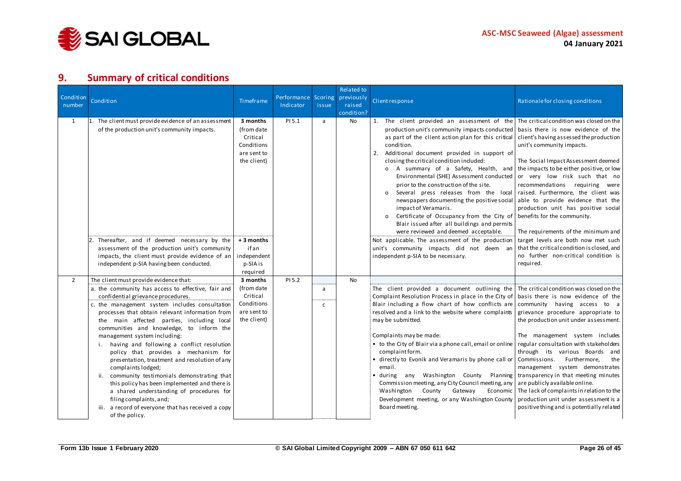

## **9. Summary of critical conditions**

<span id="page-25-0"></span>

| Condition<br>number | Condition                                                                                                                                                                                                                                                                                                                                                                                                                                                                                                                                                                                                                                                                                                                                                                          | Timeframe                                                                                    | Performance<br>Indicator | Scoring<br>issue  | Related to<br>previously<br>raised<br>condition? | Client response                                                                                                                                                                                                                                                                                                                                                                                                                                                                                                                                                                                                                                                                                                                                                                                | Rationale for closing conditions                                                                                                                                                                                                                                                                                                                                                                                                                                                                                                                                                                  |
|---------------------|------------------------------------------------------------------------------------------------------------------------------------------------------------------------------------------------------------------------------------------------------------------------------------------------------------------------------------------------------------------------------------------------------------------------------------------------------------------------------------------------------------------------------------------------------------------------------------------------------------------------------------------------------------------------------------------------------------------------------------------------------------------------------------|----------------------------------------------------------------------------------------------|--------------------------|-------------------|--------------------------------------------------|------------------------------------------------------------------------------------------------------------------------------------------------------------------------------------------------------------------------------------------------------------------------------------------------------------------------------------------------------------------------------------------------------------------------------------------------------------------------------------------------------------------------------------------------------------------------------------------------------------------------------------------------------------------------------------------------------------------------------------------------------------------------------------------------|---------------------------------------------------------------------------------------------------------------------------------------------------------------------------------------------------------------------------------------------------------------------------------------------------------------------------------------------------------------------------------------------------------------------------------------------------------------------------------------------------------------------------------------------------------------------------------------------------|
| 1                   | 1. The client must provide evidence of an assessment<br>of the production unit's community impacts.<br>Thereafter, and if deemed necessary by the                                                                                                                                                                                                                                                                                                                                                                                                                                                                                                                                                                                                                                  | 3 months<br>(from date<br>Critical<br>Conditions<br>are sent to<br>the client)<br>+ 3 months | PI 5.1                   | a                 | No                                               | 1. The client provided an assessment of the The critical condition was closed on the<br>production unit's community impacts conducted   basis there is now evidence of the<br>as part of the client action plan for this critical<br>condition.<br>2. Additional document provided in support of<br>closing the critical condition included:<br>o A summary of a Safety, Health, and<br>Environmental (SHE) Assessment conducted<br>prior to the construction of the site.<br>Several press releases from the local<br>$\Omega$<br>newspapers documenting the positive social<br>impact of Veramaris.<br>Certificate of Occupancy from the City of<br>Blair issued after all buildings and permits<br>were reviewed and deemed acceptable.<br>Not applicable. The assessment of the production | client's having assessed the production<br>unit's community impacts.<br>The Social Impact Assessment deemed<br>the impacts to be either positive, or low<br>or very low risk such that no<br>recommendations requiring were<br>raised. Furthermore, the client was<br>able to provide evidence that the<br>production unit has positive social<br>benefits for the community.<br>The requirements of the minimum and<br>target levels are both now met such                                                                                                                                       |
|                     | assessment of the production unit's community<br>impacts, the client must provide evidence of an<br>independent p-SIA having been conducted.                                                                                                                                                                                                                                                                                                                                                                                                                                                                                                                                                                                                                                       | ifan<br>independent<br>p-SIA is<br>required                                                  |                          |                   |                                                  | unit's community impacts did not deem an<br>independent p-SIA to be necessary.                                                                                                                                                                                                                                                                                                                                                                                                                                                                                                                                                                                                                                                                                                                 | that the critical condition is closed, and<br>no further non-critical condition is<br>required.                                                                                                                                                                                                                                                                                                                                                                                                                                                                                                   |
| $\overline{2}$      | The client must provide evidence that:<br>a. the community has access to effective, fair and<br>confidential grievance procedures.<br>c. the management system includes consultation<br>processes that obtain relevant information from<br>the main affected parties, including local<br>communities and knowledge, to inform the<br>management system including:<br>having and following a conflict resolution<br>policy that provides a mechanism for<br>presentation, treatment and resolution of any<br>complaints lodged;<br>community testimonials demonstrating that<br>ii.<br>this policy has been implemented and there is<br>a shared understanding of procedures for<br>filing complaints, and;<br>iii. a record of everyone that has received a copy<br>of the policy. | 3 months<br>(from date)<br>Critical<br>Conditions<br>are sent to<br>the client)              | PI 5.2                   | a<br>$\mathsf{C}$ | <b>No</b>                                        | The client provided a document outlining the<br>Complaint Resolution Process in place in the City of<br>Blair including a flow chart of how conflicts are<br>resolved and a link to the website where complaints<br>may be submitted.<br>Complaints may be made:<br>• to the City of Blair via a phone call, email or online<br>complaint form.<br>• directly to Evonik and Veramaris by phone call or<br>email.<br>$\bullet$ during<br>any Washington County Planning<br>Commission meeting, any City Council meeting, any<br>Washington<br>County<br>Gateway<br>Economic<br>Development meeting, or any Washington County<br>Board meeting.                                                                                                                                                  | The critical condition was closed on the<br>basis there is now evidence of the<br>community having access to a<br>grievance procedure appropriate to<br>the production unit under assessment.<br>The management system includes<br>regular consultation with stakeholders<br>through its various Boards and<br>Commissions.<br>Furthermore,<br>the<br>management system demonstrates<br>transparency in that meeting minutes<br>are publicly available online.<br>The lack of complaints in relation to the<br>production unit under assessment is a<br>positive thing and is potentially related |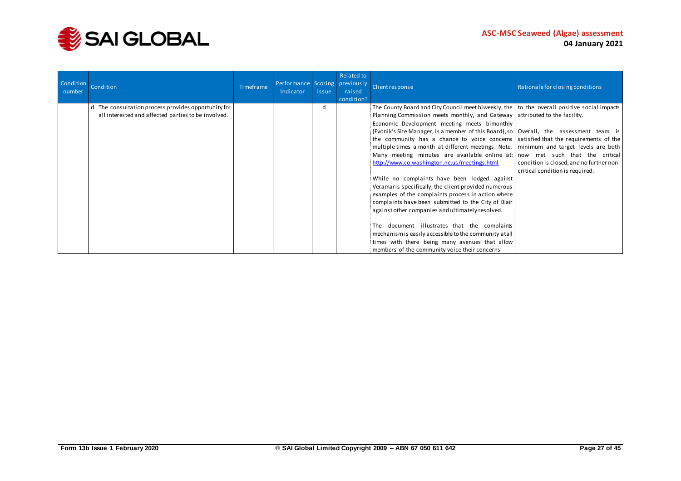

| Condition<br>number | Condition                                            | Timeframe | Performance Scoring previously<br>Indicator | issue | Related to<br>raised<br>condition? | Client response                                                                                                                          | Rationale for closing conditions         |
|---------------------|------------------------------------------------------|-----------|---------------------------------------------|-------|------------------------------------|------------------------------------------------------------------------------------------------------------------------------------------|------------------------------------------|
|                     | d. The consultation process provides opportunity for |           |                                             | d     |                                    | The County Board and City Council meet biweekly, the $\vert$ to the overall positive social impacts                                      |                                          |
|                     | all interested and affected parties to be involved.  |           |                                             |       |                                    | Planning Commission meets monthly, and Gateway attributed to the facility.                                                               |                                          |
|                     |                                                      |           |                                             |       |                                    | Economic Development meeting meets bimonthly<br>(Evonik's Site Manager, is a member of this Board), so   Overall, the assessment team is |                                          |
|                     |                                                      |           |                                             |       |                                    | the community has a chance to voice concerns satisfied that the requirements of the                                                      |                                          |
|                     |                                                      |           |                                             |       |                                    | multiple times a month at different meetings. Note.   minimum and target levels are both                                                 |                                          |
|                     |                                                      |           |                                             |       |                                    | Many meeting minutes are available online at:                                                                                            | now met such that the critical           |
|                     |                                                      |           |                                             |       |                                    | http://www.co.washington.ne.us/meetings.html                                                                                             | condition is closed, and no further non- |
|                     |                                                      |           |                                             |       |                                    |                                                                                                                                          | critical condition is required.          |
|                     |                                                      |           |                                             |       |                                    | While no complaints have been lodged against                                                                                             |                                          |
|                     |                                                      |           |                                             |       |                                    | Veramaris specifically, the client provided numerous                                                                                     |                                          |
|                     |                                                      |           |                                             |       |                                    | examples of the complaints process in action where                                                                                       |                                          |
|                     |                                                      |           |                                             |       |                                    | complaints have been submitted to the City of Blair                                                                                      |                                          |
|                     |                                                      |           |                                             |       |                                    | against other companies and ultimately resolved.                                                                                         |                                          |
|                     |                                                      |           |                                             |       |                                    | The document illustrates that the complaints                                                                                             |                                          |
|                     |                                                      |           |                                             |       |                                    | mechanism is easily accessible to the community at all                                                                                   |                                          |
|                     |                                                      |           |                                             |       |                                    | times with there being many avenues that allow                                                                                           |                                          |
|                     |                                                      |           |                                             |       |                                    | members of the community voice their concerns                                                                                            |                                          |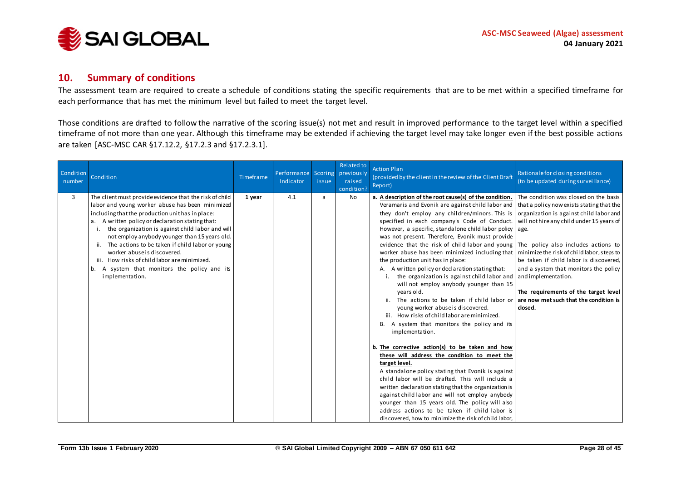

#### **10. Summary of conditions**

The assessment team are required to create a schedule of conditions stating the specific requirements that are to be met within a specified timeframe for each performance that has met the minimum level but failed to meet the target level.

Those conditions are drafted to follow the narrative of the scoring issue(s) not met and result in improved performance to the target level within a specified timeframe of not more than one year. Although this timeframe may be extended if achieving the target level may take longer even if the best possible actions are taken [ASC-MSC CAR §17.12.2, §17.2.3 and §17.2.3.1].

<span id="page-27-0"></span>

| Condition<br>number | Condition                                                                                                                                                                                                                                                                                                                                                                                                                                                                                                                           | Timeframe | Performance Scoring previously<br>Indicator | issue | Related to<br>raised<br>condition? | <b>Action Plan</b><br>(provided by the client in the review of the Client Draft<br>Report)                                                                                                                                                                                                                                                                                                                                                                                                                                                                                                                                                                                                                                                                                                                                                                                                                                                                                                                                                                                                                                                                                                                                                                                                                                                                                                                                  | Rationale for closing conditions<br>(to be updated during surveillance)                                                                                                                                                                                                                                                                                                            |
|---------------------|-------------------------------------------------------------------------------------------------------------------------------------------------------------------------------------------------------------------------------------------------------------------------------------------------------------------------------------------------------------------------------------------------------------------------------------------------------------------------------------------------------------------------------------|-----------|---------------------------------------------|-------|------------------------------------|-----------------------------------------------------------------------------------------------------------------------------------------------------------------------------------------------------------------------------------------------------------------------------------------------------------------------------------------------------------------------------------------------------------------------------------------------------------------------------------------------------------------------------------------------------------------------------------------------------------------------------------------------------------------------------------------------------------------------------------------------------------------------------------------------------------------------------------------------------------------------------------------------------------------------------------------------------------------------------------------------------------------------------------------------------------------------------------------------------------------------------------------------------------------------------------------------------------------------------------------------------------------------------------------------------------------------------------------------------------------------------------------------------------------------------|------------------------------------------------------------------------------------------------------------------------------------------------------------------------------------------------------------------------------------------------------------------------------------------------------------------------------------------------------------------------------------|
| 3                   | The client must provide evidence that the risk of child<br>labor and young worker abuse has been minimized<br>including that the production unit has in place:<br>a. A written policy or declaration stating that:<br>the organization is against child labor and will<br>not employ anybody younger than 15 years old.<br>ii. The actions to be taken if child labor or young<br>worker abuse is discovered.<br>iii. How risks of child labor are minimized.<br>A system that monitors the policy and its<br>b.<br>implementation. | 1 year    | 4.1                                         | a     | <b>No</b>                          | a. A description of the root cause(s) of the condition.<br>Veramaris and Evonik are against child labor and that a policy now exists stating that the<br>they don't employ any children/minors. This is<br>specified in each company's Code of Conduct.<br>However, a specific, standalone child labor policy age.<br>was not present. Therefore, Evonik must provide<br>evidence that the risk of child labor and young   The policy also includes actions to<br>worker abuse has been minimized including that<br>the production unit has in place:<br>A. A written policy or declaration stating that:<br>the organization is against child labor and<br>will not employ anybody younger than 15<br>years old.<br>The actions to be taken if child labor or<br>young worker abuse is discovered.<br>iii. How risks of child labor are minimized.<br>B. A system that monitors the policy and its<br>implementation.<br>b. The corrective action(s) to be taken and how<br>these will address the condition to meet the<br>target level.<br>A standalone policy stating that Evonik is against<br>child labor will be drafted. This will include a<br>written declaration stating that the organization is<br>against child labor and will not employ anybody<br>younger than 15 years old. The policy will also<br>address actions to be taken if child labor is<br>discovered, how to minimize the risk of child labor, | The condition was closed on the basis<br>organization is against child labor and<br>will not hire any child under 15 years of<br>minimize the risk of child labor, steps to<br>be taken if child labor is discovered,<br>and a system that monitors the policy<br>and implementation.<br>The requirements of the target level<br>are now met such that the condition is<br>closed. |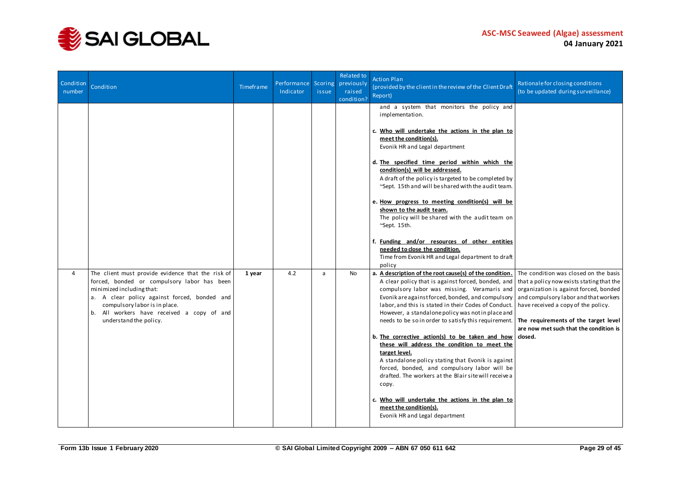

| Condition<br>number | Condition                                                                                                                                                                                                                                                                              | Timeframe | Performance Scoring<br>Indicator | issue | Related to<br>previously<br>raised<br>condition? | <b>Action Plan</b><br>(provided by the client in the review of the Client Draft<br>Report)                                                                                                                                                                                                                                                                                                                                                                                                                                                                                                                                                                                                                                                                                                         | Rationale for closing conditions<br>(to be updated during surveillance)                                                                                                                                                                                                                                   |
|---------------------|----------------------------------------------------------------------------------------------------------------------------------------------------------------------------------------------------------------------------------------------------------------------------------------|-----------|----------------------------------|-------|--------------------------------------------------|----------------------------------------------------------------------------------------------------------------------------------------------------------------------------------------------------------------------------------------------------------------------------------------------------------------------------------------------------------------------------------------------------------------------------------------------------------------------------------------------------------------------------------------------------------------------------------------------------------------------------------------------------------------------------------------------------------------------------------------------------------------------------------------------------|-----------------------------------------------------------------------------------------------------------------------------------------------------------------------------------------------------------------------------------------------------------------------------------------------------------|
|                     |                                                                                                                                                                                                                                                                                        |           |                                  |       |                                                  | and a system that monitors the policy and<br>implementation.<br>c. Who will undertake the actions in the plan to<br>meet the condition(s).<br>Evonik HR and Legal department<br>d. The specified time period within which the<br>condition(s) will be addressed.<br>A draft of the policy is targeted to be completed by<br>~Sept. 15th and will be shared with the audit team.<br>e. How progress to meeting condition(s) will be<br>shown to the audit team.<br>The policy will be shared with the audit team on<br>~Sept. 15th.<br>f. Funding and/or resources of other entities<br>needed to close the condition.<br>Time from Evonik HR and Legal department to draft<br>policy                                                                                                               |                                                                                                                                                                                                                                                                                                           |
| $\overline{4}$      | The client must provide evidence that the risk of<br>forced, bonded or compulsory labor has been<br>minimized including that:<br>a. A clear policy against forced, bonded and<br>compulsory labor is in place.<br>b. All workers have received a copy of and<br>understand the policy. | 1 year    | 4.2                              | a     | <b>No</b>                                        | a. A description of the root cause(s) of the condition.<br>A clear policy that is against forced, bonded, and<br>compulsory labor was missing. Veramaris and<br>Evonik are against forced, bonded, and compulsory<br>labor, and this is stated in their Codes of Conduct.<br>However, a standalone policy was not in place and<br>needs to be so in order to satisfy this requirement.<br>b. The corrective action(s) to be taken and how<br>these will address the condition to meet the<br>target level.<br>A standalone policy stating that Evonik is against<br>forced, bonded, and compulsory labor will be<br>drafted. The workers at the Blair site will receive a<br>copy.<br>c. Who will undertake the actions in the plan to<br>meet the condition(s).<br>Evonik HR and Legal department | The condition was closed on the basis<br>that a policy now exists stating that the<br>organization is against forced, bonded<br>and compulsory labor and that workers<br>have received a copy of the policy.<br>The requirements of the target level<br>are now met such that the condition is<br>closed. |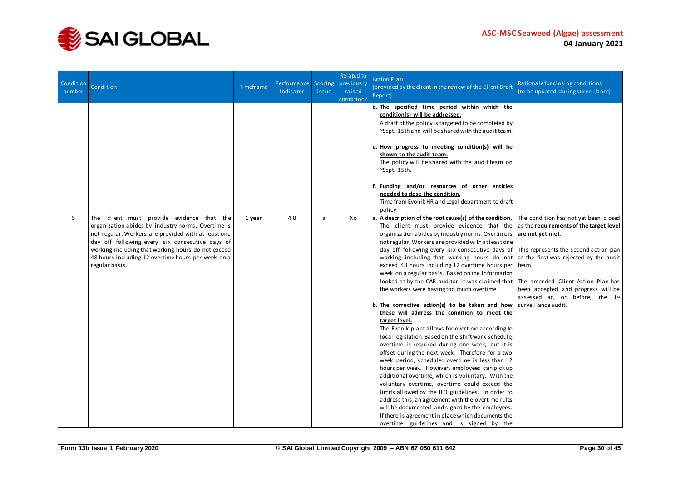

| Condition<br>number | Condition                                                                                                                                                                                                                                                                                                                                  | Timeframe | Performance Scoring<br>Indicator | <i>issue</i> | Related to<br>previously<br>raised<br>condition? | <b>Action Plan</b><br>(provided by the client in the review of the Client Draft<br>Report)                                                                                                                                                                                                                                                                                                                                                                                                                                                                                                                                                                                                                                                                                                                                                                                                                                                                                                                                                                                                                                                                                                                                                                                                                                                                                                                                                                                                  | Rationale for closing conditions<br>(to be updated during surveillance)                                                                                                          |
|---------------------|--------------------------------------------------------------------------------------------------------------------------------------------------------------------------------------------------------------------------------------------------------------------------------------------------------------------------------------------|-----------|----------------------------------|--------------|--------------------------------------------------|---------------------------------------------------------------------------------------------------------------------------------------------------------------------------------------------------------------------------------------------------------------------------------------------------------------------------------------------------------------------------------------------------------------------------------------------------------------------------------------------------------------------------------------------------------------------------------------------------------------------------------------------------------------------------------------------------------------------------------------------------------------------------------------------------------------------------------------------------------------------------------------------------------------------------------------------------------------------------------------------------------------------------------------------------------------------------------------------------------------------------------------------------------------------------------------------------------------------------------------------------------------------------------------------------------------------------------------------------------------------------------------------------------------------------------------------------------------------------------------------|----------------------------------------------------------------------------------------------------------------------------------------------------------------------------------|
|                     |                                                                                                                                                                                                                                                                                                                                            |           |                                  |              |                                                  | d. The specified time period within which the<br>condition(s) will be addressed.<br>A draft of the policy is targeted to be completed by<br>~Sept. 15th and will be shared with the audit team.<br>e. How progress to meeting condition(s) will be<br>shown to the audit team.<br>The policy will be shared with the audit team on<br>~Sept. 15th.<br>f. Funding and/or resources of other entities<br>needed to close the condition.<br>Time from Evonik HR and Legal department to draft<br>policy                                                                                                                                                                                                                                                                                                                                                                                                                                                                                                                                                                                                                                                                                                                                                                                                                                                                                                                                                                                        |                                                                                                                                                                                  |
| 5                   | client must provide evidence that the<br>The<br>organization abides by industry norms. Overtime is<br>not regular. Workers are provided with at least one<br>day off following every six consecutive days of<br>working including that working hours do not exceed<br>48 hours including 12 overtime hours per week on a<br>regular basis. | 1 year    | 4.8                              | a            | <b>No</b>                                        | a. A description of the root cause(s) of the condition.<br>The client must provide evidence that the<br>organization abides by industry norms. Overtime is are not yet met.<br>not regular. Workers are provided with at least one<br>day off following every six consecutive days of This represents the second action plan<br>working including that working hours do not as the first was rejected by the audit<br>exceed 48 hours including 12 overtime hours per   team.<br>week on a regular basis. Based on the information<br>looked at by the CAB auditor, it was claimed that The amended Client Action Plan has<br>the workers were having too much overtime.<br>b. The corrective action(s) to be taken and how<br>these will address the condition to meet the<br>target level.<br>The Evonik plant allows for overtime according to<br>local legislation. Based on the shift work schedule,<br>overtime is required during one week, but it is<br>offset during the next week. Therefore for a two<br>week period, scheduled overtime is less than 12<br>hours per week. However, employees can pick up<br>additional overtime, which is voluntary. With the<br>voluntary overtime, overtime could exceed the<br>limits allowed by the ILO guidelines. In order to<br>address this, an agreement with the overtime rules<br>will be documented and signed by the employees.<br>If there is agreement in place which documents the<br>overtime guidelines and is signed by the | The condition has not yet been closed<br>as the requirements of the target level<br>been accepted and progress will be<br>assessed at, or before, the 1st<br>surveillance audit. |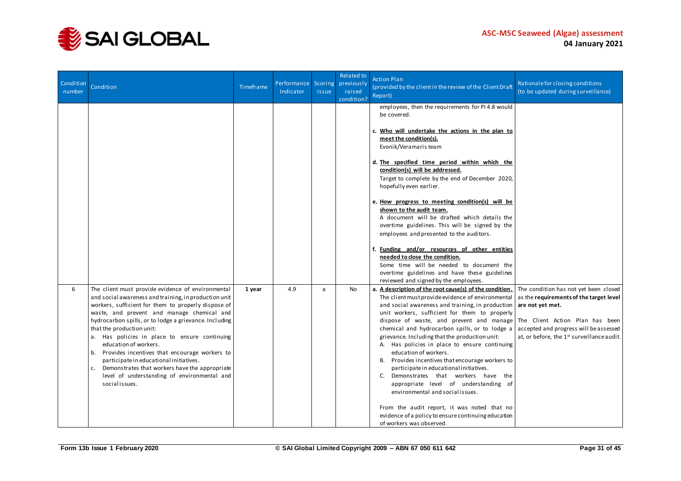

| Condition<br>number | Condition                                                                                                                                                                                                                                                                                                                                                                                                                                                                                                                                                                                            | Timeframe | Performance Scoring<br>Indicator | issue | Related to<br>previously<br>raised<br>condition? | <b>Action Plan</b><br>(provided by the client in the review of the Client Draft<br>Report)                                                                                                                                                                                                                                                                                                                                                                                                                                                                                                                                                                                                                                                                                                         | Rationale for closing conditions<br>(to be updated during surveillance)                                                                                                                                                         |
|---------------------|------------------------------------------------------------------------------------------------------------------------------------------------------------------------------------------------------------------------------------------------------------------------------------------------------------------------------------------------------------------------------------------------------------------------------------------------------------------------------------------------------------------------------------------------------------------------------------------------------|-----------|----------------------------------|-------|--------------------------------------------------|----------------------------------------------------------------------------------------------------------------------------------------------------------------------------------------------------------------------------------------------------------------------------------------------------------------------------------------------------------------------------------------------------------------------------------------------------------------------------------------------------------------------------------------------------------------------------------------------------------------------------------------------------------------------------------------------------------------------------------------------------------------------------------------------------|---------------------------------------------------------------------------------------------------------------------------------------------------------------------------------------------------------------------------------|
|                     |                                                                                                                                                                                                                                                                                                                                                                                                                                                                                                                                                                                                      |           |                                  |       |                                                  | employees, then the requirements for PI4.8 would<br>be covered.<br>c. Who will undertake the actions in the plan to<br>meet the condition(s).<br>Evonik/Veramaris team<br>d. The specified time period within which the<br>condition(s) will be addressed.<br>Target to complete by the end of December 2020,<br>hopefully even earlier.<br>e. How progress to meeting condition(s) will be<br>shown to the audit team.<br>A document will be drafted which details the<br>overtime guidelines. This will be signed by the<br>employees and presented to the auditors.<br>f. Funding and/or resources of other entities<br>needed to close the condition.<br>Some time will be needed to document the<br>overtime guidelines and have these guidelines<br>reviewed and signed by the employees.    |                                                                                                                                                                                                                                 |
| 6                   | The client must provide evidence of environmental<br>and social awareness and training, in production unit<br>workers, sufficient for them to properly dispose of<br>waste, and prevent and manage chemical and<br>hydrocarbon spills, or to lodge a grievance. Including<br>that the production unit:<br>a. Has policies in place to ensure continuing<br>education of workers.<br>b. Provides incentives that encourage workers to<br>participate in educational initiatives.<br>c. Demonstrates that workers have the appropriate<br>level of understanding of environmental and<br>socialissues. | 1 year    | 4.9                              | a     | No                                               | a. A description of the root cause(s) of the condition.<br>The client must provide evidence of environmental<br>and social awareness and training, in production<br>unit workers, sufficient for them to properly<br>dispose of waste, and prevent and manage<br>chemical and hydrocarbon spills, or to lodge a<br>grievance. Including that the production unit:<br>A. Has policies in place to ensure continuing<br>education of workers.<br>B. Provides incentives that encourage workers to<br>participate in educational initiatives.<br>C. Demonstrates that workers have the<br>appropriate level of understanding of<br>environmental and social issues.<br>From the audit report, it was noted that no<br>evidence of a policy to ensure continuing education<br>of workers was observed. | The condition has not yet been closed<br>as the requirements of the target level<br>are not yet met.<br>The Client Action Plan has been<br>accepted and progress will be assessed<br>at, or before, the 1st surveillance audit. |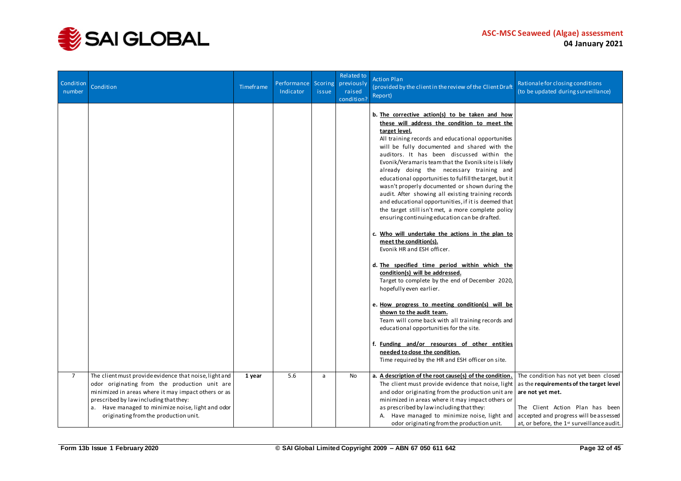

| Condition<br>number | Condition                                                                                                                                                                                                                                                                                              | Timeframe | Performance<br>Indicator | Scoring<br>issue | Related to<br>previously<br>raised<br>condition? | <b>Action Plan</b><br>(provided by the client in the review of the Client Draft<br>Report)                                                                                                                                                                                                                                                                                                                                                                                                                                                                                                                                                                                                                                                                                                                                                                                                                                                                                                                                                                                                                                                                                                                                                                                                                    | Rationale for closing conditions<br>(to be updated during surveillance)                                                                                                                                                         |
|---------------------|--------------------------------------------------------------------------------------------------------------------------------------------------------------------------------------------------------------------------------------------------------------------------------------------------------|-----------|--------------------------|------------------|--------------------------------------------------|---------------------------------------------------------------------------------------------------------------------------------------------------------------------------------------------------------------------------------------------------------------------------------------------------------------------------------------------------------------------------------------------------------------------------------------------------------------------------------------------------------------------------------------------------------------------------------------------------------------------------------------------------------------------------------------------------------------------------------------------------------------------------------------------------------------------------------------------------------------------------------------------------------------------------------------------------------------------------------------------------------------------------------------------------------------------------------------------------------------------------------------------------------------------------------------------------------------------------------------------------------------------------------------------------------------|---------------------------------------------------------------------------------------------------------------------------------------------------------------------------------------------------------------------------------|
|                     |                                                                                                                                                                                                                                                                                                        |           |                          |                  |                                                  | b. The corrective action(s) to be taken and how<br>these will address the condition to meet the<br>target level.<br>All training records and educational opportunities<br>will be fully documented and shared with the<br>auditors. It has been discussed within the<br>Evonik/Veramaris team that the Evonik site is likely<br>already doing the necessary training and<br>educational opportunities to fulfill the target, but it<br>wasn't properly documented or shown during the<br>audit. After showing all existing training records<br>and educational opportunities, if it is deemed that<br>the target still isn't met, a more complete policy<br>ensuring continuing education can be drafted.<br>c. Who will undertake the actions in the plan to<br>meet the condition(s).<br>Evonik HR and ESH officer.<br>d. The specified time period within which the<br>condition(s) will be addressed.<br>Target to complete by the end of December 2020,<br>hopefully even earlier.<br>e. How progress to meeting condition(s) will be<br>shown to the audit team.<br>Team will come back with all training records and<br>educational opportunities for the site.<br>f. Funding and/or resources of other entities<br>needed to close the condition.<br>Time required by the HR and ESH officer on site. |                                                                                                                                                                                                                                 |
| $\overline{7}$      | The client must provide evidence that noise, light and<br>odor originating from the production unit are<br>minimized in areas where it may impact others or as<br>prescribed by law including that they:<br>a. Have managed to minimize noise, light and odor<br>originating from the production unit. | 1 year    | 5.6                      | a                | No                                               | a. A description of the root cause(s) of the condition.<br>The client must provide evidence that noise, light<br>and odor originating from the production unit are<br>minimized in areas where it may impact others or<br>as prescribed by law including that they:<br>A. Have managed to minimize noise, light and<br>odor originating from the production unit.                                                                                                                                                                                                                                                                                                                                                                                                                                                                                                                                                                                                                                                                                                                                                                                                                                                                                                                                             | The condition has not yet been closed<br>as the requirements of the target level<br>are not yet met.<br>The Client Action Plan has been<br>accepted and progress will be assessed<br>at, or before, the 1st surveillance audit. |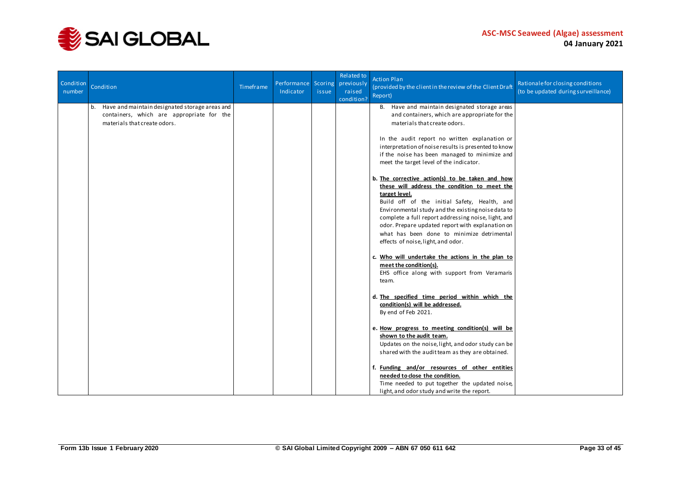

| Condition<br>number | Condition                                                                                                                         | Timeframe | Performance Scoring<br>Indicator | issue | Related to<br>previously<br>raised<br>condition? | <b>Action Plan</b><br>(provided by the client in the review of the Client Draft<br>Report)                                                                                                                                                                                                                                                                                                                            | Rationale for closing conditions<br>(to be updated during surveillance) |
|---------------------|-----------------------------------------------------------------------------------------------------------------------------------|-----------|----------------------------------|-------|--------------------------------------------------|-----------------------------------------------------------------------------------------------------------------------------------------------------------------------------------------------------------------------------------------------------------------------------------------------------------------------------------------------------------------------------------------------------------------------|-------------------------------------------------------------------------|
|                     | Have and maintain designated storage areas and<br>b.<br>containers, which are appropriate for the<br>materials that create odors. |           |                                  |       |                                                  | B. Have and maintain designated storage areas<br>and containers, which are appropriate for the<br>materials that create odors.                                                                                                                                                                                                                                                                                        |                                                                         |
|                     |                                                                                                                                   |           |                                  |       |                                                  | In the audit report no written explanation or<br>interpretation of noise results is presented to know<br>if the noise has been managed to minimize and<br>meet the target level of the indicator.                                                                                                                                                                                                                     |                                                                         |
|                     |                                                                                                                                   |           |                                  |       |                                                  | b. The corrective action(s) to be taken and how<br>these will address the condition to meet the<br>target level.<br>Build off of the initial Safety, Health, and<br>Environmental study and the existing noise data to<br>complete a full report addressing noise, light, and<br>odor. Prepare updated report with explanation on<br>what has been done to minimize detrimental<br>effects of noise, light, and odor. |                                                                         |
|                     |                                                                                                                                   |           |                                  |       |                                                  | c. Who will undertake the actions in the plan to<br>meet the condition(s).<br>EHS office along with support from Veramaris<br>team.                                                                                                                                                                                                                                                                                   |                                                                         |
|                     |                                                                                                                                   |           |                                  |       |                                                  | d. The specified time period within which the<br>condition(s) will be addressed.<br>By end of Feb 2021.                                                                                                                                                                                                                                                                                                               |                                                                         |
|                     |                                                                                                                                   |           |                                  |       |                                                  | e. How progress to meeting condition(s) will be<br>shown to the audit team.<br>Updates on the noise, light, and odor study can be<br>shared with the audit team as they are obtained.                                                                                                                                                                                                                                 |                                                                         |
|                     |                                                                                                                                   |           |                                  |       |                                                  | f. Funding and/or resources of other entities<br>needed to close the condition.<br>Time needed to put together the updated noise,<br>light, and odor study and write the report.                                                                                                                                                                                                                                      |                                                                         |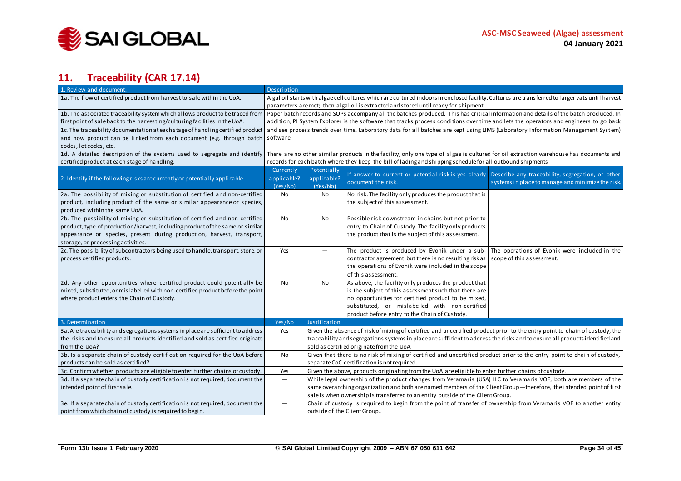

## **11. Traceability (CAR 17.14)**

<span id="page-33-0"></span>

| 1. Review and document:                                                                                                                                                                                              | Description                                                                                                                    |               |                                                                                                                                                  |                                                                                                       |  |  |
|----------------------------------------------------------------------------------------------------------------------------------------------------------------------------------------------------------------------|--------------------------------------------------------------------------------------------------------------------------------|---------------|--------------------------------------------------------------------------------------------------------------------------------------------------|-------------------------------------------------------------------------------------------------------|--|--|
| 1a. The flow of certified product from harvest to sale within the UoA.                                                                                                                                               |                                                                                                                                |               | Algal oil starts with algae cell cultures which are cultured indoors in enclosed facility. Cultures are transferred to larger vats until harvest |                                                                                                       |  |  |
|                                                                                                                                                                                                                      |                                                                                                                                |               | parameters are met; then algal oil is extracted and stored until ready for shipment.                                                             |                                                                                                       |  |  |
| 1b. The associated traceability system which allows product to be traced from   Paper batch records and SOPs accompany all the batches produced. This has critical information and details of the batch produced. In |                                                                                                                                |               |                                                                                                                                                  |                                                                                                       |  |  |
| first point of sale back to the harvesting/culturing facilities in the UoA.                                                                                                                                          |                                                                                                                                |               | addition, PI System Explorer is the software that tracks process conditions over time and lets the operators and engineers to go back            |                                                                                                       |  |  |
| 1c. The traceability documentation at each stage of handling certified product                                                                                                                                       |                                                                                                                                |               | and see process trends over time. Laboratory data for all batches are kept using LIMS (Laboratory Information Management System)                 |                                                                                                       |  |  |
| and how product can be linked from each document (e.g. through batch                                                                                                                                                 | software.                                                                                                                      |               |                                                                                                                                                  |                                                                                                       |  |  |
| codes, lot codes, etc.                                                                                                                                                                                               |                                                                                                                                |               |                                                                                                                                                  |                                                                                                       |  |  |
| 1d. A detailed description of the systems used to segregate and identify                                                                                                                                             |                                                                                                                                |               | There are no other similar products in the facility, only one type of algae is cultured for oil extraction warehouse has documents and           |                                                                                                       |  |  |
| certified product at each stage of handling.                                                                                                                                                                         |                                                                                                                                |               | records for each batch where they keep the bill of lading and shipping schedule for all outbound shipments                                       |                                                                                                       |  |  |
|                                                                                                                                                                                                                      | Currently                                                                                                                      | Potentially   |                                                                                                                                                  |                                                                                                       |  |  |
| 2. Identify if the following risks are currently or potentially applicable                                                                                                                                           | applicable?                                                                                                                    | applicable?   | If answer to current or potential risk is yes clearly<br>document the risk.                                                                      | Describe any traceability, segregation, or other<br>systems in place to manage and minimize the risk. |  |  |
|                                                                                                                                                                                                                      | (Yes/No)                                                                                                                       | (Yes/No)      |                                                                                                                                                  |                                                                                                       |  |  |
| 2a. The possibility of mixing or substitution of certified and non-certified                                                                                                                                         | No                                                                                                                             | No            | No risk. The facility only produces the product that is                                                                                          |                                                                                                       |  |  |
| product, including product of the same or similar appearance or species,                                                                                                                                             |                                                                                                                                |               | the subject of this assessment.                                                                                                                  |                                                                                                       |  |  |
| produced within the same UoA.                                                                                                                                                                                        |                                                                                                                                |               |                                                                                                                                                  |                                                                                                       |  |  |
| 2b. The possibility of mixing or substitution of certified and non-certified                                                                                                                                         | No                                                                                                                             | No            | Possible risk downstream in chains but not prior to                                                                                              |                                                                                                       |  |  |
| product, type of production/harvest, including product of the same or similar                                                                                                                                        |                                                                                                                                |               | entry to Chain of Custody. The facility only produces                                                                                            |                                                                                                       |  |  |
| appearance or species, present during production, harvest, transport,                                                                                                                                                |                                                                                                                                |               | the product that is the subject of this assessment.                                                                                              |                                                                                                       |  |  |
| storage, or processing activities.                                                                                                                                                                                   |                                                                                                                                |               |                                                                                                                                                  |                                                                                                       |  |  |
| 2c. The possibility of subcontractors being used to handle, transport, store, or                                                                                                                                     | Yes                                                                                                                            | ▃             | The product is produced by Evonik under a sub-                                                                                                   | The operations of Evonik were included in the                                                         |  |  |
| process certified products.                                                                                                                                                                                          |                                                                                                                                |               | contractor agreement but there is no resulting risk as                                                                                           | scope of this assessment.                                                                             |  |  |
|                                                                                                                                                                                                                      |                                                                                                                                |               | the operations of Evonik were included in the scope                                                                                              |                                                                                                       |  |  |
|                                                                                                                                                                                                                      |                                                                                                                                |               | of this assessment.                                                                                                                              |                                                                                                       |  |  |
| 2d. Any other opportunities where certified product could potentially be                                                                                                                                             | No                                                                                                                             | <b>No</b>     | As above, the facility only produces the product that                                                                                            |                                                                                                       |  |  |
| mixed, substituted, or mislabelled with non-certified product before the point                                                                                                                                       |                                                                                                                                |               | is the subject of this assessment such that there are                                                                                            |                                                                                                       |  |  |
| where product enters the Chain of Custody.                                                                                                                                                                           |                                                                                                                                |               | no opportunities for certified product to be mixed,                                                                                              |                                                                                                       |  |  |
|                                                                                                                                                                                                                      |                                                                                                                                |               | substituted, or mislabelled with non-certified                                                                                                   |                                                                                                       |  |  |
|                                                                                                                                                                                                                      |                                                                                                                                |               | product before entry to the Chain of Custody.                                                                                                    |                                                                                                       |  |  |
| 3. Determination                                                                                                                                                                                                     | Yes/No                                                                                                                         | Justification |                                                                                                                                                  |                                                                                                       |  |  |
| 3a. Are traceability and segregations systems in place are sufficient to address                                                                                                                                     | Yes                                                                                                                            |               | Given the absence of risk of mixing of certified and uncertified product prior to the entry point to chain of custody, the                       |                                                                                                       |  |  |
| the risks and to ensure all products identified and sold as certified originate                                                                                                                                      |                                                                                                                                |               | traceability and segregations systems in place are sufficient to address the risks and to ensure all products identified and                     |                                                                                                       |  |  |
| from the UoA?                                                                                                                                                                                                        |                                                                                                                                |               | sold as certified originate from the UoA.                                                                                                        |                                                                                                       |  |  |
| 3b. Is a separate chain of custody certification required for the UoA before                                                                                                                                         | Given that there is no risk of mixing of certified and uncertified product prior to the entry point to chain of custody,<br>No |               |                                                                                                                                                  |                                                                                                       |  |  |
| products can be sold as certified?                                                                                                                                                                                   | separate CoC certification is not required.                                                                                    |               |                                                                                                                                                  |                                                                                                       |  |  |
| 3c. Confirm whether products are eligible to enter further chains of custody.                                                                                                                                        | Yes                                                                                                                            |               | Given the above, products originating from the UoA are eligible to enter further chains of custody.                                              |                                                                                                       |  |  |
| 3d. If a separate chain of custody certification is not required, document the                                                                                                                                       | $\overline{\phantom{0}}$                                                                                                       |               | While legal ownership of the product changes from Veramaris (USA) LLC to Veramaris VOF, both are members of the                                  |                                                                                                       |  |  |
| intended point of first sale.                                                                                                                                                                                        |                                                                                                                                |               | same overarching organization and both are named members of the Client Group-therefore, the intended point of first                              |                                                                                                       |  |  |
|                                                                                                                                                                                                                      |                                                                                                                                |               | sale is when ownership is transferred to an entity outside of the Client Group.                                                                  |                                                                                                       |  |  |
| 3e. If a separate chain of custody certification is not required, document the                                                                                                                                       | —                                                                                                                              |               | Chain of custody is required to begin from the point of transfer of ownership from Veramaris VOF to another entity                               |                                                                                                       |  |  |
| point from which chain of custody is required to begin.                                                                                                                                                              |                                                                                                                                |               | outside of the Client Group                                                                                                                      |                                                                                                       |  |  |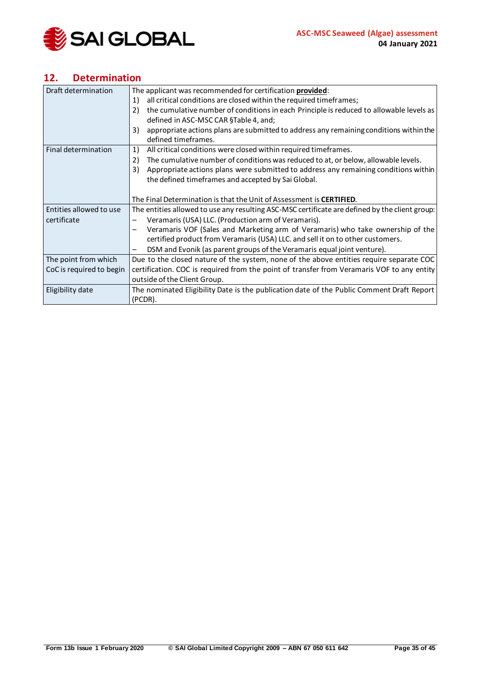

## <span id="page-34-0"></span>**12. Determination**

| Draft determination      | The applicant was recommended for certification provided:                                      |
|--------------------------|------------------------------------------------------------------------------------------------|
|                          | all critical conditions are closed within the required timeframes;<br>1)                       |
|                          | the cumulative number of conditions in each Principle is reduced to allowable levels as<br>2)  |
|                          | defined in ASC-MSC CAR §Table 4, and;                                                          |
|                          | appropriate actions plans are submitted to address any remaining conditions within the<br>3)   |
|                          | defined timeframes.                                                                            |
| Final determination      | All critical conditions were closed within required timeframes.<br>1)                          |
|                          | The cumulative number of conditions was reduced to at, or below, allowable levels.<br>2)       |
|                          | Appropriate actions plans were submitted to address any remaining conditions within<br>3)      |
|                          | the defined timeframes and accepted by Sai Global.                                             |
|                          |                                                                                                |
|                          | The Final Determination is that the Unit of Assessment is CERTIFIED.                           |
| Entities allowed to use  | The entities allowed to use any resulting ASC-MSC certificate are defined by the client group: |
| certificate              | Veramaris (USA) LLC. (Production arm of Veramaris).                                            |
|                          | Veramaris VOF (Sales and Marketing arm of Veramaris) who take ownership of the                 |
|                          | certified product from Veramaris (USA) LLC. and sell it on to other customers.                 |
|                          | DSM and Evonik (as parent groups of the Veramaris equal joint venture).<br>-                   |
| The point from which     | Due to the closed nature of the system, none of the above entities require separate COC        |
| CoC is required to begin | certification. COC is required from the point of transfer from Veramaris VOF to any entity     |
|                          | outside of the Client Group.                                                                   |
| Eligibility date         | The nominated Eligibility Date is the publication date of the Public Comment Draft Report      |
|                          | (PCDR).                                                                                        |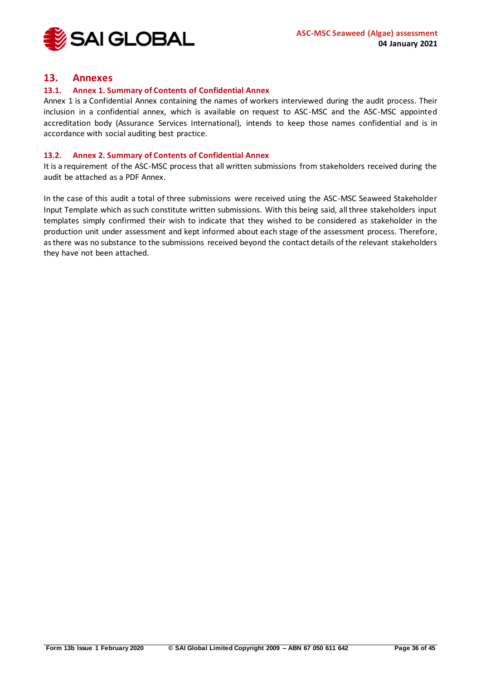

### <span id="page-35-0"></span>**13. Annexes**

#### <span id="page-35-1"></span>**13.1. Annex 1. Summary of Contents of Confidential Annex**

Annex 1 is a Confidential Annex containing the names of workers interviewed during the audit process. Their inclusion in a confidential annex, which is available on request to ASC-MSC and the ASC-MSC appointed accreditation body (Assurance Services International), intends to keep those names confidential and is in accordance with social auditing best practice.

#### <span id="page-35-2"></span>**13.2. Annex 2. Summary of Contents of Confidential Annex**

It is a requirement of the ASC-MSC process that all written submissions from stakeholders received during the audit be attached as a PDF Annex.

In the case of this audit a total of three submissions were received using the ASC-MSC Seaweed Stakeholder Input Template which as such constitute written submissions. With this being said, all three stakeholders input templates simply confirmed their wish to indicate that they wished to be considered as stakeholder in the production unit under assessment and kept informed about each stage of the assessment process. Therefore, as there was no substance to the submissions received beyond the contact details of the relevant stakeholders they have not been attached.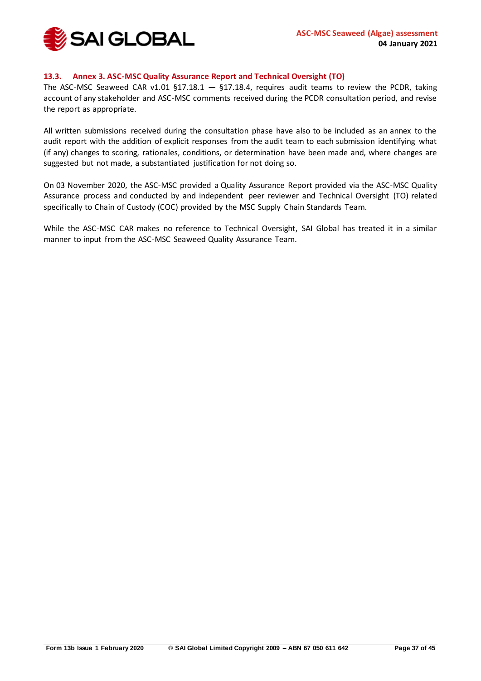

#### <span id="page-36-0"></span>**13.3. Annex 3. ASC-MSC Quality Assurance Report and Technical Oversight (TO)**

The ASC-MSC Seaweed CAR v1.01 §17.18.1  $-$  §17.18.4, requires audit teams to review the PCDR, taking account of any stakeholder and ASC-MSC comments received during the PCDR consultation period, and revise the report as appropriate.

All written submissions received during the consultation phase have also to be included as an annex to the audit report with the addition of explicit responses from the audit team to each submission identifying what (if any) changes to scoring, rationales, conditions, or determination have been made and, where changes are suggested but not made, a substantiated justification for not doing so.

On 03 November 2020, the ASC-MSC provided a Quality Assurance Report provided via the ASC-MSC Quality Assurance process and conducted by and independent peer reviewer and Technical Oversight (TO) related specifically to Chain of Custody (COC) provided by the MSC Supply Chain Standards Team.

While the ASC-MSC CAR makes no reference to Technical Oversight, SAI Global has treated it in a similar manner to input from the ASC-MSC Seaweed Quality Assurance Team.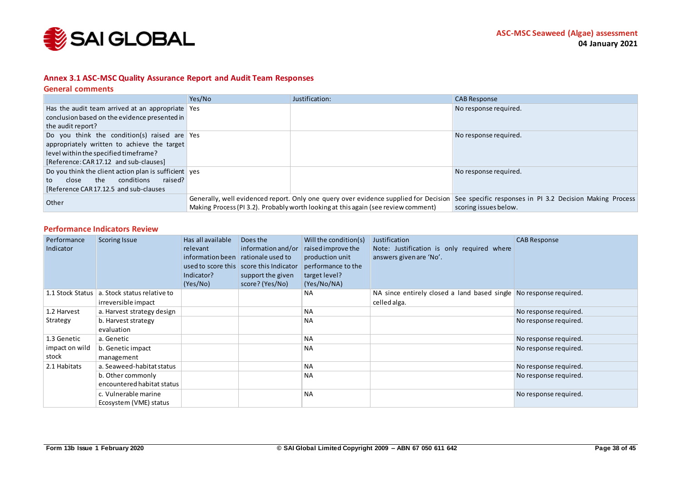

#### **Annex 3.1 ASC-MSC Quality Assurance Report and Audit Team Responses**

#### **General comments**

|                                                             | Yes/No | Justification:                                                                       | <b>CAB Response</b>                                      |
|-------------------------------------------------------------|--------|--------------------------------------------------------------------------------------|----------------------------------------------------------|
| Has the audit team arrived at an appropriate $\sqrt{2}$ Yes |        |                                                                                      | No response required.                                    |
| conclusion based on the evidence presented in               |        |                                                                                      |                                                          |
| the audit report?                                           |        |                                                                                      |                                                          |
| Do you think the condition(s) raised are Yes                |        |                                                                                      | No response required.                                    |
| appropriately written to achieve the target                 |        |                                                                                      |                                                          |
| level within the specified timeframe?                       |        |                                                                                      |                                                          |
| [Reference: CAR 17.12 and sub-clauses]                      |        |                                                                                      |                                                          |
| Do you think the client action plan is sufficient ves       |        |                                                                                      | No response required.                                    |
| conditions<br>raised?<br>the<br>close<br>to                 |        |                                                                                      |                                                          |
| [Reference CAR 17.12.5 and sub-clauses]                     |        |                                                                                      |                                                          |
| Other                                                       |        | Generally, well evidenced report. Only one query over evidence supplied for Decision | See specific responses in PI 3.2 Decision Making Process |
|                                                             |        | Making Process (PI 3.2). Probably worth looking at this again (see review comment)   | scoring issues below.                                    |

#### **Performance Indicators Review**

<span id="page-37-0"></span>

| Performance<br>Indicator | <b>Scoring Issue</b>                               | Has all available<br>relevant<br>information been<br>Indicator?<br>(Yes/No) | Does the<br>information and/or<br>rationale used to<br>used to score this score this Indicator<br>support the given<br>score? (Yes/No) | Will the condition(s)<br>raised improve the<br>production unit<br>performance to the<br>target level?<br>(Yes/No/NA) | Justification<br>Note: Justification is only required where<br>answers given are 'No'. | <b>CAB Response</b>   |
|--------------------------|----------------------------------------------------|-----------------------------------------------------------------------------|----------------------------------------------------------------------------------------------------------------------------------------|----------------------------------------------------------------------------------------------------------------------|----------------------------------------------------------------------------------------|-----------------------|
| 1.1 Stock Status         | a. Stock status relative to<br>irreversible impact |                                                                             |                                                                                                                                        | <b>NA</b>                                                                                                            | NA since entirely closed a land based single No response required.<br>celled alga.     |                       |
| 1.2 Harvest              | a. Harvest strategy design                         |                                                                             |                                                                                                                                        | <b>NA</b>                                                                                                            |                                                                                        | No response required. |
| Strategy                 | b. Harvest strategy<br>evaluation                  |                                                                             |                                                                                                                                        | <b>NA</b>                                                                                                            |                                                                                        | No response required. |
| 1.3 Genetic              | a. Genetic                                         |                                                                             |                                                                                                                                        | <b>NA</b>                                                                                                            |                                                                                        | No response required. |
| impact on wild<br>stock  | b. Genetic impact<br>management                    |                                                                             |                                                                                                                                        | <b>NA</b>                                                                                                            |                                                                                        | No response required. |
| 2.1 Habitats             | a. Seaweed-habitat status                          |                                                                             |                                                                                                                                        | <b>NA</b>                                                                                                            |                                                                                        | No response required. |
|                          | b. Other commonly<br>encountered habitat status    |                                                                             |                                                                                                                                        | <b>NA</b>                                                                                                            |                                                                                        | No response required. |
|                          | c. Vulnerable marine<br>Ecosystem (VME) status     |                                                                             |                                                                                                                                        | <b>NA</b>                                                                                                            |                                                                                        | No response required. |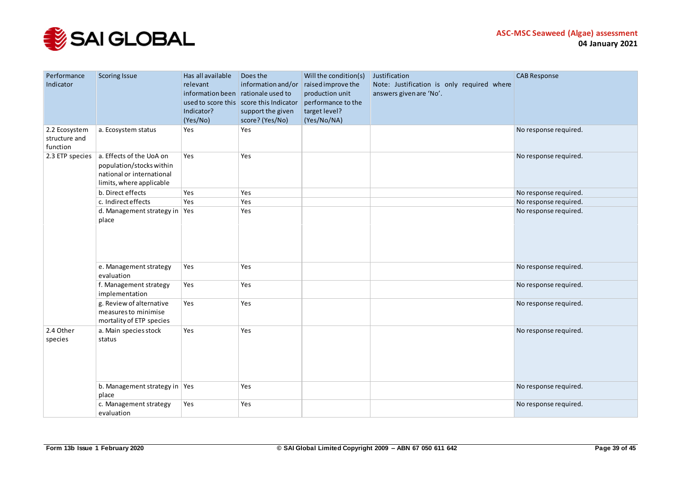

| Performance<br>Indicator                   | <b>Scoring Issue</b>                                                                                          | Has all available<br>relevant<br>information been rationale used to<br>Indicator?<br>(Yes/No) | Does the<br>used to score this score this Indicator<br>support the given<br>score? (Yes/No) | Will the condition(s)<br>information and/or $ $ raised improve the<br>production unit<br>performance to the<br>target level?<br>(Yes/No/NA) | Justification<br>Note: Justification is only required where<br>answers given are 'No'. | <b>CAB Response</b>   |
|--------------------------------------------|---------------------------------------------------------------------------------------------------------------|-----------------------------------------------------------------------------------------------|---------------------------------------------------------------------------------------------|---------------------------------------------------------------------------------------------------------------------------------------------|----------------------------------------------------------------------------------------|-----------------------|
| 2.2 Ecosystem<br>structure and<br>function | a. Ecosystem status                                                                                           | Yes                                                                                           | Yes                                                                                         |                                                                                                                                             |                                                                                        | No response required. |
| 2.3 ETP species                            | a. Effects of the UoA on<br>population/stocks within<br>national or international<br>limits, where applicable | Yes                                                                                           | Yes                                                                                         |                                                                                                                                             |                                                                                        | No response required. |
|                                            | b. Direct effects                                                                                             | Yes                                                                                           | Yes                                                                                         |                                                                                                                                             |                                                                                        | No response required. |
|                                            | c. Indirect effects                                                                                           | Yes                                                                                           | Yes                                                                                         |                                                                                                                                             |                                                                                        | No response required. |
|                                            | d. Management strategy in $\sqrt{$ Yes<br>place                                                               |                                                                                               | Yes                                                                                         |                                                                                                                                             |                                                                                        | No response required. |
|                                            | e. Management strategy<br>evaluation                                                                          | Yes                                                                                           | Yes                                                                                         |                                                                                                                                             |                                                                                        | No response required. |
|                                            | f. Management strategy<br>implementation                                                                      | Yes                                                                                           | Yes                                                                                         |                                                                                                                                             |                                                                                        | No response required. |
|                                            | g. Review of alternative<br>measures to minimise<br>mortality of ETP species                                  | Yes                                                                                           | Yes                                                                                         |                                                                                                                                             |                                                                                        | No response required. |
| 2.4 Other<br>species                       | a. Main species stock<br>status                                                                               | Yes                                                                                           | Yes                                                                                         |                                                                                                                                             |                                                                                        | No response required. |
|                                            | b. Management strategy in $ Yes$<br>place                                                                     |                                                                                               | Yes                                                                                         |                                                                                                                                             |                                                                                        | No response required. |
|                                            | c. Management strategy<br>evaluation                                                                          | Yes                                                                                           | Yes                                                                                         |                                                                                                                                             |                                                                                        | No response required. |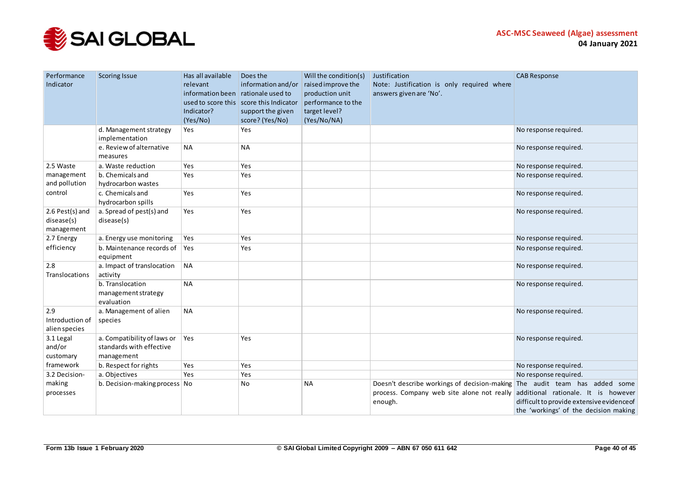

| Performance<br>Indicator                    | <b>Scoring Issue</b>                                                  | Has all available<br>relevant<br>information been rationale used to<br>Indicator?<br>(Yes/No) | Does the<br>information and/or<br>used to score this score this Indicator<br>support the given<br>score? (Yes/No) | Will the condition(s)<br>raised improve the<br>production unit<br>performance to the<br>target level?<br>(Yes/No/NA) | Justification<br>Note: Justification is only required where<br>answers given are 'No'.                | <b>CAB Response</b>                                                                                                                                         |
|---------------------------------------------|-----------------------------------------------------------------------|-----------------------------------------------------------------------------------------------|-------------------------------------------------------------------------------------------------------------------|----------------------------------------------------------------------------------------------------------------------|-------------------------------------------------------------------------------------------------------|-------------------------------------------------------------------------------------------------------------------------------------------------------------|
|                                             | d. Management strategy<br>implementation                              | Yes                                                                                           | Yes                                                                                                               |                                                                                                                      |                                                                                                       | No response required.                                                                                                                                       |
|                                             | e. Review of alternative<br>measures                                  | <b>NA</b>                                                                                     | <b>NA</b>                                                                                                         |                                                                                                                      |                                                                                                       | No response required.                                                                                                                                       |
| 2.5 Waste                                   | a. Waste reduction                                                    | Yes                                                                                           | Yes                                                                                                               |                                                                                                                      |                                                                                                       | No response required.                                                                                                                                       |
| management<br>and pollution                 | b. Chemicals and<br>hydrocarbon wastes                                | Yes                                                                                           | <b>Yes</b>                                                                                                        |                                                                                                                      |                                                                                                       | No response required.                                                                                                                                       |
| control                                     | c. Chemicals and<br>hydrocarbon spills                                | Yes                                                                                           | Yes                                                                                                               |                                                                                                                      |                                                                                                       | No response required.                                                                                                                                       |
| 2.6 Pest(s) and<br>disease(s)<br>management | a. Spread of pest(s) and<br>disease(s)                                | Yes                                                                                           | Yes                                                                                                               |                                                                                                                      |                                                                                                       | No response required.                                                                                                                                       |
| 2.7 Energy                                  | a. Energy use monitoring                                              | Yes                                                                                           | Yes                                                                                                               |                                                                                                                      |                                                                                                       | No response required.                                                                                                                                       |
| efficiency                                  | b. Maintenance records of<br>equipment                                | Yes                                                                                           | Yes                                                                                                               |                                                                                                                      |                                                                                                       | No response required.                                                                                                                                       |
| 2.8<br>Translocations                       | a. Impact of translocation<br>activity                                | <b>NA</b>                                                                                     |                                                                                                                   |                                                                                                                      |                                                                                                       | No response required.                                                                                                                                       |
|                                             | b. Translocation<br>management strategy<br>evaluation                 | <b>NA</b>                                                                                     |                                                                                                                   |                                                                                                                      |                                                                                                       | No response required.                                                                                                                                       |
| 2.9<br>Introduction of<br>alien species     | a. Management of alien<br>species                                     | <b>NA</b>                                                                                     |                                                                                                                   |                                                                                                                      |                                                                                                       | No response required.                                                                                                                                       |
| 3.1 Legal<br>and/or<br>customary            | a. Compatibility of laws or<br>standards with effective<br>management | Yes                                                                                           | Yes                                                                                                               |                                                                                                                      |                                                                                                       | No response required.                                                                                                                                       |
| framework                                   | b. Respect for rights                                                 | Yes                                                                                           | Yes                                                                                                               |                                                                                                                      |                                                                                                       | No response required.                                                                                                                                       |
| 3.2 Decision-                               | a. Objectives                                                         | Yes                                                                                           | Yes                                                                                                               |                                                                                                                      |                                                                                                       | No response required.                                                                                                                                       |
| making<br>processes                         | b. Decision-making process No                                         |                                                                                               | No                                                                                                                | <b>NA</b>                                                                                                            | Doesn't describe workings of decision-making<br>process. Company web site alone not really<br>enough. | The audit team has added some<br>additional rationale. It is however<br>difficult to provide extensive evidence of<br>the 'workings' of the decision making |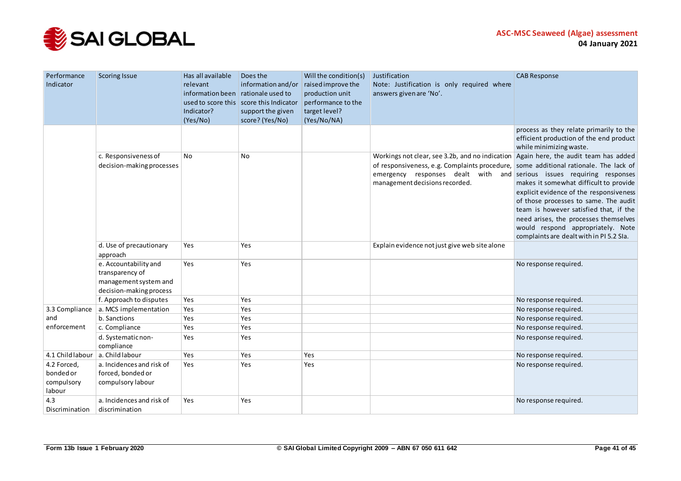

| Performance<br>Indicator                         | <b>Scoring Issue</b>                                                                         | Has all available<br>relevant<br>information been rationale used to<br>Indicator?<br>(Yes/No) | Does the<br>information and/or<br>used to score this score this Indicator<br>support the given<br>score? (Yes/No) | Will the condition(s)<br>raised improve the<br>production unit<br>performance to the<br>target level?<br>(Yes/No/NA) | Justification<br>Note: Justification is only required where<br>answers given are 'No'.                                                                                                                                                             | <b>CAB Response</b>                                                                                                                                                                                                                                                                                                                    |
|--------------------------------------------------|----------------------------------------------------------------------------------------------|-----------------------------------------------------------------------------------------------|-------------------------------------------------------------------------------------------------------------------|----------------------------------------------------------------------------------------------------------------------|----------------------------------------------------------------------------------------------------------------------------------------------------------------------------------------------------------------------------------------------------|----------------------------------------------------------------------------------------------------------------------------------------------------------------------------------------------------------------------------------------------------------------------------------------------------------------------------------------|
|                                                  |                                                                                              |                                                                                               |                                                                                                                   |                                                                                                                      |                                                                                                                                                                                                                                                    | process as they relate primarily to the<br>efficient production of the end product<br>while minimizing waste.                                                                                                                                                                                                                          |
|                                                  | c. Responsiveness of<br>decision-making processes                                            | <b>No</b>                                                                                     | <b>No</b>                                                                                                         |                                                                                                                      | Workings not clear, see 3.2b, and no indication<br>of responsiveness, e.g. Complaints procedure, some additional rationale. The lack of<br>emergency responses dealt with and serious issues requiring responses<br>management decisions recorded. | Again here, the audit team has added<br>makes it somewhat difficult to provide<br>explicit evidence of the responsiveness<br>of those processes to same. The audit<br>team is however satisfied that, if the<br>need arises, the processes themselves<br>would respond appropriately. Note<br>complaints are dealt with in PI 5.2 SIa. |
|                                                  | d. Use of precautionary<br>approach                                                          | Yes                                                                                           | Yes                                                                                                               |                                                                                                                      | Explain evidence not just give web site alone                                                                                                                                                                                                      |                                                                                                                                                                                                                                                                                                                                        |
|                                                  | e. Accountability and<br>transparency of<br>management system and<br>decision-making process | Yes                                                                                           | Yes                                                                                                               |                                                                                                                      |                                                                                                                                                                                                                                                    | No response required.                                                                                                                                                                                                                                                                                                                  |
|                                                  | f. Approach to disputes                                                                      | Yes                                                                                           | Yes                                                                                                               |                                                                                                                      |                                                                                                                                                                                                                                                    | No response required.                                                                                                                                                                                                                                                                                                                  |
| 3.3 Compliance                                   | a. MCS implementation                                                                        | Yes                                                                                           | Yes                                                                                                               |                                                                                                                      |                                                                                                                                                                                                                                                    | No response required.                                                                                                                                                                                                                                                                                                                  |
| and                                              | b. Sanctions                                                                                 | Yes                                                                                           | Yes                                                                                                               |                                                                                                                      |                                                                                                                                                                                                                                                    | No response required.                                                                                                                                                                                                                                                                                                                  |
| enforcement                                      | c. Compliance<br>d. Systematic non-<br>compliance                                            | Yes<br>Yes                                                                                    | Yes<br>Yes                                                                                                        |                                                                                                                      |                                                                                                                                                                                                                                                    | No response required.<br>No response required.                                                                                                                                                                                                                                                                                         |
| 4.1 Child labour                                 | a. Child labour                                                                              | Yes                                                                                           | Yes                                                                                                               | Yes                                                                                                                  |                                                                                                                                                                                                                                                    | No response required.                                                                                                                                                                                                                                                                                                                  |
| 4.2 Forced,<br>bonded or<br>compulsory<br>labour | a. Incidences and risk of<br>forced, bonded or<br>compulsory labour                          | Yes                                                                                           | Yes                                                                                                               | Yes                                                                                                                  |                                                                                                                                                                                                                                                    | No response required.                                                                                                                                                                                                                                                                                                                  |
| 4.3<br>Discrimination                            | a. Incidences and risk of<br>discrimination                                                  | Yes                                                                                           | Yes                                                                                                               |                                                                                                                      |                                                                                                                                                                                                                                                    | No response required.                                                                                                                                                                                                                                                                                                                  |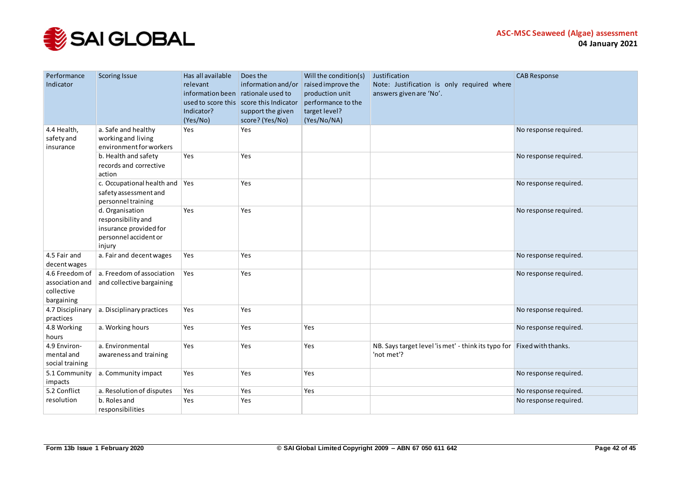

| Performance<br>Indicator                                      | <b>Scoring Issue</b>                                                                               | Has all available<br>relevant<br>information been rationale used to<br>Indicator?<br>(Yes/No) | Does the<br>information and/or<br>used to score this score this Indicator<br>support the given<br>score? (Yes/No) | Will the condition(s)<br>raised improve the<br>production unit<br>performance to the<br>target level?<br>(Yes/No/NA) | Justification<br>Note: Justification is only required where<br>answers given are 'No'. | <b>CAB Response</b>   |
|---------------------------------------------------------------|----------------------------------------------------------------------------------------------------|-----------------------------------------------------------------------------------------------|-------------------------------------------------------------------------------------------------------------------|----------------------------------------------------------------------------------------------------------------------|----------------------------------------------------------------------------------------|-----------------------|
| 4.4 Health,<br>safety and<br>insurance                        | a. Safe and healthy<br>working and living<br>environment for workers                               | Yes                                                                                           | Yes                                                                                                               |                                                                                                                      |                                                                                        | No response required. |
|                                                               | b. Health and safety<br>records and corrective<br>action                                           | Yes                                                                                           | Yes                                                                                                               |                                                                                                                      |                                                                                        | No response required. |
|                                                               | c. Occupational health and $\vert$ Yes<br>safety assessment and<br>personnel training              |                                                                                               | Yes                                                                                                               |                                                                                                                      |                                                                                        | No response required. |
|                                                               | d. Organisation<br>responsibility and<br>insurance provided for<br>personnel accident or<br>injury | Yes                                                                                           | Yes                                                                                                               |                                                                                                                      |                                                                                        | No response required. |
| 4.5 Fair and<br>decent wages                                  | a. Fair and decent wages                                                                           | Yes                                                                                           | Yes                                                                                                               |                                                                                                                      |                                                                                        | No response required. |
| 4.6 Freedom of<br>association and<br>collective<br>bargaining | a. Freedom of association<br>and collective bargaining                                             | Yes                                                                                           | Yes                                                                                                               |                                                                                                                      |                                                                                        | No response required. |
| 4.7 Disciplinary<br>practices                                 | a. Disciplinary practices                                                                          | Yes                                                                                           | Yes                                                                                                               |                                                                                                                      |                                                                                        | No response required. |
| 4.8 Working<br>hours                                          | a. Working hours                                                                                   | Yes                                                                                           | Yes                                                                                                               | Yes                                                                                                                  |                                                                                        | No response required. |
| 4.9 Environ-<br>mental and<br>social training                 | a. Environmental<br>awareness and training                                                         | Yes                                                                                           | Yes                                                                                                               | Yes                                                                                                                  | NB. Says target level 'is met' - think its typo for Fixed with thanks.<br>'not met'?   |                       |
| 5.1 Community<br>impacts                                      | a. Community impact                                                                                | Yes                                                                                           | Yes                                                                                                               | Yes                                                                                                                  |                                                                                        | No response required. |
| 5.2 Conflict                                                  | a. Resolution of disputes                                                                          | Yes                                                                                           | Yes                                                                                                               | Yes                                                                                                                  |                                                                                        | No response required. |
| resolution                                                    | b. Roles and<br>responsibilities                                                                   | Yes                                                                                           | Yes                                                                                                               |                                                                                                                      |                                                                                        | No response required. |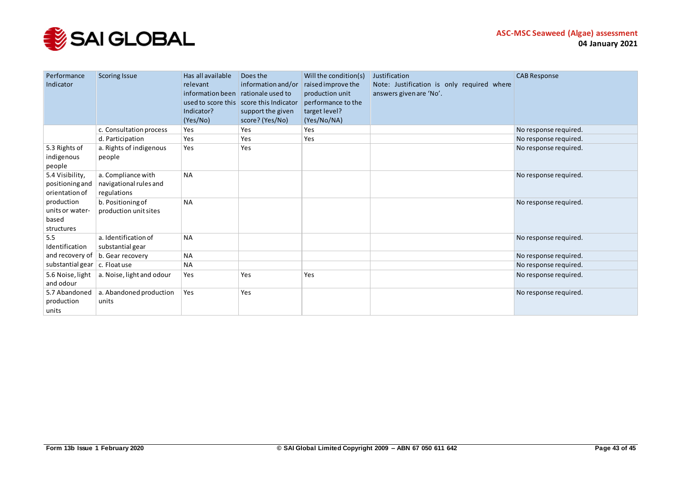

| Performance<br>Indicator                             | <b>Scoring Issue</b>                                        | Has all available<br>relevant<br>information been rationale used to<br>Indicator?<br>(Yes/No) | Does the<br>information and/or<br>used to score this score this Indicator<br>support the given<br>score? (Yes/No) | Will the condition(s)<br>raised improve the<br>production unit<br>performance to the<br>target level?<br>(Yes/No/NA) | Justification<br>Note: Justification is only required where<br>answers given are 'No'. | <b>CAB Response</b>   |
|------------------------------------------------------|-------------------------------------------------------------|-----------------------------------------------------------------------------------------------|-------------------------------------------------------------------------------------------------------------------|----------------------------------------------------------------------------------------------------------------------|----------------------------------------------------------------------------------------|-----------------------|
|                                                      | c. Consultation process                                     | Yes                                                                                           | Yes                                                                                                               | Yes                                                                                                                  |                                                                                        | No response required. |
|                                                      | d. Participation                                            | Yes                                                                                           | Yes                                                                                                               | Yes                                                                                                                  |                                                                                        | No response required. |
| 5.3 Rights of<br>indigenous<br>people                | a. Rights of indigenous<br>people                           | Yes                                                                                           | Yes                                                                                                               |                                                                                                                      |                                                                                        | No response required. |
| 5.4 Visibility,<br>positioning and<br>orientation of | a. Compliance with<br>navigational rules and<br>regulations | <b>NA</b>                                                                                     |                                                                                                                   |                                                                                                                      |                                                                                        | No response required. |
| production<br>units or water-<br>based<br>structures | b. Positioning of<br>production unit sites                  | <b>NA</b>                                                                                     |                                                                                                                   |                                                                                                                      |                                                                                        | No response required. |
| 5.5<br>Identification                                | a. Identification of<br>substantial gear                    | <b>NA</b>                                                                                     |                                                                                                                   |                                                                                                                      |                                                                                        | No response required. |
| and recovery of                                      | b. Gear recovery                                            | <b>NA</b>                                                                                     |                                                                                                                   |                                                                                                                      |                                                                                        | No response required. |
| substantial gear                                     | c. Float use                                                | <b>NA</b>                                                                                     |                                                                                                                   |                                                                                                                      |                                                                                        | No response required. |
| 5.6 Noise, light<br>and odour                        | a. Noise, light and odour                                   | Yes                                                                                           | Yes                                                                                                               | Yes                                                                                                                  |                                                                                        | No response required. |
| 5.7 Abandoned<br>production<br>units                 | a. Abandoned production<br>units                            | Yes                                                                                           | Yes                                                                                                               |                                                                                                                      |                                                                                        | No response required. |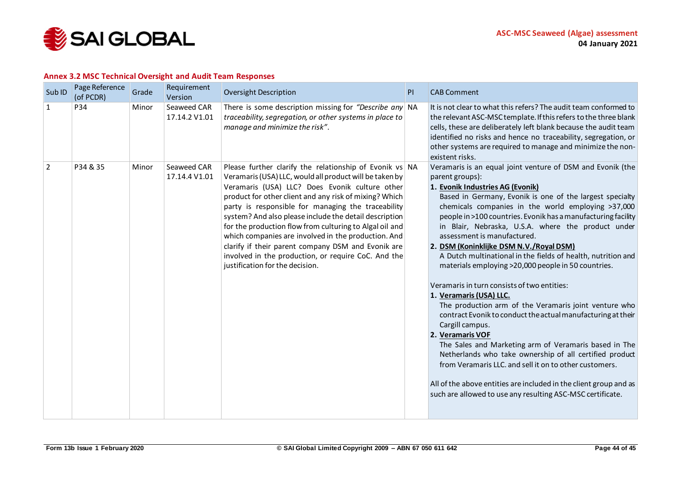

#### **Annex 3.2 MSC Technical Oversight and Audit Team Responses**

<span id="page-43-0"></span>

| Sub <sub>ID</sub> | Page Reference<br>(of PCDR) | Grade | Requirement<br>Version       | <b>Oversight Description</b>                                                                                                                                                                                                                                                                                                                                                                                                                                                                                                                                                                                     | PI | <b>CAB Comment</b>                                                                                                                                                                                                                                                                                                                                                                                                                                                                                                                                                                                                                                                                                                                                                                                                                                                                                                                                                                                                                                                                                                     |
|-------------------|-----------------------------|-------|------------------------------|------------------------------------------------------------------------------------------------------------------------------------------------------------------------------------------------------------------------------------------------------------------------------------------------------------------------------------------------------------------------------------------------------------------------------------------------------------------------------------------------------------------------------------------------------------------------------------------------------------------|----|------------------------------------------------------------------------------------------------------------------------------------------------------------------------------------------------------------------------------------------------------------------------------------------------------------------------------------------------------------------------------------------------------------------------------------------------------------------------------------------------------------------------------------------------------------------------------------------------------------------------------------------------------------------------------------------------------------------------------------------------------------------------------------------------------------------------------------------------------------------------------------------------------------------------------------------------------------------------------------------------------------------------------------------------------------------------------------------------------------------------|
| 1                 | P34                         | Minor | Seaweed CAR<br>17.14.2 V1.01 | There is some description missing for "Describe any $\vert$ NA<br>traceability, segregation, or other systems in place to<br>manage and minimize the risk".                                                                                                                                                                                                                                                                                                                                                                                                                                                      |    | It is not clear to what this refers? The audit team conformed to<br>the relevant ASC-MSC template. If this refers to the three blank<br>cells, these are deliberately left blank because the audit team<br>identified no risks and hence no traceability, segregation, or<br>other systems are required to manage and minimize the non-<br>existent risks.                                                                                                                                                                                                                                                                                                                                                                                                                                                                                                                                                                                                                                                                                                                                                             |
| $\overline{2}$    | P34 & 35                    | Minor | Seaweed CAR<br>17.14.4 V1.01 | Please further clarify the relationship of Evonik vs NA<br>Veramaris (USA) LLC, would all product will be taken by<br>Veramaris (USA) LLC? Does Evonik culture other<br>product for other client and any risk of mixing? Which<br>party is responsible for managing the traceability<br>system? And also please include the detail description<br>for the production flow from culturing to Algal oil and<br>which companies are involved in the production. And<br>clarify if their parent company DSM and Evonik are<br>involved in the production, or require CoC. And the<br>justification for the decision. |    | Veramaris is an equal joint venture of DSM and Evonik (the<br>parent groups):<br>1. Evonik Industries AG (Evonik)<br>Based in Germany, Evonik is one of the largest specialty<br>chemicals companies in the world employing >37,000<br>people in >100 countries. Evonik has a manufacturing facility<br>in Blair, Nebraska, U.S.A. where the product under<br>assessment is manufactured.<br>2. DSM (Koninklijke DSM N.V./Royal DSM)<br>A Dutch multinational in the fields of health, nutrition and<br>materials employing >20,000 people in 50 countries.<br>Veramaris in turn consists of two entities:<br>1. Veramaris (USA) LLC.<br>The production arm of the Veramaris joint venture who<br>contract Evonik to conduct the actual manufacturing at their<br>Cargill campus.<br>2. Veramaris VOF<br>The Sales and Marketing arm of Veramaris based in The<br>Netherlands who take ownership of all certified product<br>from Veramaris LLC. and sell it on to other customers.<br>All of the above entities are included in the client group and as<br>such are allowed to use any resulting ASC-MSC certificate. |